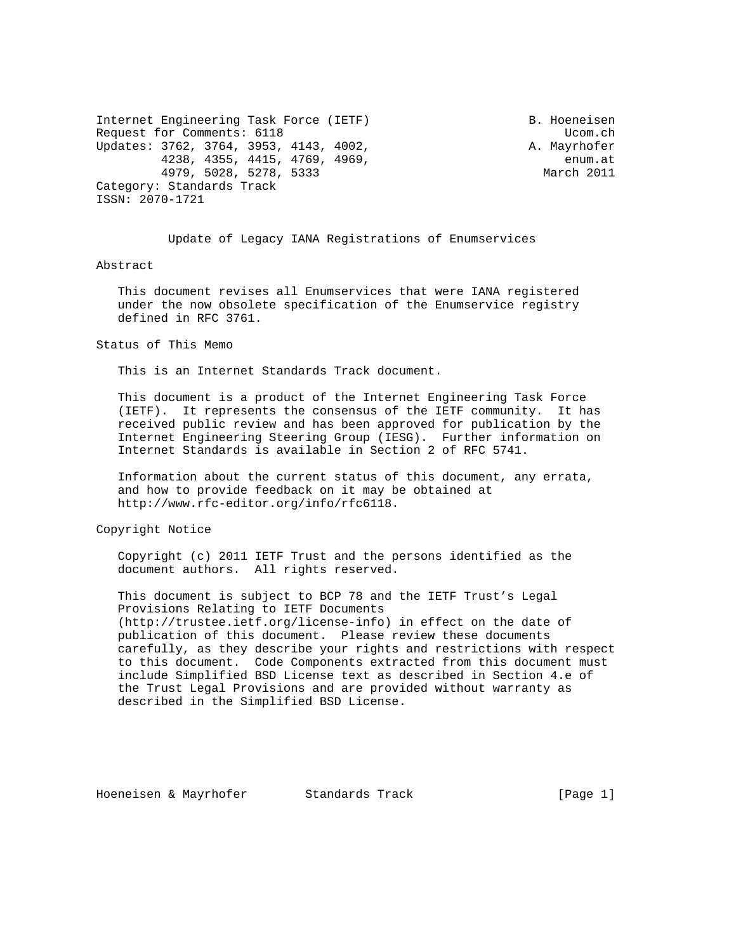Internet Engineering Task Force (IETF) B. Hoeneisen Request for Comments: 6118 Ucom.ch Updates: 3762, 3764, 3953, 4143, 4002, A. Mayrhofer 4238, 4355, 4415, 4769, 4969, enum.at 4979, 5028, 5278, 5333 March 2011 Category: Standards Track ISSN: 2070-1721

Update of Legacy IANA Registrations of Enumservices

#### Abstract

 This document revises all Enumservices that were IANA registered under the now obsolete specification of the Enumservice registry defined in RFC 3761.

#### Status of This Memo

This is an Internet Standards Track document.

 This document is a product of the Internet Engineering Task Force (IETF). It represents the consensus of the IETF community. It has received public review and has been approved for publication by the Internet Engineering Steering Group (IESG). Further information on Internet Standards is available in Section 2 of RFC 5741.

 Information about the current status of this document, any errata, and how to provide feedback on it may be obtained at http://www.rfc-editor.org/info/rfc6118.

Copyright Notice

 Copyright (c) 2011 IETF Trust and the persons identified as the document authors. All rights reserved.

 This document is subject to BCP 78 and the IETF Trust's Legal Provisions Relating to IETF Documents (http://trustee.ietf.org/license-info) in effect on the date of publication of this document. Please review these documents carefully, as they describe your rights and restrictions with respect to this document. Code Components extracted from this document must include Simplified BSD License text as described in Section 4.e of the Trust Legal Provisions and are provided without warranty as described in the Simplified BSD License.

Hoeneisen & Mayrhofer Standards Track [Page 1]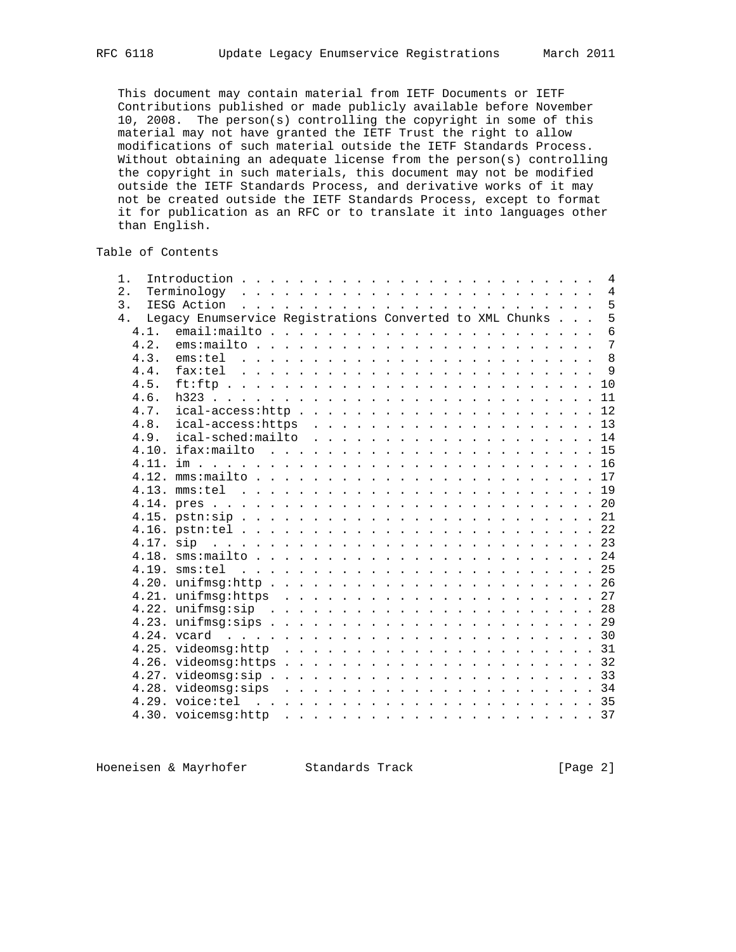This document may contain material from IETF Documents or IETF Contributions published or made publicly available before November 10, 2008. The person(s) controlling the copyright in some of this material may not have granted the IETF Trust the right to allow modifications of such material outside the IETF Standards Process. Without obtaining an adequate license from the person(s) controlling the copyright in such materials, this document may not be modified outside the IETF Standards Process, and derivative works of it may not be created outside the IETF Standards Process, except to format it for publication as an RFC or to translate it into languages other than English.

Table of Contents

| 1.            |      |                                                          |                                                                                                                                                                                                                               |  |  |  |  |  |  |  |  |  |  |  | 4              |
|---------------|------|----------------------------------------------------------|-------------------------------------------------------------------------------------------------------------------------------------------------------------------------------------------------------------------------------|--|--|--|--|--|--|--|--|--|--|--|----------------|
| 2.            |      |                                                          |                                                                                                                                                                                                                               |  |  |  |  |  |  |  |  |  |  |  | $\overline{4}$ |
| $\mathcal{E}$ |      | IESG Action                                              | . The contract of the contract of the contract of the contract of the contract of the contract of the contract of the contract of the contract of the contract of the contract of the contract of the contract of the contrac |  |  |  |  |  |  |  |  |  |  |  | 5              |
| $4$ .         |      | Legacy Enumservice Registrations Converted to XML Chunks |                                                                                                                                                                                                                               |  |  |  |  |  |  |  |  |  |  |  | 5              |
|               | 4.1. |                                                          |                                                                                                                                                                                                                               |  |  |  |  |  |  |  |  |  |  |  | $\overline{6}$ |
|               | 4.2. | $ems: mailto$                                            |                                                                                                                                                                                                                               |  |  |  |  |  |  |  |  |  |  |  | $\overline{7}$ |
|               | 4.3. |                                                          |                                                                                                                                                                                                                               |  |  |  |  |  |  |  |  |  |  |  |                |
|               | 4.4. | fax:tel                                                  |                                                                                                                                                                                                                               |  |  |  |  |  |  |  |  |  |  |  |                |
|               | 4.5. |                                                          |                                                                                                                                                                                                                               |  |  |  |  |  |  |  |  |  |  |  |                |
|               | 4.6. |                                                          |                                                                                                                                                                                                                               |  |  |  |  |  |  |  |  |  |  |  |                |
|               | 4.7. |                                                          |                                                                                                                                                                                                                               |  |  |  |  |  |  |  |  |  |  |  |                |
|               | 4.8. | $ical-access: https 13$                                  |                                                                                                                                                                                                                               |  |  |  |  |  |  |  |  |  |  |  |                |
|               | 4.9. | ical-sched:mailto 14                                     |                                                                                                                                                                                                                               |  |  |  |  |  |  |  |  |  |  |  |                |
|               |      |                                                          |                                                                                                                                                                                                                               |  |  |  |  |  |  |  |  |  |  |  |                |
|               |      |                                                          |                                                                                                                                                                                                                               |  |  |  |  |  |  |  |  |  |  |  |                |
|               |      |                                                          |                                                                                                                                                                                                                               |  |  |  |  |  |  |  |  |  |  |  |                |
|               |      |                                                          |                                                                                                                                                                                                                               |  |  |  |  |  |  |  |  |  |  |  |                |
|               |      |                                                          |                                                                                                                                                                                                                               |  |  |  |  |  |  |  |  |  |  |  |                |
|               |      |                                                          |                                                                                                                                                                                                                               |  |  |  |  |  |  |  |  |  |  |  |                |
|               |      |                                                          |                                                                                                                                                                                                                               |  |  |  |  |  |  |  |  |  |  |  |                |
|               |      |                                                          |                                                                                                                                                                                                                               |  |  |  |  |  |  |  |  |  |  |  |                |
|               |      |                                                          |                                                                                                                                                                                                                               |  |  |  |  |  |  |  |  |  |  |  |                |
|               |      |                                                          |                                                                                                                                                                                                                               |  |  |  |  |  |  |  |  |  |  |  |                |
|               |      |                                                          |                                                                                                                                                                                                                               |  |  |  |  |  |  |  |  |  |  |  |                |
|               |      |                                                          |                                                                                                                                                                                                                               |  |  |  |  |  |  |  |  |  |  |  |                |
|               |      |                                                          |                                                                                                                                                                                                                               |  |  |  |  |  |  |  |  |  |  |  |                |
|               |      |                                                          |                                                                                                                                                                                                                               |  |  |  |  |  |  |  |  |  |  |  |                |
|               |      |                                                          |                                                                                                                                                                                                                               |  |  |  |  |  |  |  |  |  |  |  |                |
|               |      |                                                          |                                                                                                                                                                                                                               |  |  |  |  |  |  |  |  |  |  |  |                |
|               |      |                                                          |                                                                                                                                                                                                                               |  |  |  |  |  |  |  |  |  |  |  |                |
|               |      |                                                          |                                                                                                                                                                                                                               |  |  |  |  |  |  |  |  |  |  |  |                |
|               |      |                                                          |                                                                                                                                                                                                                               |  |  |  |  |  |  |  |  |  |  |  |                |
|               |      |                                                          |                                                                                                                                                                                                                               |  |  |  |  |  |  |  |  |  |  |  |                |
|               |      |                                                          |                                                                                                                                                                                                                               |  |  |  |  |  |  |  |  |  |  |  |                |
|               |      |                                                          |                                                                                                                                                                                                                               |  |  |  |  |  |  |  |  |  |  |  |                |

Hoeneisen & Mayrhofer Standards Track Track [Page 2]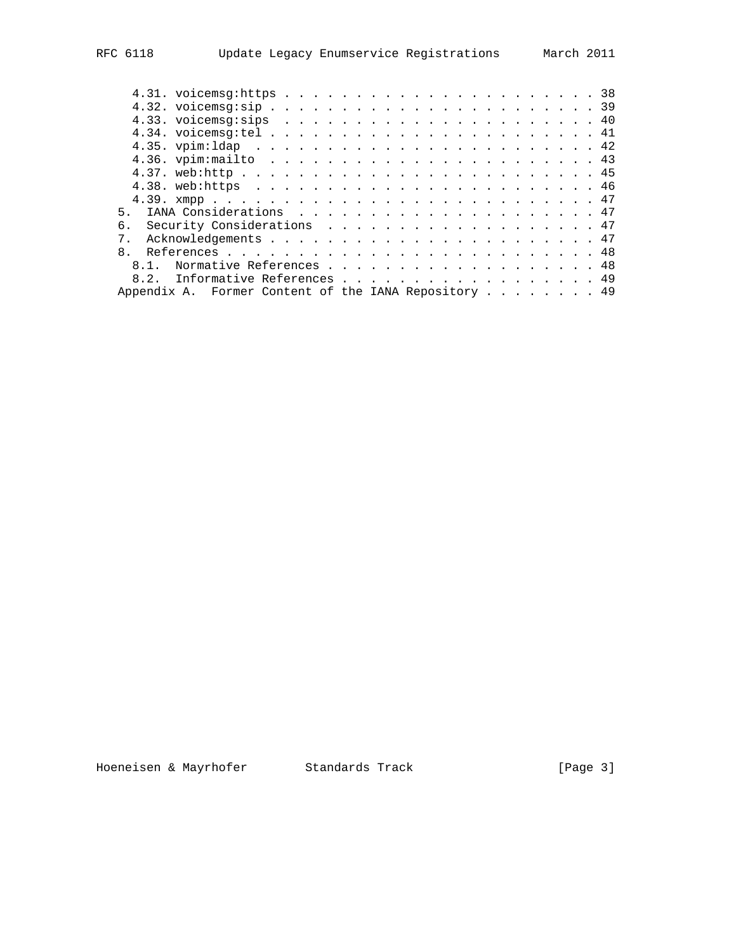| 5 <sub>1</sub>                                       |  |  |  |  |  |
|------------------------------------------------------|--|--|--|--|--|
| რ.<br>Security Considerations 47                     |  |  |  |  |  |
|                                                      |  |  |  |  |  |
| $\mathsf{R}$                                         |  |  |  |  |  |
| 8.1. Normative References 48                         |  |  |  |  |  |
| 8.2. Informative References 49                       |  |  |  |  |  |
| Appendix A. Former Content of the IANA Repository 49 |  |  |  |  |  |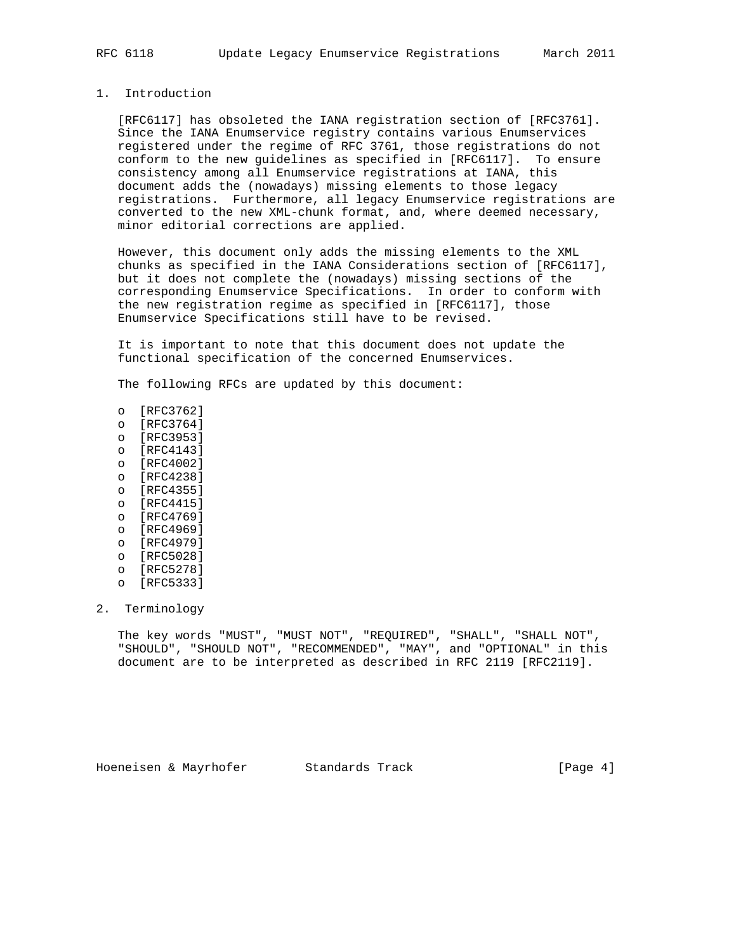### 1. Introduction

 [RFC6117] has obsoleted the IANA registration section of [RFC3761]. Since the IANA Enumservice registry contains various Enumservices registered under the regime of RFC 3761, those registrations do not conform to the new guidelines as specified in [RFC6117]. To ensure consistency among all Enumservice registrations at IANA, this document adds the (nowadays) missing elements to those legacy registrations. Furthermore, all legacy Enumservice registrations are converted to the new XML-chunk format, and, where deemed necessary, minor editorial corrections are applied.

 However, this document only adds the missing elements to the XML chunks as specified in the IANA Considerations section of [RFC6117], but it does not complete the (nowadays) missing sections of the corresponding Enumservice Specifications. In order to conform with the new registration regime as specified in [RFC6117], those Enumservice Specifications still have to be revised.

 It is important to note that this document does not update the functional specification of the concerned Enumservices.

The following RFCs are updated by this document:

- o [RFC3762]
- o [RFC3764]
- o [RFC3953]
- o [RFC4143]
- o [RFC4002]
- o [RFC4238]
- o [RFC4355]
- o [RFC4415]
- o [RFC4769]
- o [RFC4969]
- o [RFC4979]
- o [RFC5028]
- o [RFC5278]
- o [RFC5333]
- 2. Terminology

 The key words "MUST", "MUST NOT", "REQUIRED", "SHALL", "SHALL NOT", "SHOULD", "SHOULD NOT", "RECOMMENDED", "MAY", and "OPTIONAL" in this document are to be interpreted as described in RFC 2119 [RFC2119].

Hoeneisen & Mayrhofer Standards Track Track [Page 4]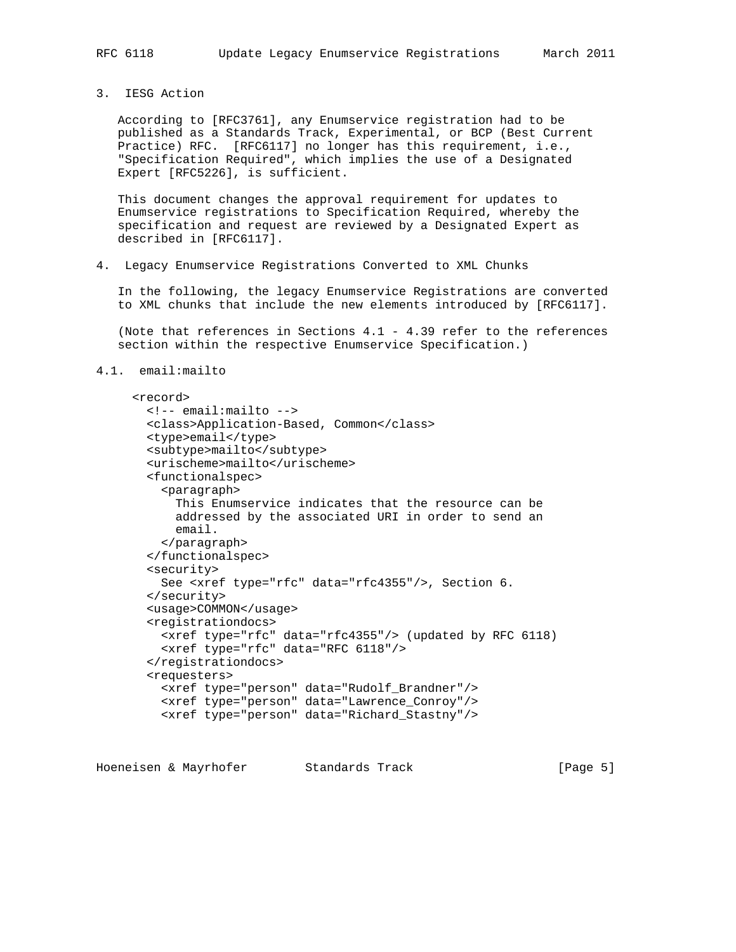3. IESG Action

 According to [RFC3761], any Enumservice registration had to be published as a Standards Track, Experimental, or BCP (Best Current Practice) RFC. [RFC6117] no longer has this requirement, i.e., "Specification Required", which implies the use of a Designated Expert [RFC5226], is sufficient.

 This document changes the approval requirement for updates to Enumservice registrations to Specification Required, whereby the specification and request are reviewed by a Designated Expert as described in [RFC6117].

4. Legacy Enumservice Registrations Converted to XML Chunks

 In the following, the legacy Enumservice Registrations are converted to XML chunks that include the new elements introduced by [RFC6117].

 (Note that references in Sections 4.1 - 4.39 refer to the references section within the respective Enumservice Specification.)

```
4.1. email:mailto
```

```
 <record>
  <!-- email:mailto -->
   <class>Application-Based, Common</class>
   <type>email</type>
  <subtype>mailto</subtype>
  <urischeme>mailto</urischeme>
   <functionalspec>
     <paragraph>
       This Enumservice indicates that the resource can be
       addressed by the associated URI in order to send an
       email.
     </paragraph>
   </functionalspec>
   <security>
     See <xref type="rfc" data="rfc4355"/>, Section 6.
   </security>
   <usage>COMMON</usage>
   <registrationdocs>
     <xref type="rfc" data="rfc4355"/> (updated by RFC 6118)
     <xref type="rfc" data="RFC 6118"/>
   </registrationdocs>
   <requesters>
     <xref type="person" data="Rudolf_Brandner"/>
     <xref type="person" data="Lawrence_Conroy"/>
     <xref type="person" data="Richard_Stastny"/>
```
Hoeneisen & Mayrhofer Standards Track [Page 5]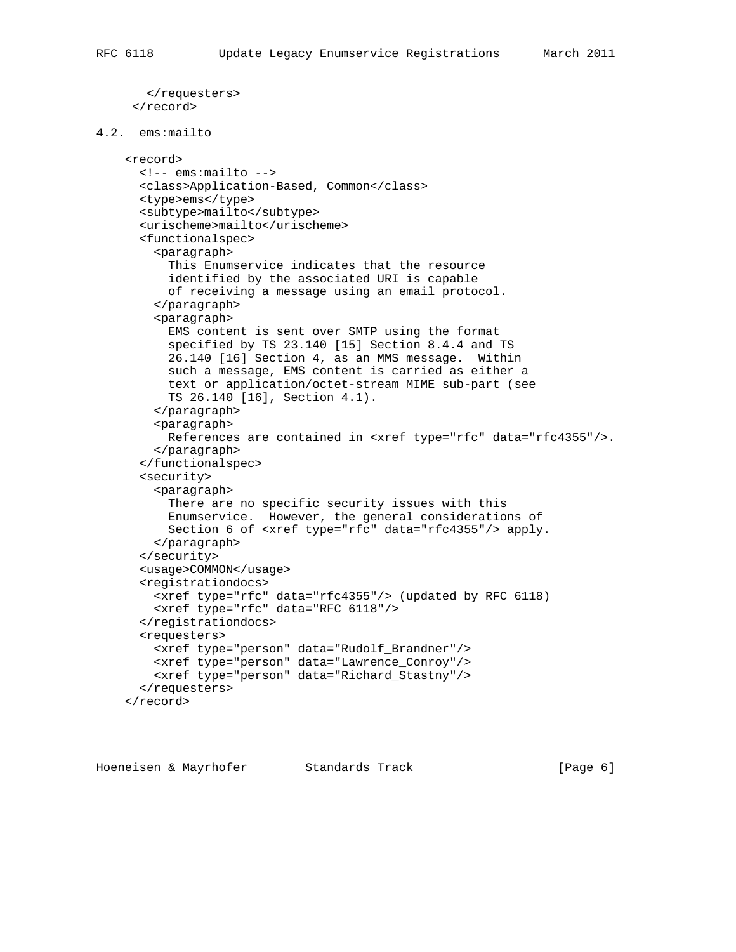```
 </requesters>
      </record>
4.2. ems:mailto
     <record>
       <!-- ems:mailto -->
       <class>Application-Based, Common</class>
       <type>ems</type>
       <subtype>mailto</subtype>
       <urischeme>mailto</urischeme>
       <functionalspec>
         <paragraph>
           This Enumservice indicates that the resource
           identified by the associated URI is capable
           of receiving a message using an email protocol.
         </paragraph>
         <paragraph>
           EMS content is sent over SMTP using the format
           specified by TS 23.140 [15] Section 8.4.4 and TS
           26.140 [16] Section 4, as an MMS message. Within
           such a message, EMS content is carried as either a
           text or application/octet-stream MIME sub-part (see
           TS 26.140 [16], Section 4.1).
         </paragraph>
         <paragraph>
           References are contained in <xref type="rfc" data="rfc4355"/>.
         </paragraph>
       </functionalspec>
       <security>
         <paragraph>
           There are no specific security issues with this
           Enumservice. However, the general considerations of
           Section 6 of <xref type="rfc" data="rfc4355"/> apply.
         </paragraph>
       </security>
       <usage>COMMON</usage>
       <registrationdocs>
         <xref type="rfc" data="rfc4355"/> (updated by RFC 6118)
         <xref type="rfc" data="RFC 6118"/>
       </registrationdocs>
       <requesters>
         <xref type="person" data="Rudolf_Brandner"/>
         <xref type="person" data="Lawrence_Conroy"/>
         <xref type="person" data="Richard_Stastny"/>
       </requesters>
     </record>
```
Hoeneisen & Mayrhofer Standards Track [Page 6]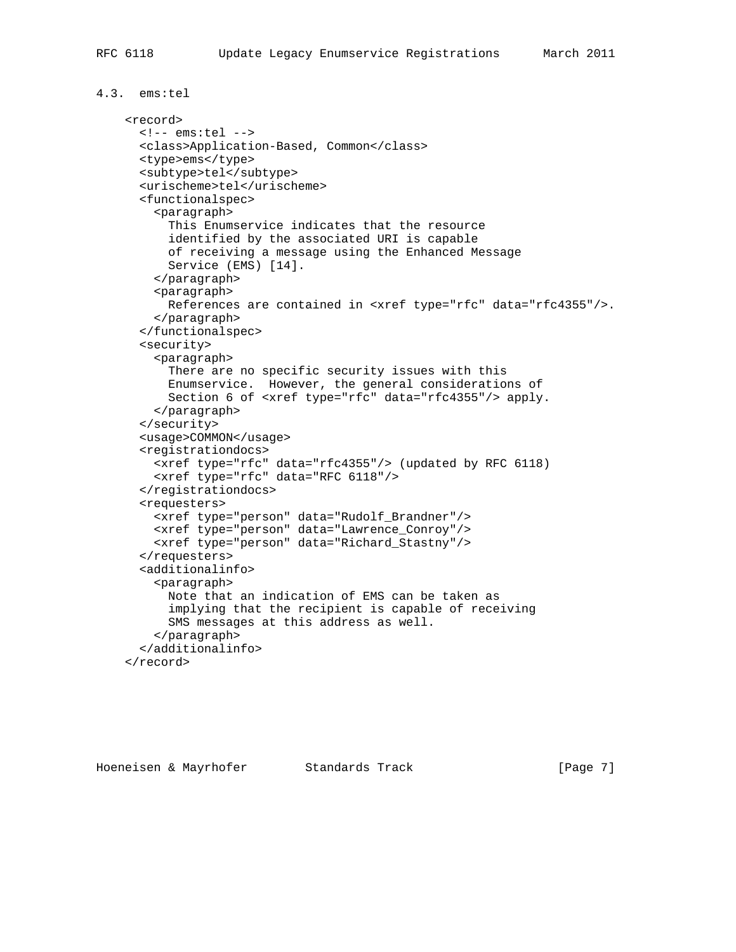```
4.3. ems:tel
     <record>
       <!-- ems:tel -->
       <class>Application-Based, Common</class>
       <type>ems</type>
       <subtype>tel</subtype>
       <urischeme>tel</urischeme>
       <functionalspec>
         <paragraph>
           This Enumservice indicates that the resource
           identified by the associated URI is capable
           of receiving a message using the Enhanced Message
           Service (EMS) [14].
         </paragraph>
         <paragraph>
           References are contained in <xref type="rfc" data="rfc4355"/>.
         </paragraph>
       </functionalspec>
       <security>
         <paragraph>
           There are no specific security issues with this
           Enumservice. However, the general considerations of
           Section 6 of <xref type="rfc" data="rfc4355"/> apply.
         </paragraph>
       </security>
       <usage>COMMON</usage>
       <registrationdocs>
         <xref type="rfc" data="rfc4355"/> (updated by RFC 6118)
         <xref type="rfc" data="RFC 6118"/>
       </registrationdocs>
       <requesters>
         <xref type="person" data="Rudolf_Brandner"/>
         <xref type="person" data="Lawrence_Conroy"/>
         <xref type="person" data="Richard_Stastny"/>
       </requesters>
       <additionalinfo>
         <paragraph>
           Note that an indication of EMS can be taken as
           implying that the recipient is capable of receiving
           SMS messages at this address as well.
         </paragraph>
       </additionalinfo>
     </record>
```
Hoeneisen & Mayrhofer Standards Track [Page 7]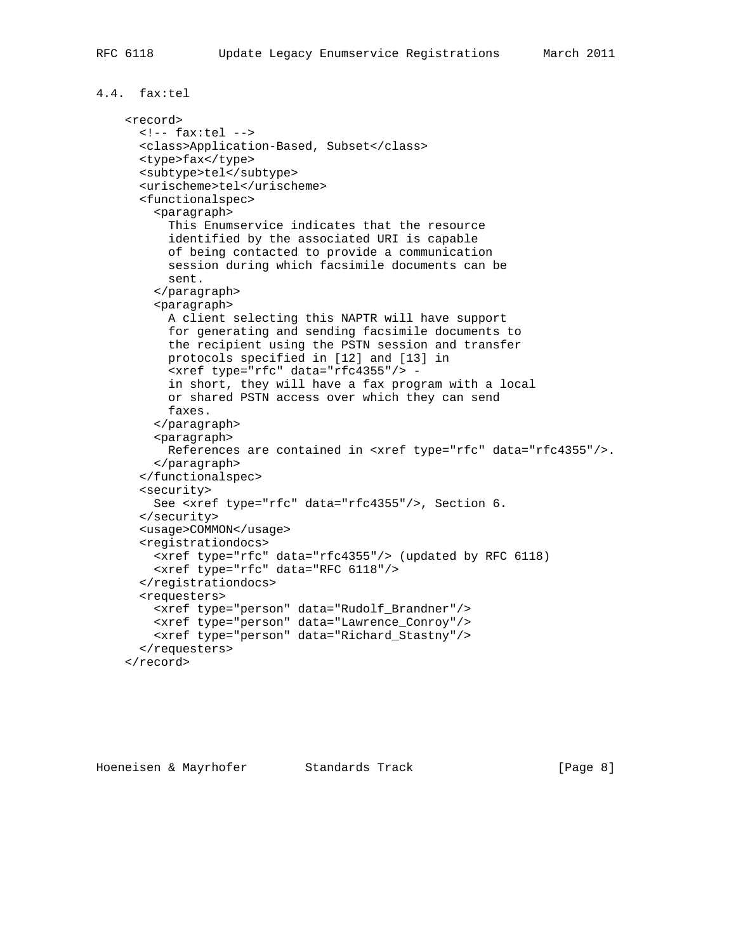```
4.4. fax:tel
     <record>
       <!-- fax:tel -->
       <class>Application-Based, Subset</class>
       <type>fax</type>
       <subtype>tel</subtype>
       <urischeme>tel</urischeme>
       <functionalspec>
         <paragraph>
           This Enumservice indicates that the resource
           identified by the associated URI is capable
           of being contacted to provide a communication
           session during which facsimile documents can be
           sent.
         </paragraph>
         <paragraph>
           A client selecting this NAPTR will have support
           for generating and sending facsimile documents to
           the recipient using the PSTN session and transfer
           protocols specified in [12] and [13] in
           <xref type="rfc" data="rfc4355"/> -
           in short, they will have a fax program with a local
           or shared PSTN access over which they can send
           faxes.
         </paragraph>
         <paragraph>
           References are contained in <xref type="rfc" data="rfc4355"/>.
         </paragraph>
       </functionalspec>
       <security>
         See <xref type="rfc" data="rfc4355"/>, Section 6.
       </security>
       <usage>COMMON</usage>
       <registrationdocs>
         <xref type="rfc" data="rfc4355"/> (updated by RFC 6118)
```
<xref type="rfc" data="RFC 6118"/>

 <xref type="person" data="Rudolf\_Brandner"/> <xref type="person" data="Lawrence\_Conroy"/> <xref type="person" data="Richard\_Stastny"/>

</registrationdocs>

<requesters>

</requesters>

</record>

```
Hoeneisen & Mayrhofer Standards Track Track [Page 8]
```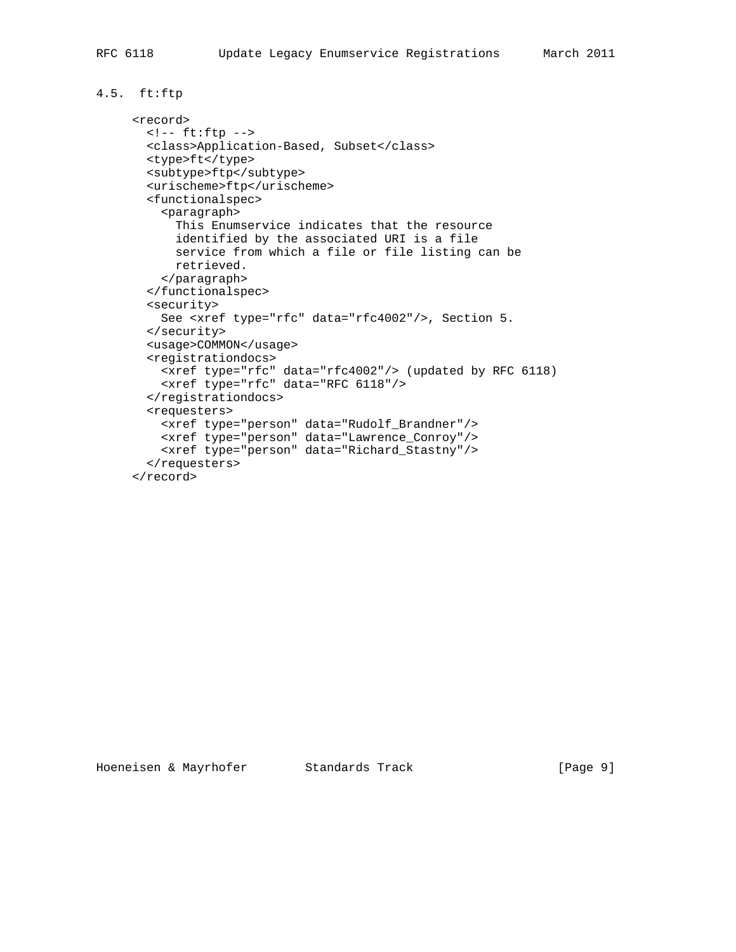## 4.5. ft:ftp

```
 <record>
       <!-- ft:ftp -->
       <class>Application-Based, Subset</class>
       <type>ft</type>
       <subtype>ftp</subtype>
       <urischeme>ftp</urischeme>
       <functionalspec>
         <paragraph>
           This Enumservice indicates that the resource
            identified by the associated URI is a file
           service from which a file or file listing can be
           retrieved.
         </paragraph>
        </functionalspec>
        <security>
         See <xref type="rfc" data="rfc4002"/>, Section 5.
       </security>
       <usage>COMMON</usage>
        <registrationdocs>
         <xref type="rfc" data="rfc4002"/> (updated by RFC 6118)
         <xref type="rfc" data="RFC 6118"/>
        </registrationdocs>
        <requesters>
 <xref type="person" data="Rudolf_Brandner"/>
 <xref type="person" data="Lawrence_Conroy"/>
         <xref type="person" data="Richard_Stastny"/>
        </requesters>
      </record>
```
Hoeneisen & Mayrhofer Standards Track Track [Page 9]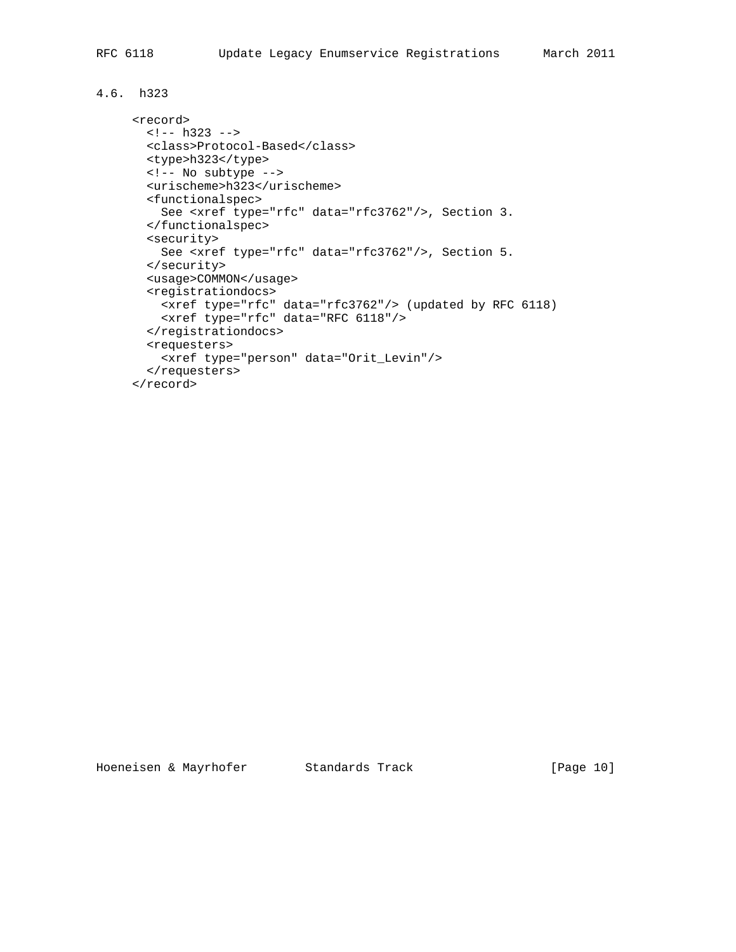## 4.6. h323

```
 <record>
 \leftarrow! -- h323 -->
  <class>Protocol-Based</class>
  <type>h323</type>
  <!-- No subtype -->
  <urischeme>h323</urischeme>
  <functionalspec>
    See <xref type="rfc" data="rfc3762"/>, Section 3.
   </functionalspec>
   <security>
    See <xref type="rfc" data="rfc3762"/>, Section 5.
  </security>
   <usage>COMMON</usage>
   <registrationdocs>
    <xref type="rfc" data="rfc3762"/> (updated by RFC 6118)
    <xref type="rfc" data="RFC 6118"/>
  </registrationdocs>
   <requesters>
    <xref type="person" data="Orit_Levin"/>
   </requesters>
 </record>
```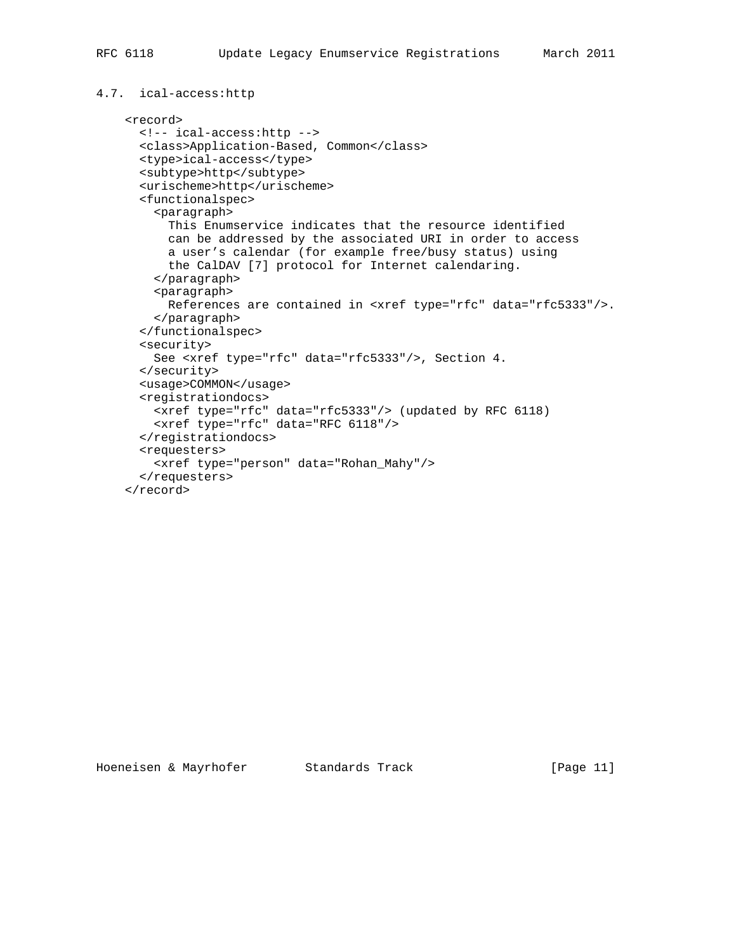```
4.7. ical-access:http
```

```
 <record>
  <!-- ical-access:http -->
   <class>Application-Based, Common</class>
  <type>ical-access</type>
  <subtype>http</subtype>
   <urischeme>http</urischeme>
   <functionalspec>
     <paragraph>
       This Enumservice indicates that the resource identified
       can be addressed by the associated URI in order to access
       a user's calendar (for example free/busy status) using
       the CalDAV [7] protocol for Internet calendaring.
    </paragraph>
    <paragraph>
      References are contained in <xref type="rfc" data="rfc5333"/>.
     </paragraph>
   </functionalspec>
   <security>
    See <xref type="rfc" data="rfc5333"/>, Section 4.
   </security>
   <usage>COMMON</usage>
   <registrationdocs>
    <xref type="rfc" data="rfc5333"/> (updated by RFC 6118)
     <xref type="rfc" data="RFC 6118"/>
   </registrationdocs>
   <requesters>
     <xref type="person" data="Rohan_Mahy"/>
   </requesters>
 </record>
```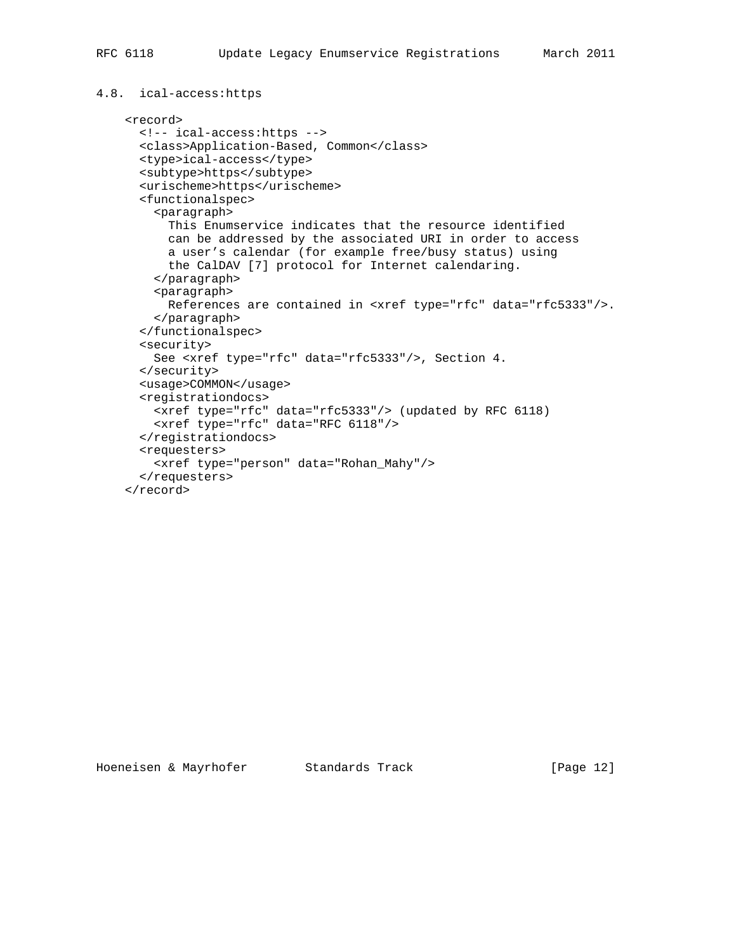#### 4.8. ical-access:https

```
 <record>
  <!-- ical-access:https -->
   <class>Application-Based, Common</class>
  <type>ical-access</type>
  <subtype>https</subtype>
   <urischeme>https</urischeme>
   <functionalspec>
     <paragraph>
       This Enumservice indicates that the resource identified
       can be addressed by the associated URI in order to access
       a user's calendar (for example free/busy status) using
       the CalDAV [7] protocol for Internet calendaring.
     </paragraph>
    <paragraph>
      References are contained in <xref type="rfc" data="rfc5333"/>.
     </paragraph>
   </functionalspec>
   <security>
    See <xref type="rfc" data="rfc5333"/>, Section 4.
   </security>
   <usage>COMMON</usage>
   <registrationdocs>
    <xref type="rfc" data="rfc5333"/> (updated by RFC 6118)
     <xref type="rfc" data="RFC 6118"/>
   </registrationdocs>
   <requesters>
     <xref type="person" data="Rohan_Mahy"/>
   </requesters>
 </record>
```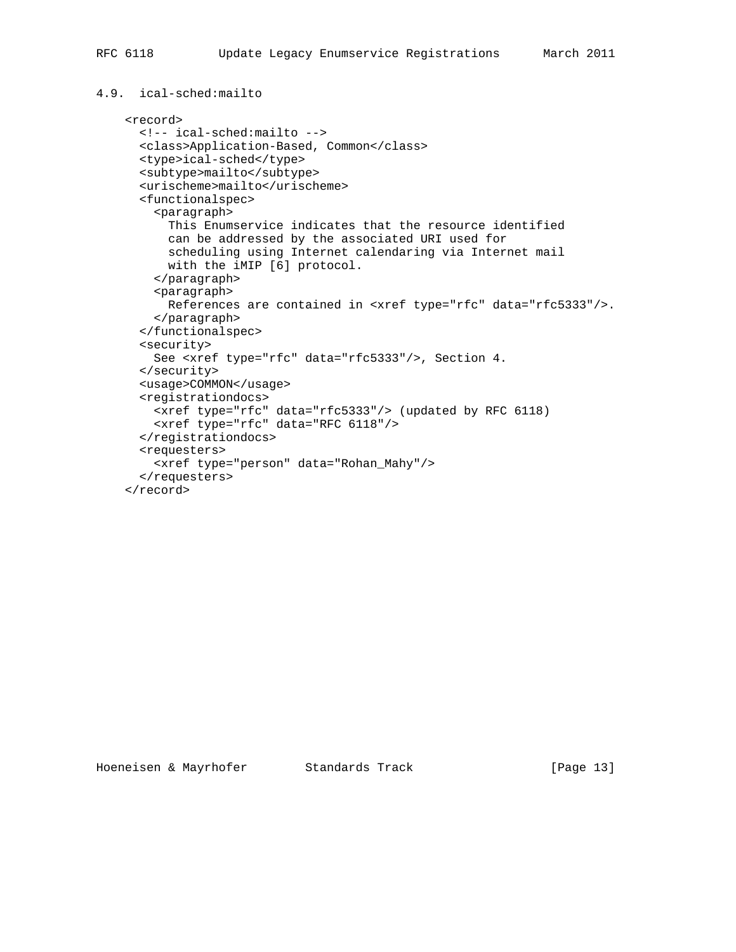```
4.9. ical-sched:mailto
     <record>
       <!-- ical-sched:mailto -->
       <class>Application-Based, Common</class>
       <type>ical-sched</type>
       <subtype>mailto</subtype>
       <urischeme>mailto</urischeme>
       <functionalspec>
         <paragraph>
           This Enumservice indicates that the resource identified
           can be addressed by the associated URI used for
           scheduling using Internet calendaring via Internet mail
           with the iMIP [6] protocol.
         </paragraph>
         <paragraph>
           References are contained in <xref type="rfc" data="rfc5333"/>.
         </paragraph>
       </functionalspec>
       <security>
         See <xref type="rfc" data="rfc5333"/>, Section 4.
       </security>
       <usage>COMMON</usage>
       <registrationdocs>
         <xref type="rfc" data="rfc5333"/> (updated by RFC 6118)
         <xref type="rfc" data="RFC 6118"/>
       </registrationdocs>
       <requesters>
         <xref type="person" data="Rohan_Mahy"/>
       </requesters>
     </record>
```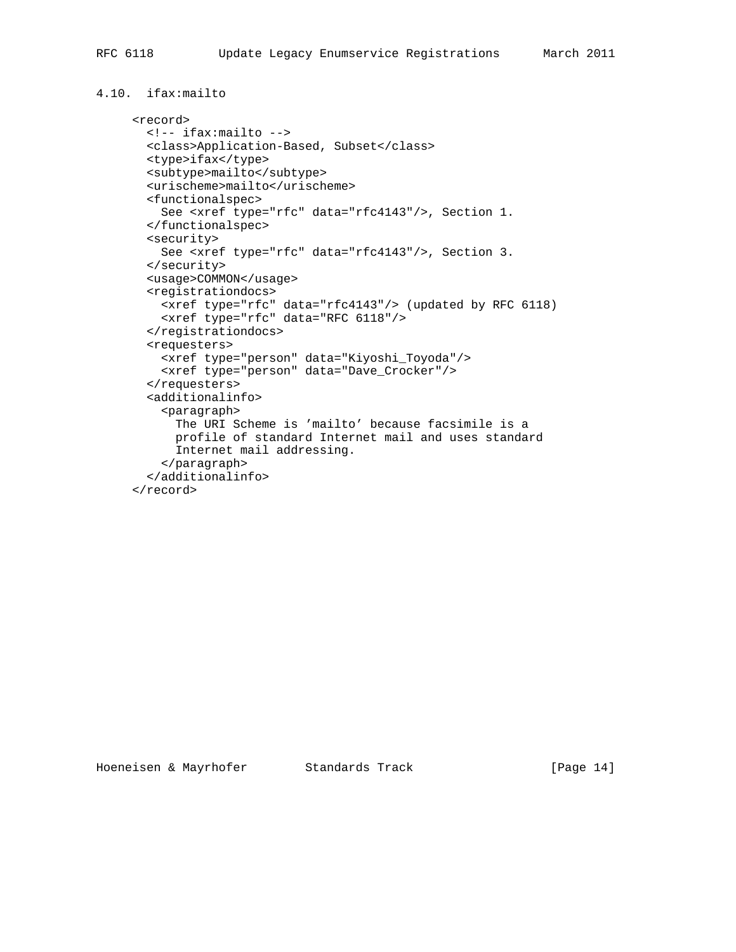```
4.10. ifax:mailto
```

```
 <record>
  <!-- ifax:mailto -->
  <class>Application-Based, Subset</class>
  <type>ifax</type>
  <subtype>mailto</subtype>
  <urischeme>mailto</urischeme>
   <functionalspec>
    See <xref type="rfc" data="rfc4143"/>, Section 1.
   </functionalspec>
   <security>
    See <xref type="rfc" data="rfc4143"/>, Section 3.
  </security>
   <usage>COMMON</usage>
   <registrationdocs>
    <xref type="rfc" data="rfc4143"/> (updated by RFC 6118)
    <xref type="rfc" data="RFC 6118"/>
   </registrationdocs>
   <requesters>
    <xref type="person" data="Kiyoshi_Toyoda"/>
    <xref type="person" data="Dave_Crocker"/>
   </requesters>
   <additionalinfo>
     <paragraph>
       The URI Scheme is 'mailto' because facsimile is a
       profile of standard Internet mail and uses standard
       Internet mail addressing.
     </paragraph>
   </additionalinfo>
 </record>
```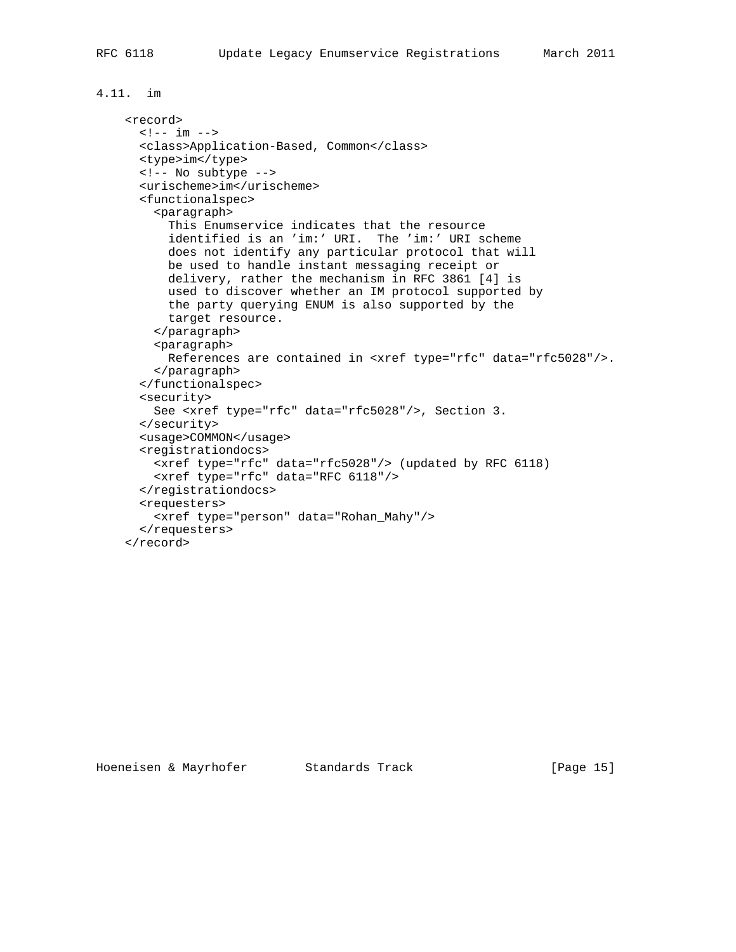```
4.11. im
```

```
 <record>
  \left\langle -1 - i m \right\rangle <class>Application-Based, Common</class>
   <type>im</type>
   <!-- No subtype -->
   <urischeme>im</urischeme>
   <functionalspec>
     <paragraph>
       This Enumservice indicates that the resource
       identified is an 'im:' URI. The 'im:' URI scheme
       does not identify any particular protocol that will
       be used to handle instant messaging receipt or
       delivery, rather the mechanism in RFC 3861 [4] is
       used to discover whether an IM protocol supported by
       the party querying ENUM is also supported by the
       target resource.
     </paragraph>
     <paragraph>
      References are contained in <xref type="rfc" data="rfc5028"/>.
     </paragraph>
   </functionalspec>
   <security>
     See <xref type="rfc" data="rfc5028"/>, Section 3.
   </security>
   <usage>COMMON</usage>
   <registrationdocs>
     <xref type="rfc" data="rfc5028"/> (updated by RFC 6118)
     <xref type="rfc" data="RFC 6118"/>
   </registrationdocs>
   <requesters>
     <xref type="person" data="Rohan_Mahy"/>
   </requesters>
 </record>
```
#### Hoeneisen & Mayrhofer Standards Track [Page 15]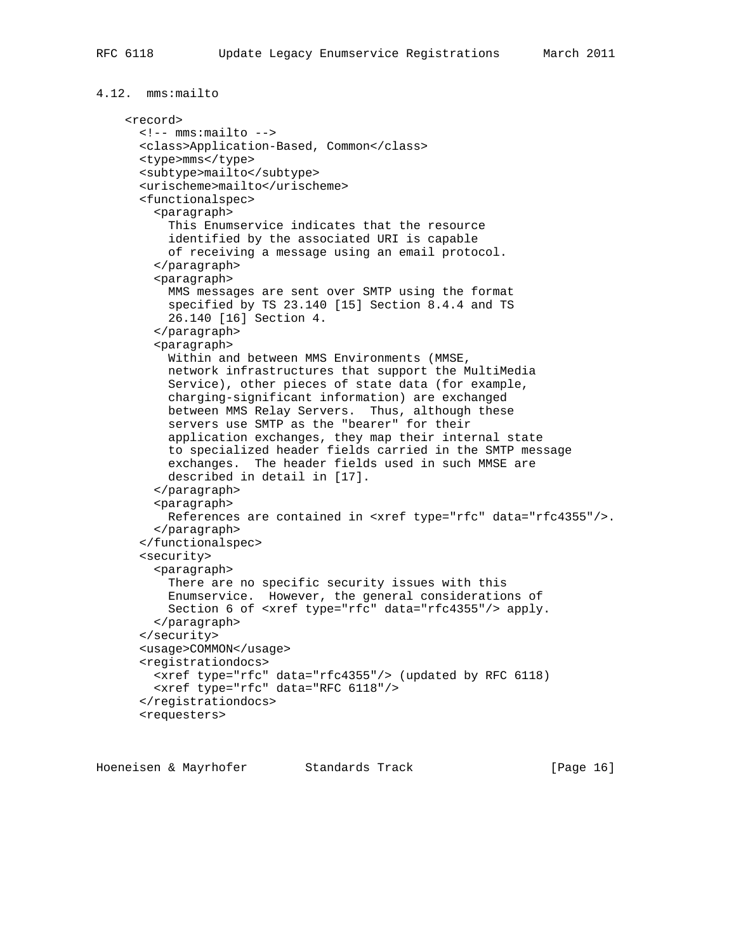```
4.12. mms:mailto
     <record>
       <!-- mms:mailto -->
       <class>Application-Based, Common</class>
       <type>mms</type>
       <subtype>mailto</subtype>
       <urischeme>mailto</urischeme>
       <functionalspec>
         <paragraph>
           This Enumservice indicates that the resource
           identified by the associated URI is capable
           of receiving a message using an email protocol.
         </paragraph>
         <paragraph>
           MMS messages are sent over SMTP using the format
           specified by TS 23.140 [15] Section 8.4.4 and TS
           26.140 [16] Section 4.
         </paragraph>
         <paragraph>
           Within and between MMS Environments (MMSE,
           network infrastructures that support the MultiMedia
           Service), other pieces of state data (for example,
           charging-significant information) are exchanged
           between MMS Relay Servers. Thus, although these
           servers use SMTP as the "bearer" for their
           application exchanges, they map their internal state
           to specialized header fields carried in the SMTP message
           exchanges. The header fields used in such MMSE are
           described in detail in [17].
         </paragraph>
         <paragraph>
           References are contained in <xref type="rfc" data="rfc4355"/>.
         </paragraph>
       </functionalspec>
       <security>
         <paragraph>
           There are no specific security issues with this
           Enumservice. However, the general considerations of
           Section 6 of <xref type="rfc" data="rfc4355"/> apply.
         </paragraph>
       </security>
       <usage>COMMON</usage>
       <registrationdocs>
         <xref type="rfc" data="rfc4355"/> (updated by RFC 6118)
         <xref type="rfc" data="RFC 6118"/>
       </registrationdocs>
       <requesters>
```
Hoeneisen & Mayrhofer Standards Track [Page 16]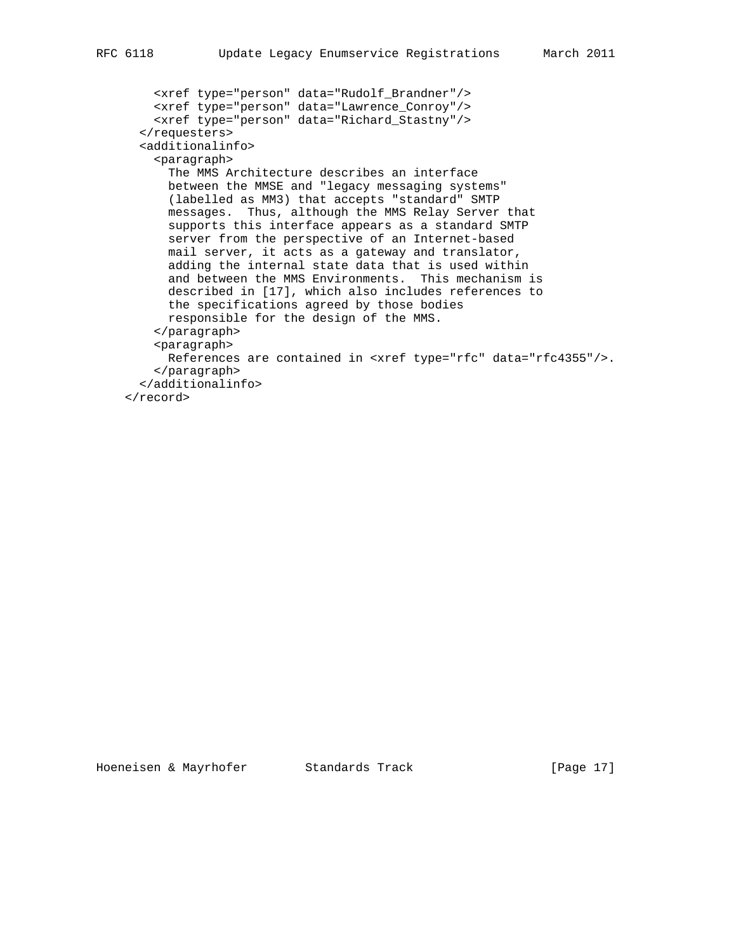```
 <xref type="person" data="Rudolf_Brandner"/>
 <xref type="person" data="Lawrence_Conroy"/>
 <xref type="person" data="Richard_Stastny"/>
       </requesters>
       <additionalinfo>
        <paragraph>
          The MMS Architecture describes an interface
          between the MMSE and "legacy messaging systems"
          (labelled as MM3) that accepts "standard" SMTP
          messages. Thus, although the MMS Relay Server that
          supports this interface appears as a standard SMTP
          server from the perspective of an Internet-based
          mail server, it acts as a gateway and translator,
          adding the internal state data that is used within
          and between the MMS Environments. This mechanism is
          described in [17], which also includes references to
          the specifications agreed by those bodies
          responsible for the design of the MMS.
        </paragraph>
        <paragraph>
          References are contained in <xref type="rfc" data="rfc4355"/>.
        </paragraph>
      </additionalinfo>
    </record>
```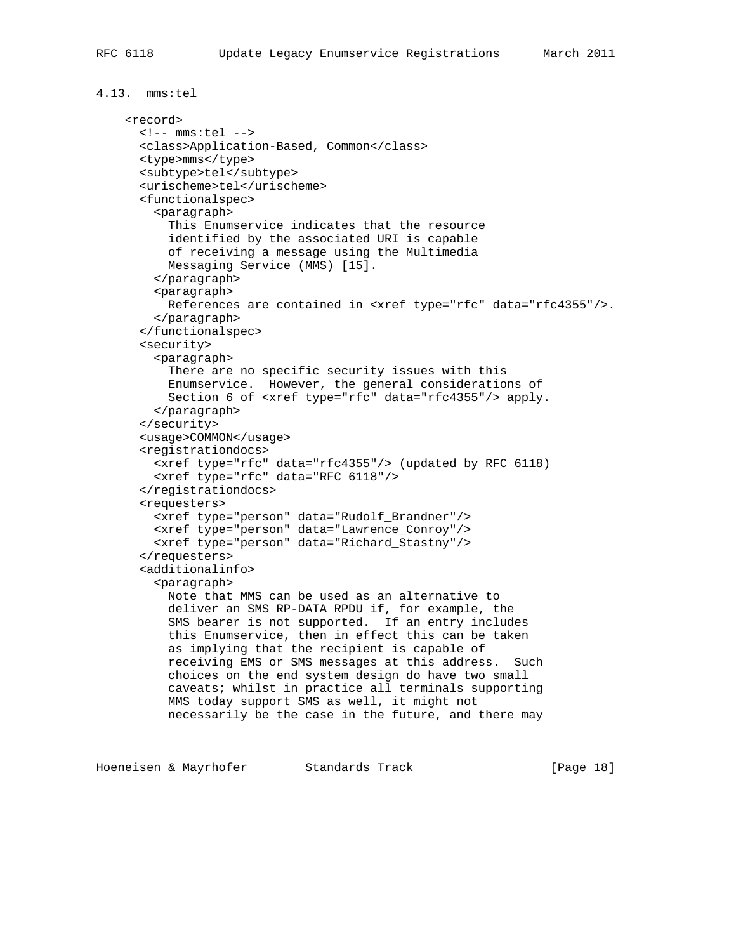```
4.13. mms:tel
     <record>
       <!-- mms:tel -->
       <class>Application-Based, Common</class>
       <type>mms</type>
       <subtype>tel</subtype>
       <urischeme>tel</urischeme>
       <functionalspec>
         <paragraph>
           This Enumservice indicates that the resource
           identified by the associated URI is capable
           of receiving a message using the Multimedia
           Messaging Service (MMS) [15].
         </paragraph>
         <paragraph>
           References are contained in <xref type="rfc" data="rfc4355"/>.
         </paragraph>
       </functionalspec>
       <security>
         <paragraph>
           There are no specific security issues with this
           Enumservice. However, the general considerations of
           Section 6 of <xref type="rfc" data="rfc4355"/> apply.
         </paragraph>
       </security>
       <usage>COMMON</usage>
       <registrationdocs>
         <xref type="rfc" data="rfc4355"/> (updated by RFC 6118)
         <xref type="rfc" data="RFC 6118"/>
       </registrationdocs>
       <requesters>
         <xref type="person" data="Rudolf_Brandner"/>
         <xref type="person" data="Lawrence_Conroy"/>
         <xref type="person" data="Richard_Stastny"/>
       </requesters>
       <additionalinfo>
         <paragraph>
           Note that MMS can be used as an alternative to
           deliver an SMS RP-DATA RPDU if, for example, the
           SMS bearer is not supported. If an entry includes
           this Enumservice, then in effect this can be taken
           as implying that the recipient is capable of
           receiving EMS or SMS messages at this address. Such
           choices on the end system design do have two small
           caveats; whilst in practice all terminals supporting
           MMS today support SMS as well, it might not
           necessarily be the case in the future, and there may
```
Hoeneisen & Mayrhofer Standards Track [Page 18]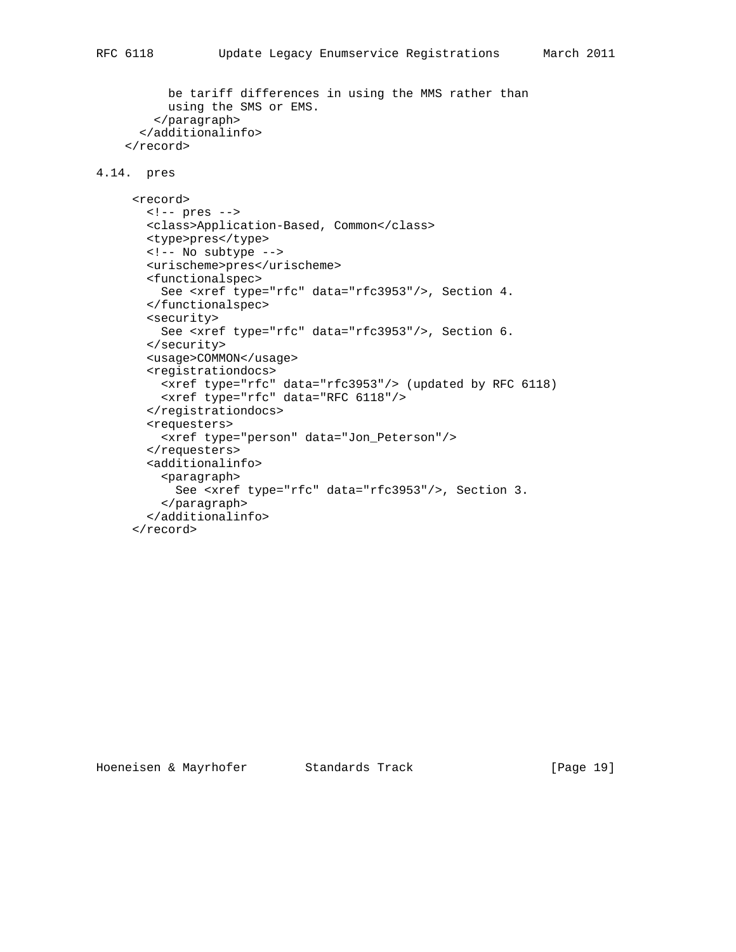```
 be tariff differences in using the MMS rather than
       using the SMS or EMS.
     </paragraph>
   </additionalinfo>
 </record>
```
## 4.14. pres

```
 <record>
  <!-- pres -->
  <class>Application-Based, Common</class>
  <type>pres</type>
  <!-- No subtype -->
  <urischeme>pres</urischeme>
  <functionalspec>
    See <xref type="rfc" data="rfc3953"/>, Section 4.
  </functionalspec>
  <security>
    See <xref type="rfc" data="rfc3953"/>, Section 6.
  </security>
  <usage>COMMON</usage>
  <registrationdocs>
    <xref type="rfc" data="rfc3953"/> (updated by RFC 6118)
    <xref type="rfc" data="RFC 6118"/>
   </registrationdocs>
   <requesters>
     <xref type="person" data="Jon_Peterson"/>
   </requesters>
  <additionalinfo>
     <paragraph>
      See <xref type="rfc" data="rfc3953"/>, Section 3.
     </paragraph>
   </additionalinfo>
 </record>
```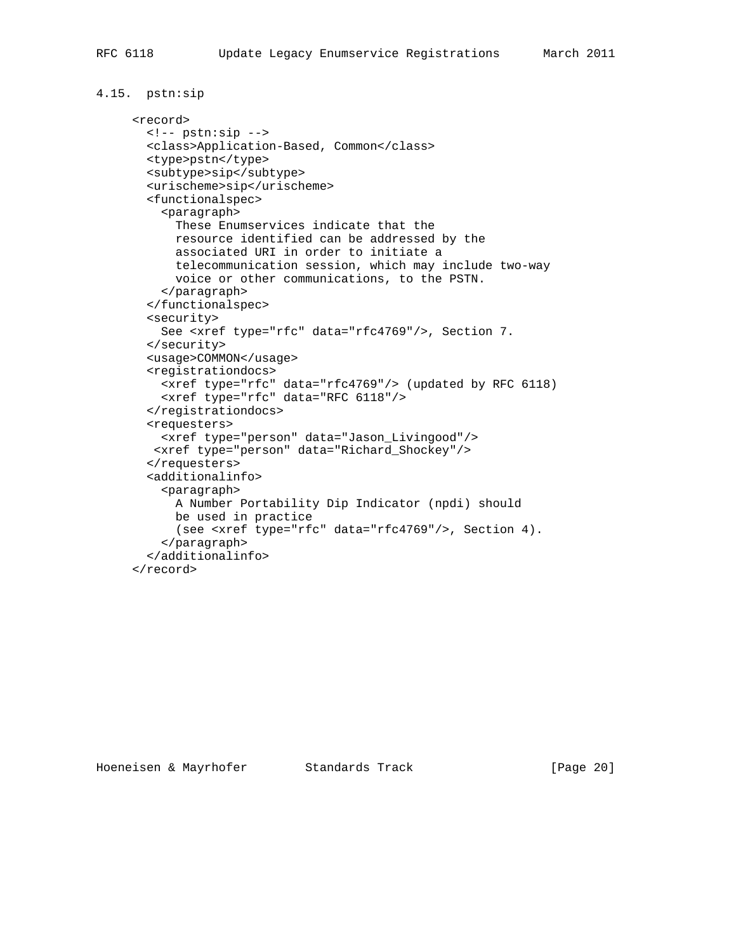```
4.15. pstn:sip
```

```
 <record>
  <!-- pstn:sip -->
  <class>Application-Based, Common</class>
  <type>pstn</type>
  <subtype>sip</subtype>
  <urischeme>sip</urischeme>
  <functionalspec>
    <paragraph>
      These Enumservices indicate that the
      resource identified can be addressed by the
      associated URI in order to initiate a
      telecommunication session, which may include two-way
      voice or other communications, to the PSTN.
    </paragraph>
  </functionalspec>
  <security>
    See <xref type="rfc" data="rfc4769"/>, Section 7.
  </security>
  <usage>COMMON</usage>
  <registrationdocs>
    <xref type="rfc" data="rfc4769"/> (updated by RFC 6118)
    <xref type="rfc" data="RFC 6118"/>
  </registrationdocs>
  <requesters>
    <xref type="person" data="Jason_Livingood"/>
   <xref type="person" data="Richard_Shockey"/>
  </requesters>
  <additionalinfo>
    <paragraph>
      A Number Portability Dip Indicator (npdi) should
      be used in practice
      (see <xref type="rfc" data="rfc4769"/>, Section 4).
    </paragraph>
  </additionalinfo>
 </record>
```
Hoeneisen & Mayrhofer Standards Track [Page 20]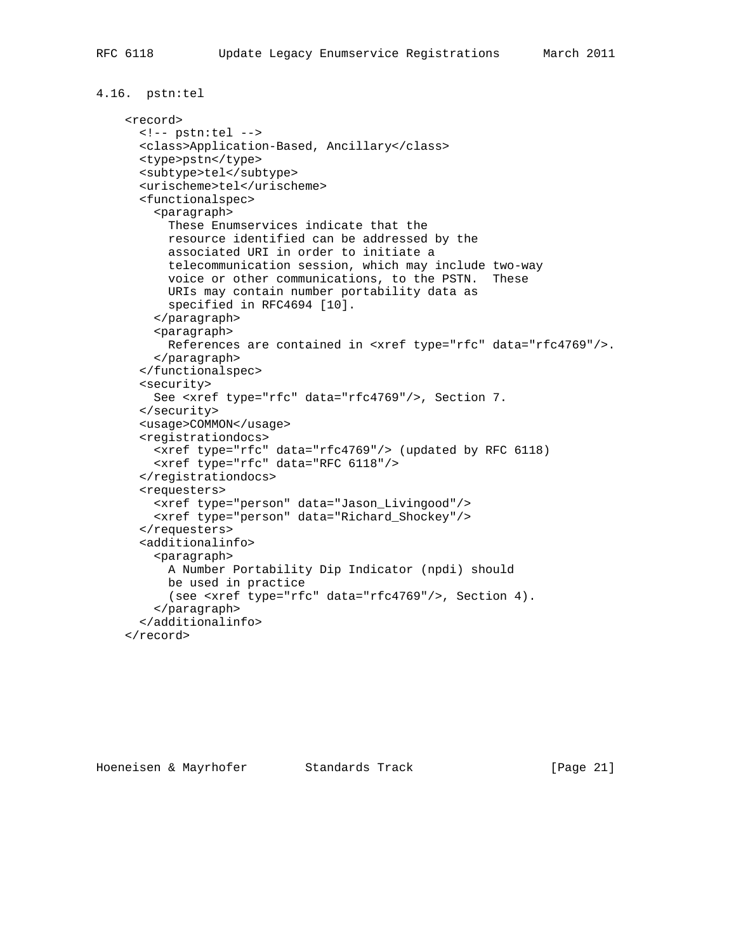```
4.16. pstn:tel
     <record>
       <!-- pstn:tel -->
       <class>Application-Based, Ancillary</class>
       <type>pstn</type>
       <subtype>tel</subtype>
       <urischeme>tel</urischeme>
       <functionalspec>
         <paragraph>
           These Enumservices indicate that the
           resource identified can be addressed by the
           associated URI in order to initiate a
           telecommunication session, which may include two-way
           voice or other communications, to the PSTN. These
           URIs may contain number portability data as
           specified in RFC4694 [10].
         </paragraph>
         <paragraph>
           References are contained in <xref type="rfc" data="rfc4769"/>.
         </paragraph>
       </functionalspec>
       <security>
         See <xref type="rfc" data="rfc4769"/>, Section 7.
       </security>
       <usage>COMMON</usage>
       <registrationdocs>
         <xref type="rfc" data="rfc4769"/> (updated by RFC 6118)
         <xref type="rfc" data="RFC 6118"/>
       </registrationdocs>
       <requesters>
         <xref type="person" data="Jason_Livingood"/>
         <xref type="person" data="Richard_Shockey"/>
       </requesters>
       <additionalinfo>
         <paragraph>
           A Number Portability Dip Indicator (npdi) should
           be used in practice
           (see <xref type="rfc" data="rfc4769"/>, Section 4).
         </paragraph>
       </additionalinfo>
     </record>
```
Hoeneisen & Mayrhofer Standards Track [Page 21]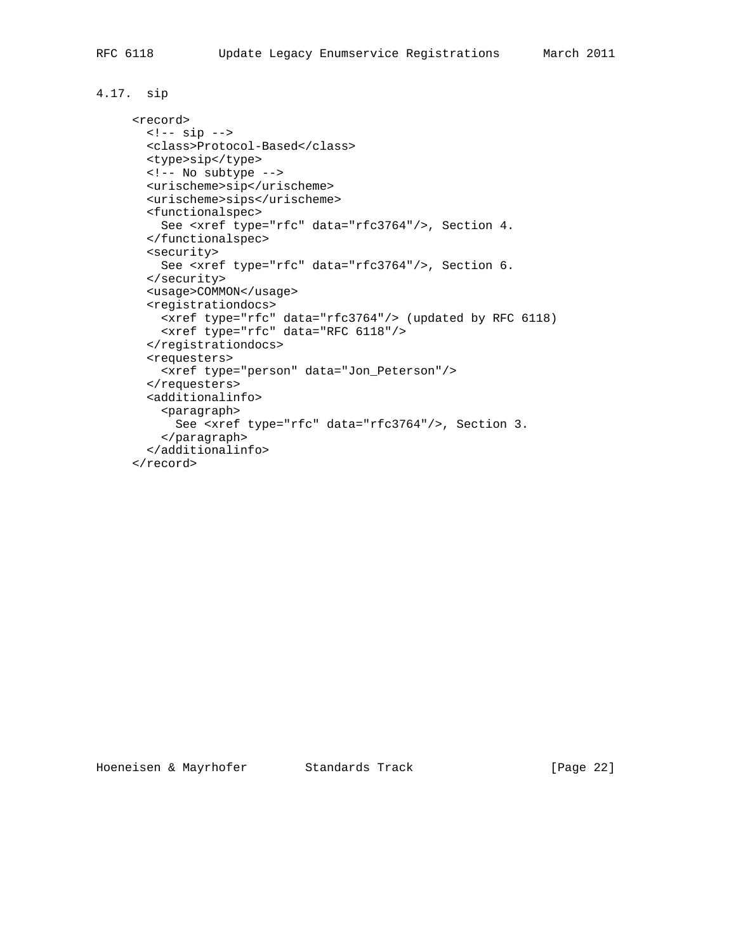## 4.17. sip

```
 <record>
 \leftarrow :-- sip -->
  <class>Protocol-Based</class>
  <type>sip</type>
  <!-- No subtype -->
  <urischeme>sip</urischeme>
  <urischeme>sips</urischeme>
  <functionalspec>
    See <xref type="rfc" data="rfc3764"/>, Section 4.
  </functionalspec>
   <security>
    See <xref type="rfc" data="rfc3764"/>, Section 6.
  </security>
   <usage>COMMON</usage>
   <registrationdocs>
    <xref type="rfc" data="rfc3764"/> (updated by RFC 6118)
    <xref type="rfc" data="RFC 6118"/>
   </registrationdocs>
   <requesters>
     <xref type="person" data="Jon_Peterson"/>
   </requesters>
   <additionalinfo>
    <paragraph>
      See <xref type="rfc" data="rfc3764"/>, Section 3.
     </paragraph>
   </additionalinfo>
 </record>
```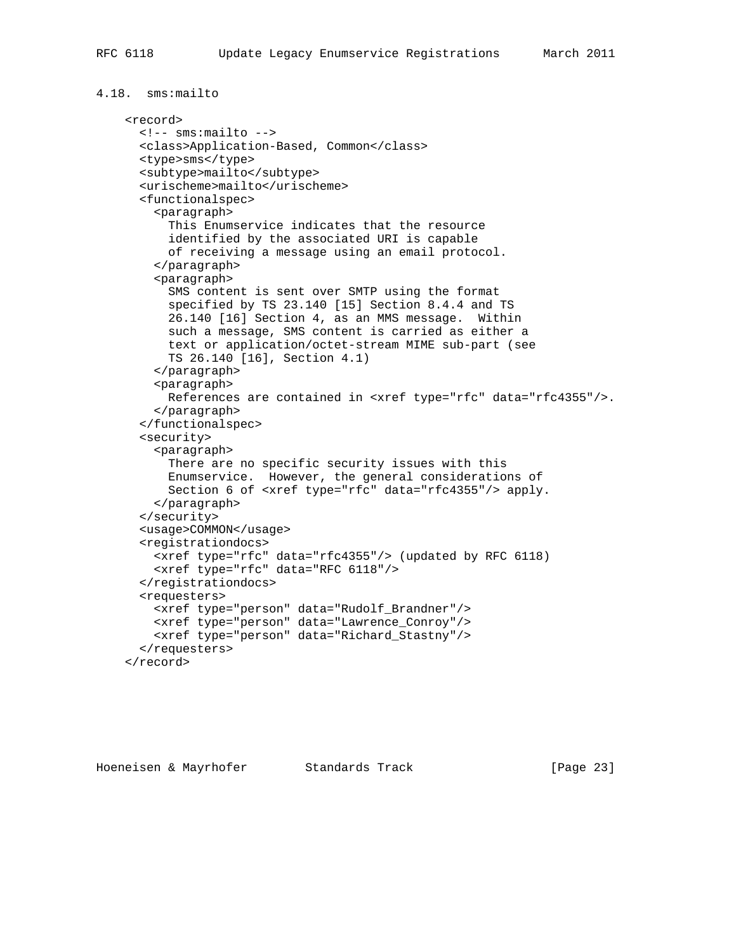```
4.18. sms:mailto
     <record>
       <!-- sms:mailto -->
       <class>Application-Based, Common</class>
       <type>sms</type>
       <subtype>mailto</subtype>
       <urischeme>mailto</urischeme>
       <functionalspec>
         <paragraph>
           This Enumservice indicates that the resource
           identified by the associated URI is capable
           of receiving a message using an email protocol.
         </paragraph>
         <paragraph>
           SMS content is sent over SMTP using the format
           specified by TS 23.140 [15] Section 8.4.4 and TS
           26.140 [16] Section 4, as an MMS message. Within
           such a message, SMS content is carried as either a
           text or application/octet-stream MIME sub-part (see
           TS 26.140 [16], Section 4.1)
         </paragraph>
         <paragraph>
           References are contained in <xref type="rfc" data="rfc4355"/>.
         </paragraph>
       </functionalspec>
       <security>
         <paragraph>
           There are no specific security issues with this
           Enumservice. However, the general considerations of
           Section 6 of <xref type="rfc" data="rfc4355"/> apply.
         </paragraph>
       </security>
       <usage>COMMON</usage>
       <registrationdocs>
         <xref type="rfc" data="rfc4355"/> (updated by RFC 6118)
         <xref type="rfc" data="RFC 6118"/>
       </registrationdocs>
       <requesters>
         <xref type="person" data="Rudolf_Brandner"/>
         <xref type="person" data="Lawrence_Conroy"/>
         <xref type="person" data="Richard_Stastny"/>
       </requesters>
     </record>
```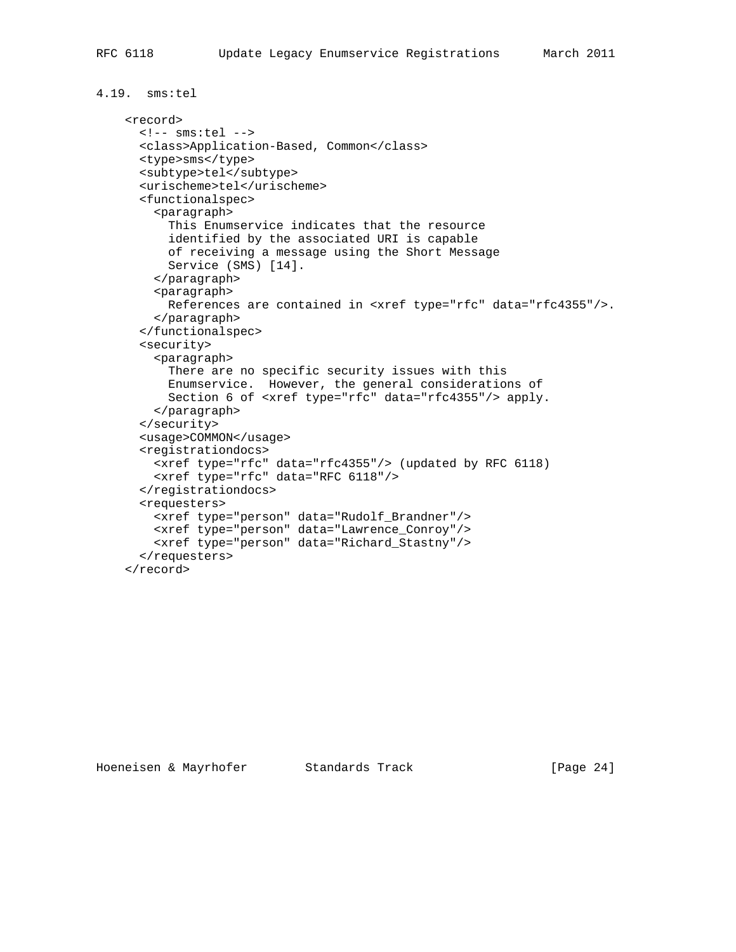```
4.19. sms:tel
     <record>
       <!-- sms:tel -->
       <class>Application-Based, Common</class>
       <type>sms</type>
       <subtype>tel</subtype>
       <urischeme>tel</urischeme>
       <functionalspec>
         <paragraph>
           This Enumservice indicates that the resource
           identified by the associated URI is capable
           of receiving a message using the Short Message
           Service (SMS) [14].
         </paragraph>
         <paragraph>
           References are contained in <xref type="rfc" data="rfc4355"/>.
         </paragraph>
       </functionalspec>
       <security>
         <paragraph>
           There are no specific security issues with this
           Enumservice. However, the general considerations of
           Section 6 of <xref type="rfc" data="rfc4355"/> apply.
         </paragraph>
       </security>
       <usage>COMMON</usage>
       <registrationdocs>
         <xref type="rfc" data="rfc4355"/> (updated by RFC 6118)
         <xref type="rfc" data="RFC 6118"/>
       </registrationdocs>
       <requesters>
         <xref type="person" data="Rudolf_Brandner"/>
         <xref type="person" data="Lawrence_Conroy"/>
         <xref type="person" data="Richard_Stastny"/>
       </requesters>
     </record>
```
Hoeneisen & Mayrhofer Standards Track [Page 24]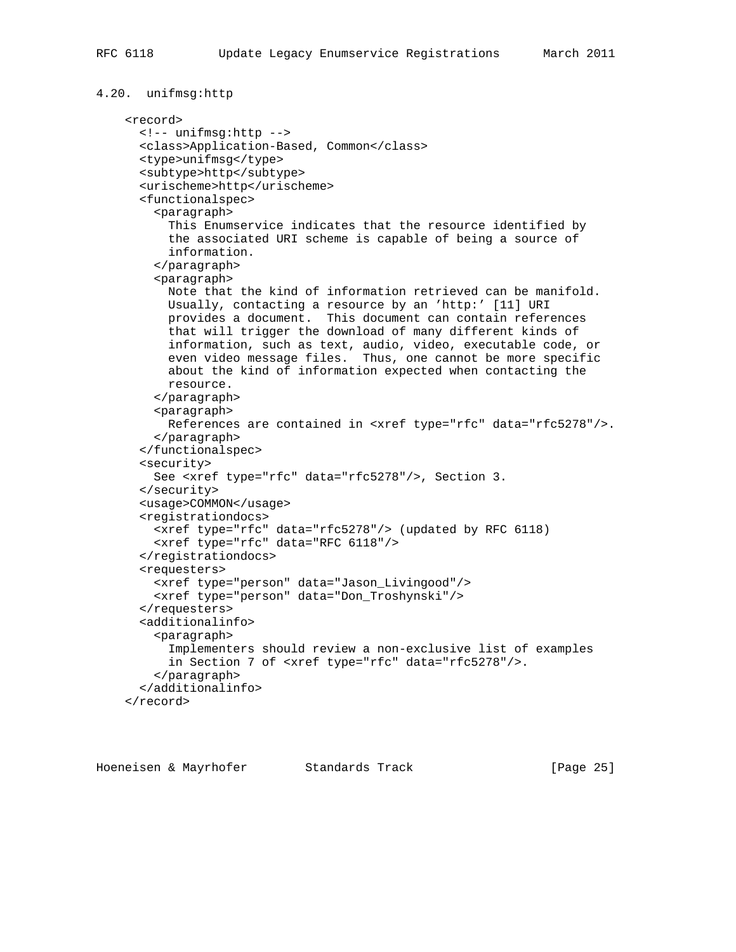```
4.20. unifmsg:http
     <record>
       <!-- unifmsg:http -->
       <class>Application-Based, Common</class>
       <type>unifmsg</type>
       <subtype>http</subtype>
       <urischeme>http</urischeme>
       <functionalspec>
         <paragraph>
           This Enumservice indicates that the resource identified by
           the associated URI scheme is capable of being a source of
           information.
         </paragraph>
         <paragraph>
           Note that the kind of information retrieved can be manifold.
           Usually, contacting a resource by an 'http:' [11] URI
           provides a document. This document can contain references
           that will trigger the download of many different kinds of
           information, such as text, audio, video, executable code, or
           even video message files. Thus, one cannot be more specific
           about the kind of information expected when contacting the
          resource.
         </paragraph>
         <paragraph>
           References are contained in <xref type="rfc" data="rfc5278"/>.
         </paragraph>
       </functionalspec>
       <security>
         See <xref type="rfc" data="rfc5278"/>, Section 3.
       </security>
       <usage>COMMON</usage>
       <registrationdocs>
         <xref type="rfc" data="rfc5278"/> (updated by RFC 6118)
         <xref type="rfc" data="RFC 6118"/>
       </registrationdocs>
       <requesters>
         <xref type="person" data="Jason_Livingood"/>
         <xref type="person" data="Don_Troshynski"/>
       </requesters>
       <additionalinfo>
         <paragraph>
           Implementers should review a non-exclusive list of examples
           in Section 7 of <xref type="rfc" data="rfc5278"/>.
         </paragraph>
       </additionalinfo>
     </record>
```
Hoeneisen & Mayrhofer Standards Track [Page 25]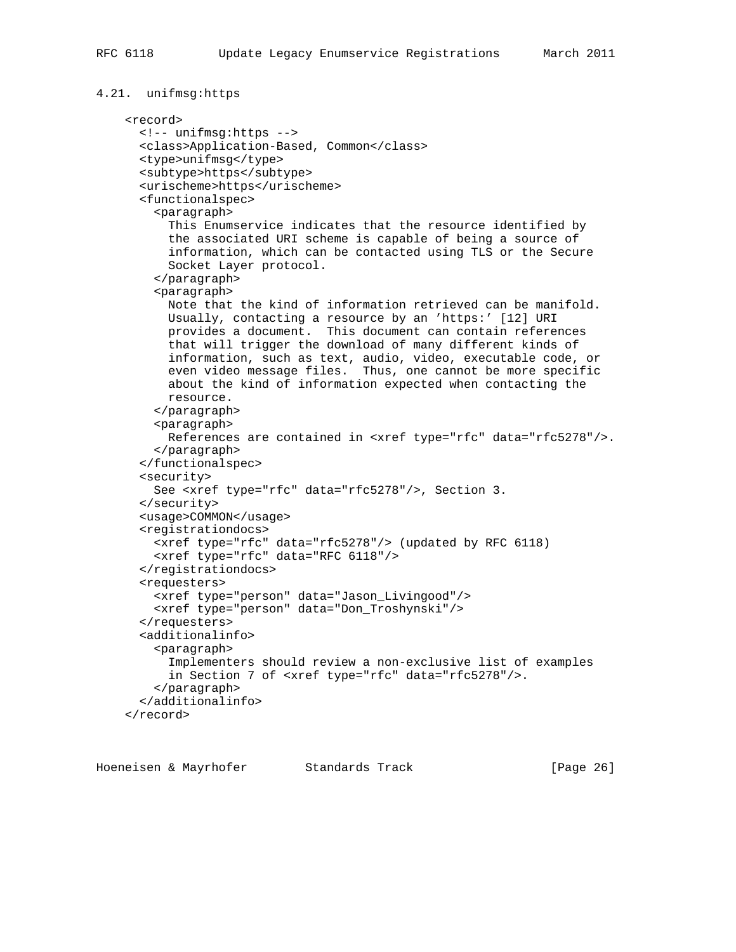```
4.21. unifmsg:https
     <record>
       <!-- unifmsg:https -->
       <class>Application-Based, Common</class>
       <type>unifmsg</type>
       <subtype>https</subtype>
       <urischeme>https</urischeme>
       <functionalspec>
         <paragraph>
           This Enumservice indicates that the resource identified by
           the associated URI scheme is capable of being a source of
           information, which can be contacted using TLS or the Secure
           Socket Layer protocol.
         </paragraph>
         <paragraph>
           Note that the kind of information retrieved can be manifold.
           Usually, contacting a resource by an 'https:' [12] URI
           provides a document. This document can contain references
           that will trigger the download of many different kinds of
           information, such as text, audio, video, executable code, or
           even video message files. Thus, one cannot be more specific
           about the kind of information expected when contacting the
           resource.
         </paragraph>
         <paragraph>
           References are contained in <xref type="rfc" data="rfc5278"/>.
         </paragraph>
       </functionalspec>
       <security>
         See <xref type="rfc" data="rfc5278"/>, Section 3.
       </security>
       <usage>COMMON</usage>
       <registrationdocs>
         <xref type="rfc" data="rfc5278"/> (updated by RFC 6118)
         <xref type="rfc" data="RFC 6118"/>
       </registrationdocs>
       <requesters>
         <xref type="person" data="Jason_Livingood"/>
         <xref type="person" data="Don_Troshynski"/>
       </requesters>
       <additionalinfo>
         <paragraph>
           Implementers should review a non-exclusive list of examples
           in Section 7 of <xref type="rfc" data="rfc5278"/>.
         </paragraph>
       </additionalinfo>
     </record>
```
Hoeneisen & Mayrhofer Standards Track [Page 26]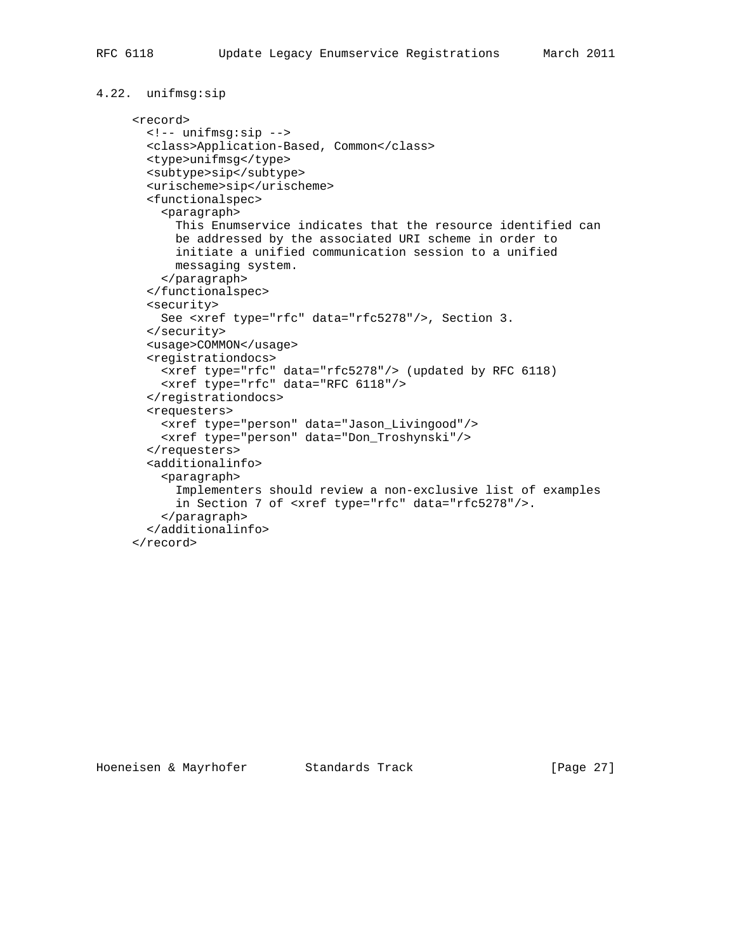```
4.22. unifmsg:sip
```

```
 <record>
  <!-- unifmsg:sip -->
   <class>Application-Based, Common</class>
  <type>unifmsg</type>
  <subtype>sip</subtype>
  <urischeme>sip</urischeme>
   <functionalspec>
     <paragraph>
       This Enumservice indicates that the resource identified can
       be addressed by the associated URI scheme in order to
       initiate a unified communication session to a unified
       messaging system.
     </paragraph>
   </functionalspec>
   <security>
    See <xref type="rfc" data="rfc5278"/>, Section 3.
  </security>
   <usage>COMMON</usage>
   <registrationdocs>
    <xref type="rfc" data="rfc5278"/> (updated by RFC 6118)
    <xref type="rfc" data="RFC 6118"/>
   </registrationdocs>
   <requesters>
     <xref type="person" data="Jason_Livingood"/>
     <xref type="person" data="Don_Troshynski"/>
   </requesters>
   <additionalinfo>
     <paragraph>
       Implementers should review a non-exclusive list of examples
       in Section 7 of <xref type="rfc" data="rfc5278"/>.
     </paragraph>
   </additionalinfo>
 </record>
```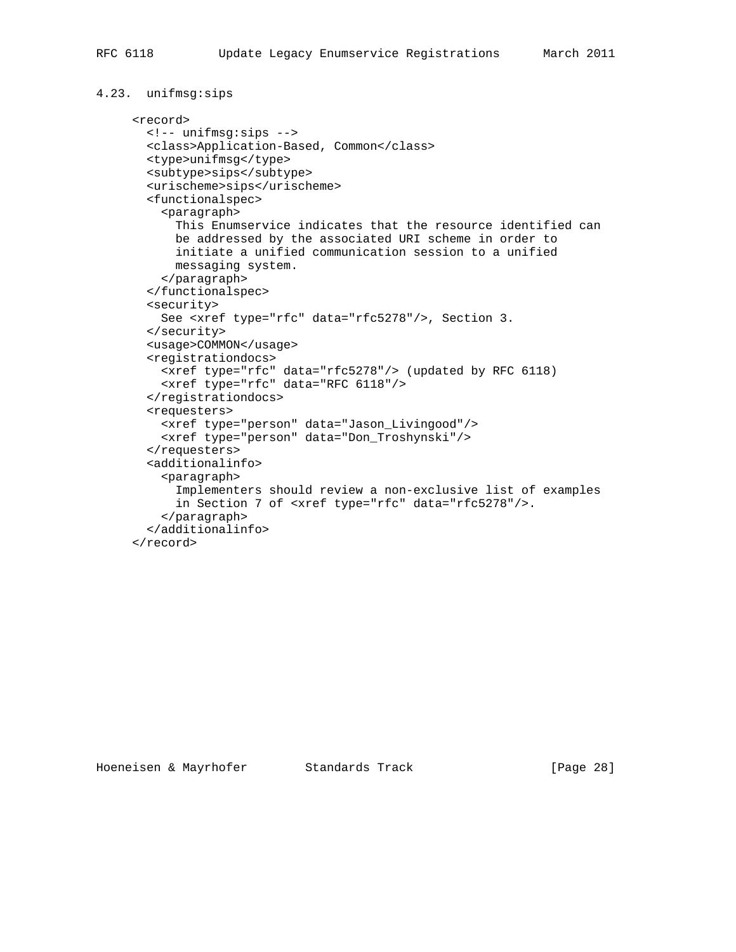```
4.23. unifmsg:sips
```

```
 <record>
  <!-- unifmsg:sips -->
   <class>Application-Based, Common</class>
  <type>unifmsg</type>
  <subtype>sips</subtype>
  <urischeme>sips</urischeme>
   <functionalspec>
     <paragraph>
       This Enumservice indicates that the resource identified can
       be addressed by the associated URI scheme in order to
       initiate a unified communication session to a unified
       messaging system.
     </paragraph>
   </functionalspec>
   <security>
    See <xref type="rfc" data="rfc5278"/>, Section 3.
   </security>
   <usage>COMMON</usage>
   <registrationdocs>
    <xref type="rfc" data="rfc5278"/> (updated by RFC 6118)
    <xref type="rfc" data="RFC 6118"/>
   </registrationdocs>
   <requesters>
     <xref type="person" data="Jason_Livingood"/>
     <xref type="person" data="Don_Troshynski"/>
   </requesters>
   <additionalinfo>
     <paragraph>
       Implementers should review a non-exclusive list of examples
       in Section 7 of <xref type="rfc" data="rfc5278"/>.
     </paragraph>
   </additionalinfo>
 </record>
```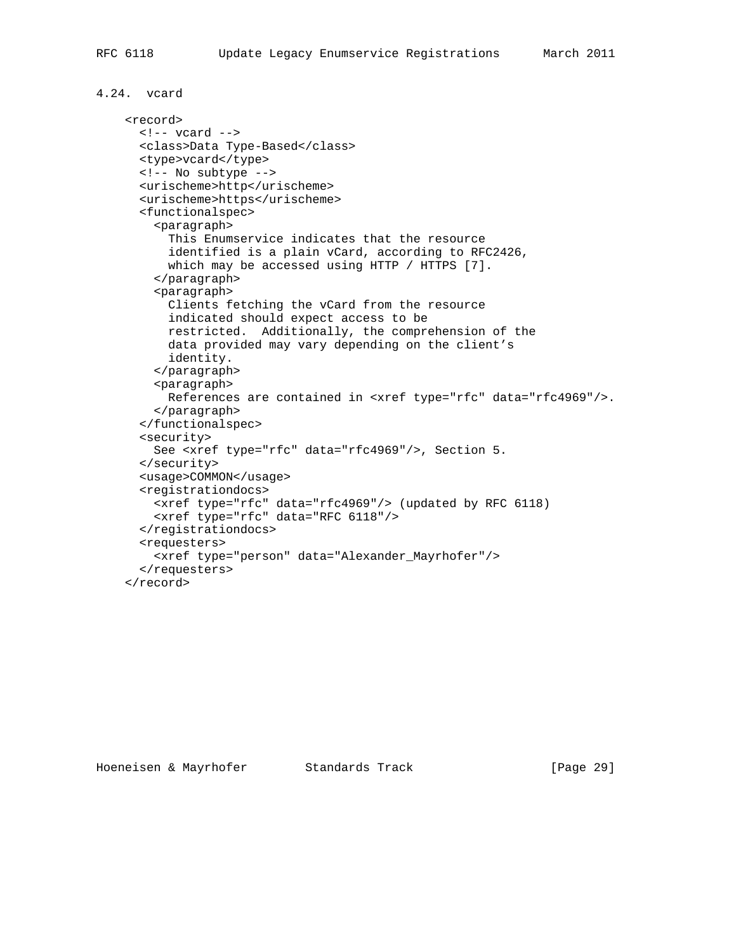# 4.24. vcard

```
 <record>
  \leftarrow :-- \overline{v} vcard -->
   <class>Data Type-Based</class>
   <type>vcard</type>
   <!-- No subtype -->
   <urischeme>http</urischeme>
   <urischeme>https</urischeme>
   <functionalspec>
     <paragraph>
       This Enumservice indicates that the resource
       identified is a plain vCard, according to RFC2426,
      which may be accessed using HTTP / HTTPS [7].
     </paragraph>
     <paragraph>
       Clients fetching the vCard from the resource
       indicated should expect access to be
       restricted. Additionally, the comprehension of the
       data provided may vary depending on the client's
       identity.
     </paragraph>
     <paragraph>
       References are contained in <xref type="rfc" data="rfc4969"/>.
     </paragraph>
   </functionalspec>
   <security>
     See <xref type="rfc" data="rfc4969"/>, Section 5.
   </security>
   <usage>COMMON</usage>
   <registrationdocs>
     <xref type="rfc" data="rfc4969"/> (updated by RFC 6118)
     <xref type="rfc" data="RFC 6118"/>
   </registrationdocs>
   <requesters>
     <xref type="person" data="Alexander_Mayrhofer"/>
   </requesters>
 </record>
```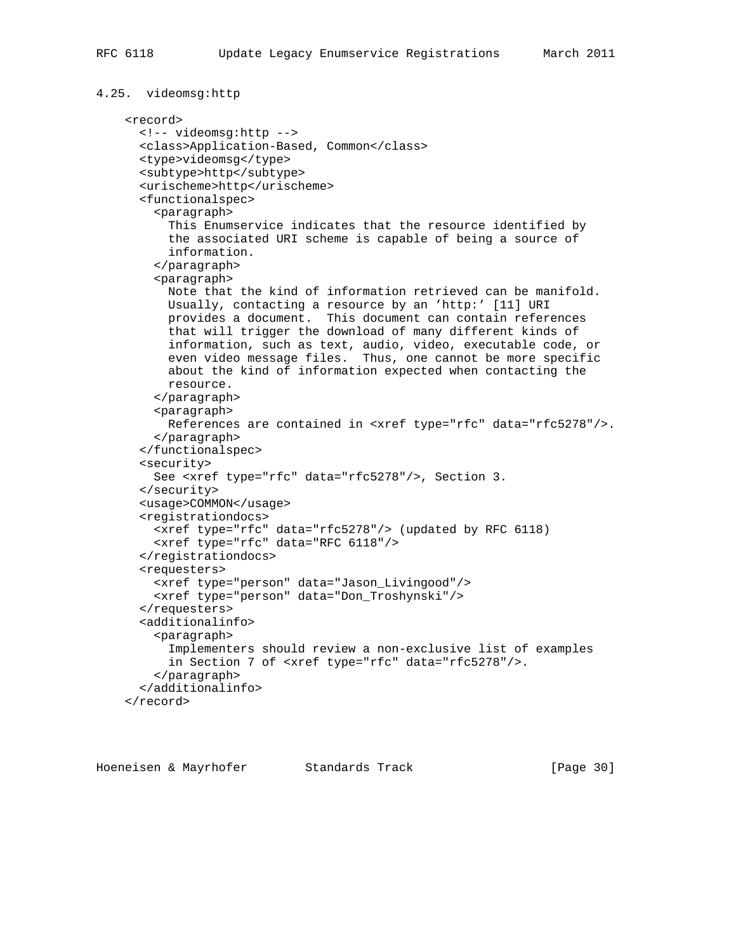```
4.25. videomsg:http
     <record>
       <!-- videomsg:http -->
       <class>Application-Based, Common</class>
       <type>videomsg</type>
       <subtype>http</subtype>
       <urischeme>http</urischeme>
       <functionalspec>
         <paragraph>
           This Enumservice indicates that the resource identified by
           the associated URI scheme is capable of being a source of
           information.
         </paragraph>
         <paragraph>
           Note that the kind of information retrieved can be manifold.
           Usually, contacting a resource by an 'http:' [11] URI
           provides a document. This document can contain references
           that will trigger the download of many different kinds of
           information, such as text, audio, video, executable code, or
           even video message files. Thus, one cannot be more specific
           about the kind of information expected when contacting the
           resource.
         </paragraph>
         <paragraph>
           References are contained in <xref type="rfc" data="rfc5278"/>.
         </paragraph>
       </functionalspec>
       <security>
         See <xref type="rfc" data="rfc5278"/>, Section 3.
       </security>
       <usage>COMMON</usage>
       <registrationdocs>
         <xref type="rfc" data="rfc5278"/> (updated by RFC 6118)
         <xref type="rfc" data="RFC 6118"/>
       </registrationdocs>
       <requesters>
         <xref type="person" data="Jason_Livingood"/>
         <xref type="person" data="Don_Troshynski"/>
       </requesters>
       <additionalinfo>
         <paragraph>
           Implementers should review a non-exclusive list of examples
           in Section 7 of <xref type="rfc" data="rfc5278"/>.
         </paragraph>
       </additionalinfo>
     </record>
```
Hoeneisen & Mayrhofer Standards Track [Page 30]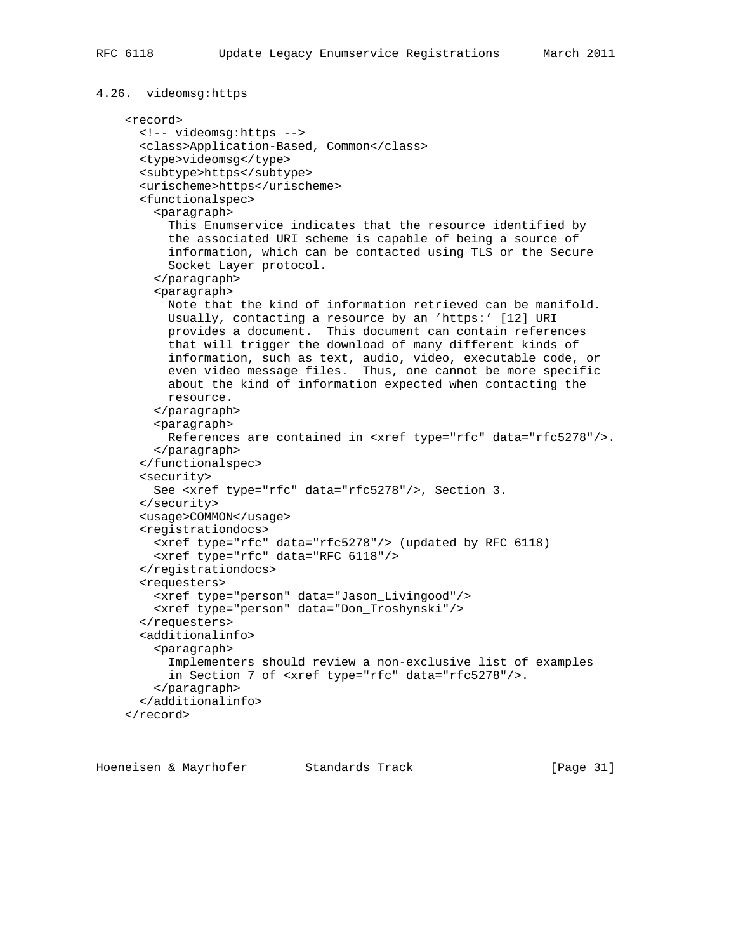```
4.26. videomsg:https
     <record>
       <!-- videomsg:https -->
       <class>Application-Based, Common</class>
       <type>videomsg</type>
       <subtype>https</subtype>
       <urischeme>https</urischeme>
       <functionalspec>
         <paragraph>
           This Enumservice indicates that the resource identified by
           the associated URI scheme is capable of being a source of
           information, which can be contacted using TLS or the Secure
           Socket Layer protocol.
         </paragraph>
         <paragraph>
           Note that the kind of information retrieved can be manifold.
           Usually, contacting a resource by an 'https:' [12] URI
           provides a document. This document can contain references
           that will trigger the download of many different kinds of
           information, such as text, audio, video, executable code, or
           even video message files. Thus, one cannot be more specific
           about the kind of information expected when contacting the
           resource.
         </paragraph>
         <paragraph>
           References are contained in <xref type="rfc" data="rfc5278"/>.
         </paragraph>
       </functionalspec>
       <security>
         See <xref type="rfc" data="rfc5278"/>, Section 3.
       </security>
       <usage>COMMON</usage>
       <registrationdocs>
         <xref type="rfc" data="rfc5278"/> (updated by RFC 6118)
         <xref type="rfc" data="RFC 6118"/>
       </registrationdocs>
       <requesters>
         <xref type="person" data="Jason_Livingood"/>
         <xref type="person" data="Don_Troshynski"/>
       </requesters>
       <additionalinfo>
         <paragraph>
           Implementers should review a non-exclusive list of examples
           in Section 7 of <xref type="rfc" data="rfc5278"/>.
         </paragraph>
       </additionalinfo>
     </record>
```
Hoeneisen & Mayrhofer Standards Track [Page 31]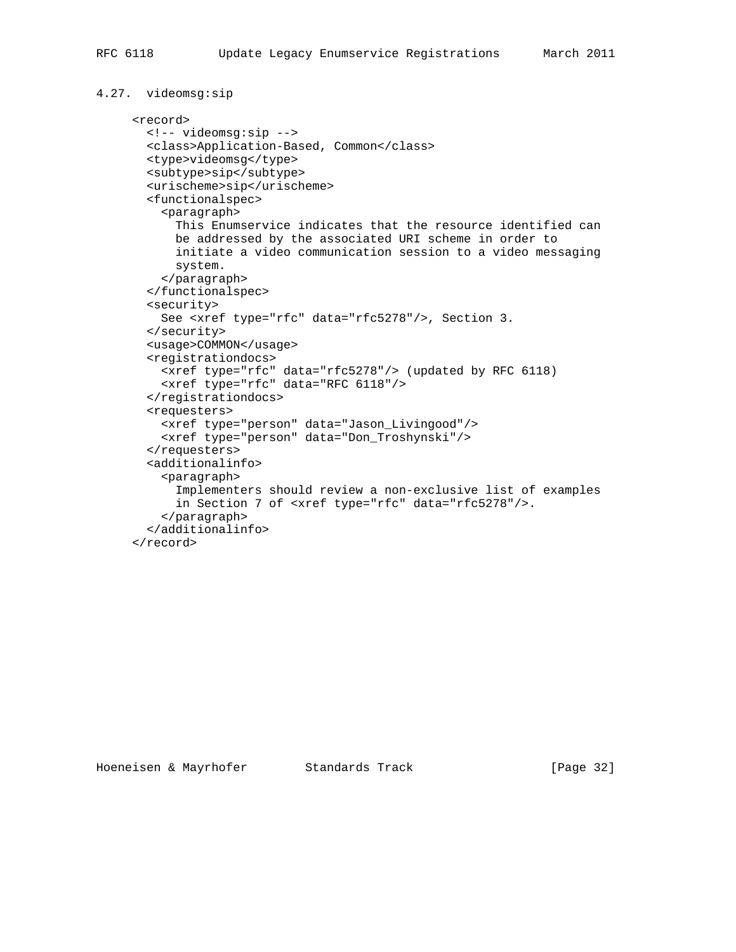```
4.27. videomsg:sip
```

```
 <record>
  <!-- videomsg:sip -->
  <class>Application-Based, Common</class>
  <type>videomsg</type>
  <subtype>sip</subtype>
  <urischeme>sip</urischeme>
  <functionalspec>
     <paragraph>
      This Enumservice indicates that the resource identified can
      be addressed by the associated URI scheme in order to
      initiate a video communication session to a video messaging
      system.
    </paragraph>
  </functionalspec>
  <security>
    See <xref type="rfc" data="rfc5278"/>, Section 3.
  </security>
  <usage>COMMON</usage>
  <registrationdocs>
    <xref type="rfc" data="rfc5278"/> (updated by RFC 6118)
    <xref type="rfc" data="RFC 6118"/>
  </registrationdocs>
  <requesters>
     <xref type="person" data="Jason_Livingood"/>
    <xref type="person" data="Don_Troshynski"/>
  </requesters>
  <additionalinfo>
     <paragraph>
       Implementers should review a non-exclusive list of examples
       in Section 7 of <xref type="rfc" data="rfc5278"/>.
     </paragraph>
  </additionalinfo>
 </record>
```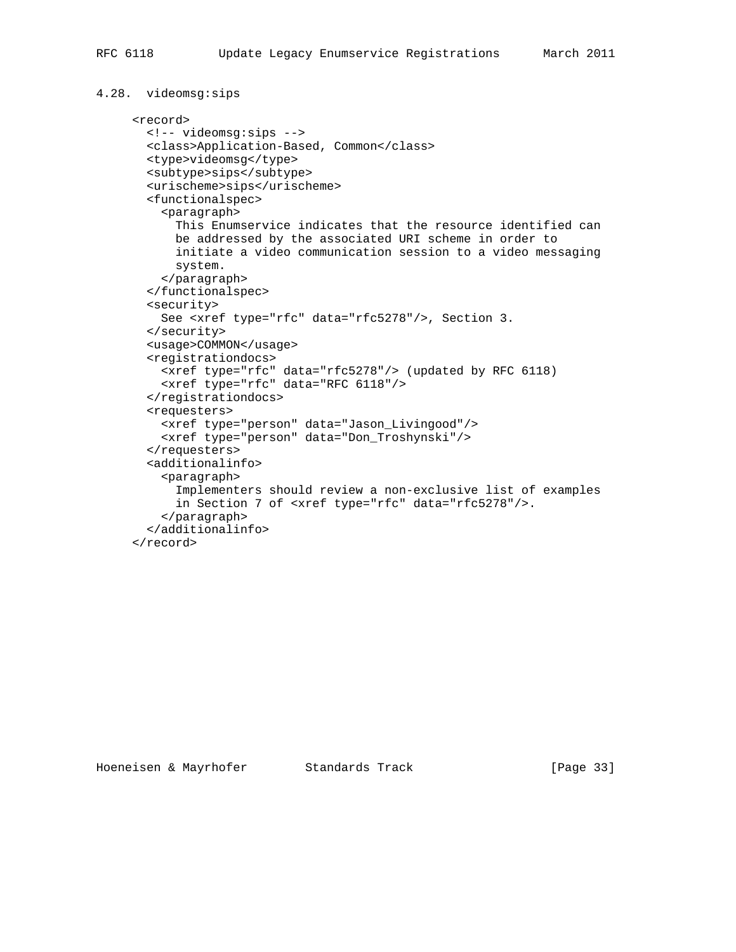```
4.28. videomsg:sips
      <record>
        <!-- videomsg:sips -->
        <class>Application-Based, Common</class>
        <type>videomsg</type>
        <subtype>sips</subtype>
        <urischeme>sips</urischeme>
        <functionalspec>
          <paragraph>
            This Enumservice indicates that the resource identified can
            be addressed by the associated URI scheme in order to
            initiate a video communication session to a video messaging
            system.
          </paragraph>
        </functionalspec>
        <security>
          See <xref type="rfc" data="rfc5278"/>, Section 3.
        </security>
        <usage>COMMON</usage>
        <registrationdocs>
          <xref type="rfc" data="rfc5278"/> (updated by RFC 6118)
          <xref type="rfc" data="RFC 6118"/>
        </registrationdocs>
        <requesters>
          <xref type="person" data="Jason_Livingood"/>
          <xref type="person" data="Don_Troshynski"/>
        </requesters>
        <additionalinfo>
          <paragraph>
            Implementers should review a non-exclusive list of examples
            in Section 7 of <xref type="rfc" data="rfc5278"/>.
          </paragraph>
        </additionalinfo>
```

```
 </record>
```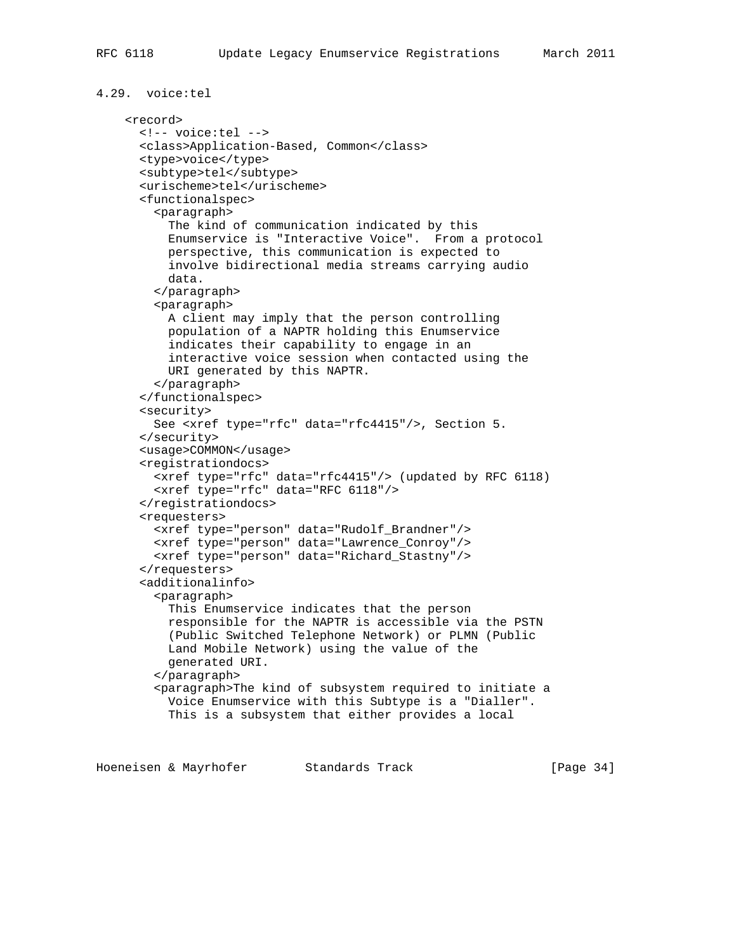```
4.29. voice:tel
     <record>
       <!-- voice:tel -->
       <class>Application-Based, Common</class>
       <type>voice</type>
       <subtype>tel</subtype>
       <urischeme>tel</urischeme>
       <functionalspec>
         <paragraph>
           The kind of communication indicated by this
           Enumservice is "Interactive Voice". From a protocol
           perspective, this communication is expected to
           involve bidirectional media streams carrying audio
           data.
         </paragraph>
         <paragraph>
           A client may imply that the person controlling
           population of a NAPTR holding this Enumservice
           indicates their capability to engage in an
           interactive voice session when contacted using the
           URI generated by this NAPTR.
         </paragraph>
       </functionalspec>
       <security>
         See <xref type="rfc" data="rfc4415"/>, Section 5.
       </security>
       <usage>COMMON</usage>
       <registrationdocs>
         <xref type="rfc" data="rfc4415"/> (updated by RFC 6118)
         <xref type="rfc" data="RFC 6118"/>
       </registrationdocs>
       <requesters>
         <xref type="person" data="Rudolf_Brandner"/>
         <xref type="person" data="Lawrence_Conroy"/>
         <xref type="person" data="Richard_Stastny"/>
       </requesters>
       <additionalinfo>
         <paragraph>
           This Enumservice indicates that the person
           responsible for the NAPTR is accessible via the PSTN
           (Public Switched Telephone Network) or PLMN (Public
           Land Mobile Network) using the value of the
           generated URI.
         </paragraph>
         <paragraph>The kind of subsystem required to initiate a
           Voice Enumservice with this Subtype is a "Dialler".
           This is a subsystem that either provides a local
```
Hoeneisen & Mayrhofer Standards Track [Page 34]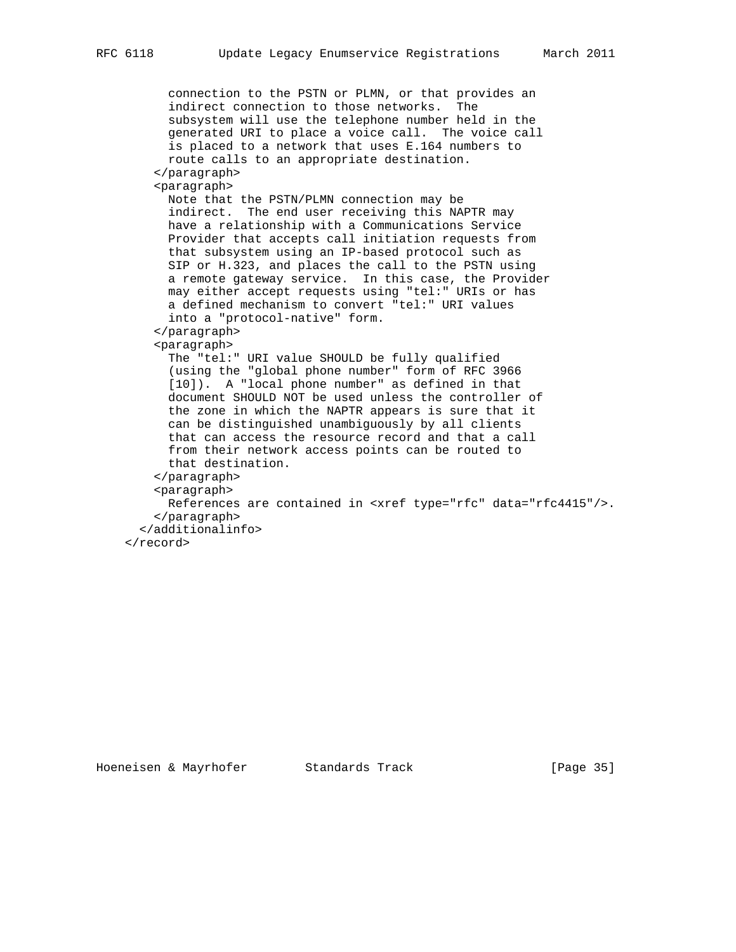```
 connection to the PSTN or PLMN, or that provides an
      indirect connection to those networks. The
      subsystem will use the telephone number held in the
      generated URI to place a voice call. The voice call
      is placed to a network that uses E.164 numbers to
      route calls to an appropriate destination.
     </paragraph>
     <paragraph>
      Note that the PSTN/PLMN connection may be
      indirect. The end user receiving this NAPTR may
      have a relationship with a Communications Service
      Provider that accepts call initiation requests from
      that subsystem using an IP-based protocol such as
      SIP or H.323, and places the call to the PSTN using
      a remote gateway service. In this case, the Provider
      may either accept requests using "tel:" URIs or has
      a defined mechanism to convert "tel:" URI values
      into a "protocol-native" form.
     </paragraph>
     <paragraph>
      The "tel:" URI value SHOULD be fully qualified
      (using the "global phone number" form of RFC 3966
      [10]). A "local phone number" as defined in that
      document SHOULD NOT be used unless the controller of
      the zone in which the NAPTR appears is sure that it
      can be distinguished unambiguously by all clients
      that can access the resource record and that a call
      from their network access points can be routed to
      that destination.
     </paragraph>
    <paragraph>
      References are contained in <xref type="rfc" data="rfc4415"/>.
     </paragraph>
   </additionalinfo>
 </record>
```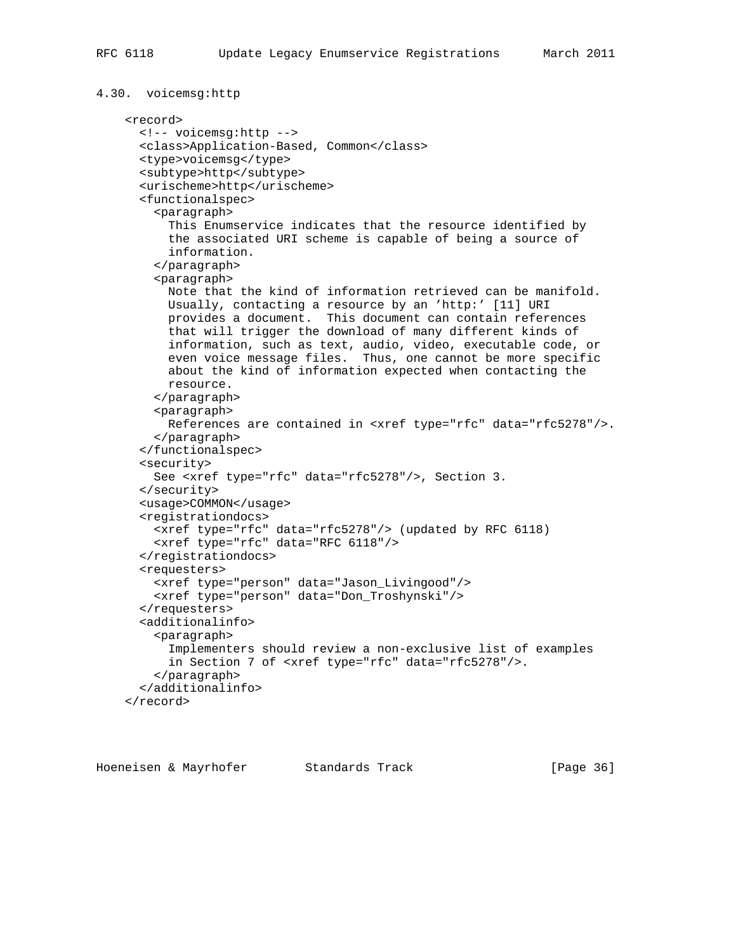```
4.30. voicemsg:http
     <record>
       <!-- voicemsg:http -->
       <class>Application-Based, Common</class>
       <type>voicemsg</type>
       <subtype>http</subtype>
       <urischeme>http</urischeme>
       <functionalspec>
         <paragraph>
           This Enumservice indicates that the resource identified by
           the associated URI scheme is capable of being a source of
           information.
         </paragraph>
         <paragraph>
           Note that the kind of information retrieved can be manifold.
           Usually, contacting a resource by an 'http:' [11] URI
           provides a document. This document can contain references
           that will trigger the download of many different kinds of
           information, such as text, audio, video, executable code, or
           even voice message files. Thus, one cannot be more specific
           about the kind of information expected when contacting the
          resource.
         </paragraph>
         <paragraph>
           References are contained in <xref type="rfc" data="rfc5278"/>.
         </paragraph>
       </functionalspec>
       <security>
         See <xref type="rfc" data="rfc5278"/>, Section 3.
       </security>
       <usage>COMMON</usage>
       <registrationdocs>
         <xref type="rfc" data="rfc5278"/> (updated by RFC 6118)
         <xref type="rfc" data="RFC 6118"/>
       </registrationdocs>
       <requesters>
         <xref type="person" data="Jason_Livingood"/>
         <xref type="person" data="Don_Troshynski"/>
       </requesters>
       <additionalinfo>
         <paragraph>
           Implementers should review a non-exclusive list of examples
           in Section 7 of <xref type="rfc" data="rfc5278"/>.
         </paragraph>
       </additionalinfo>
     </record>
```
Hoeneisen & Mayrhofer Standards Track [Page 36]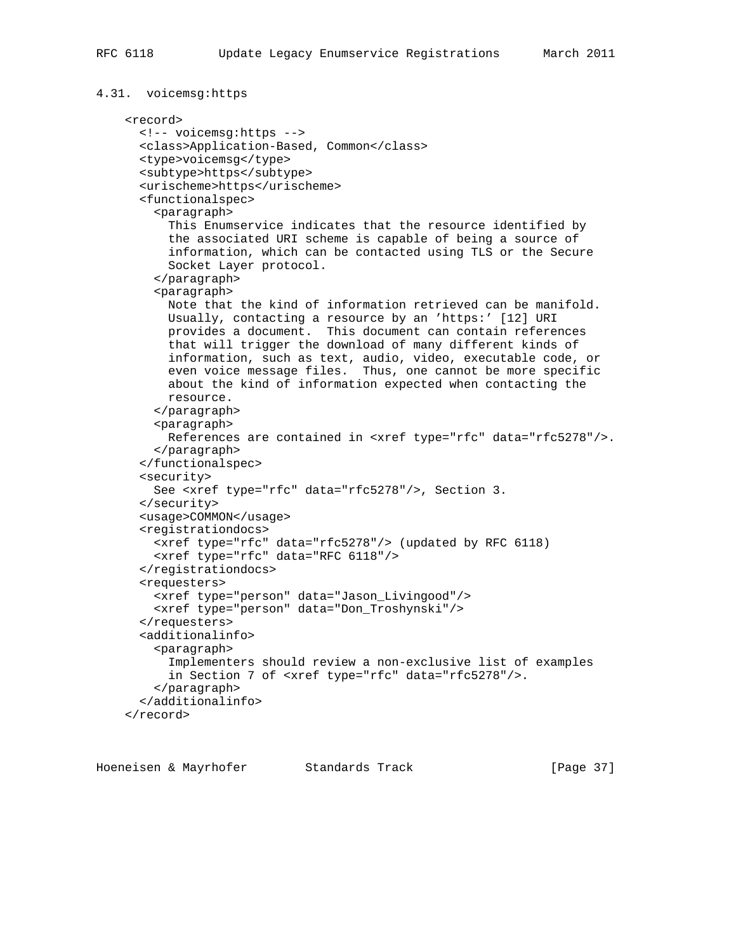```
4.31. voicemsg:https
     <record>
       <!-- voicemsg:https -->
       <class>Application-Based, Common</class>
       <type>voicemsg</type>
       <subtype>https</subtype>
       <urischeme>https</urischeme>
       <functionalspec>
         <paragraph>
           This Enumservice indicates that the resource identified by
           the associated URI scheme is capable of being a source of
           information, which can be contacted using TLS or the Secure
           Socket Layer protocol.
         </paragraph>
         <paragraph>
           Note that the kind of information retrieved can be manifold.
           Usually, contacting a resource by an 'https:' [12] URI
           provides a document. This document can contain references
           that will trigger the download of many different kinds of
           information, such as text, audio, video, executable code, or
           even voice message files. Thus, one cannot be more specific
           about the kind of information expected when contacting the
           resource.
         </paragraph>
         <paragraph>
           References are contained in <xref type="rfc" data="rfc5278"/>.
         </paragraph>
       </functionalspec>
       <security>
         See <xref type="rfc" data="rfc5278"/>, Section 3.
       </security>
       <usage>COMMON</usage>
       <registrationdocs>
         <xref type="rfc" data="rfc5278"/> (updated by RFC 6118)
         <xref type="rfc" data="RFC 6118"/>
       </registrationdocs>
       <requesters>
         <xref type="person" data="Jason_Livingood"/>
         <xref type="person" data="Don_Troshynski"/>
       </requesters>
       <additionalinfo>
         <paragraph>
           Implementers should review a non-exclusive list of examples
           in Section 7 of <xref type="rfc" data="rfc5278"/>.
         </paragraph>
       </additionalinfo>
     </record>
```
Hoeneisen & Mayrhofer Standards Track [Page 37]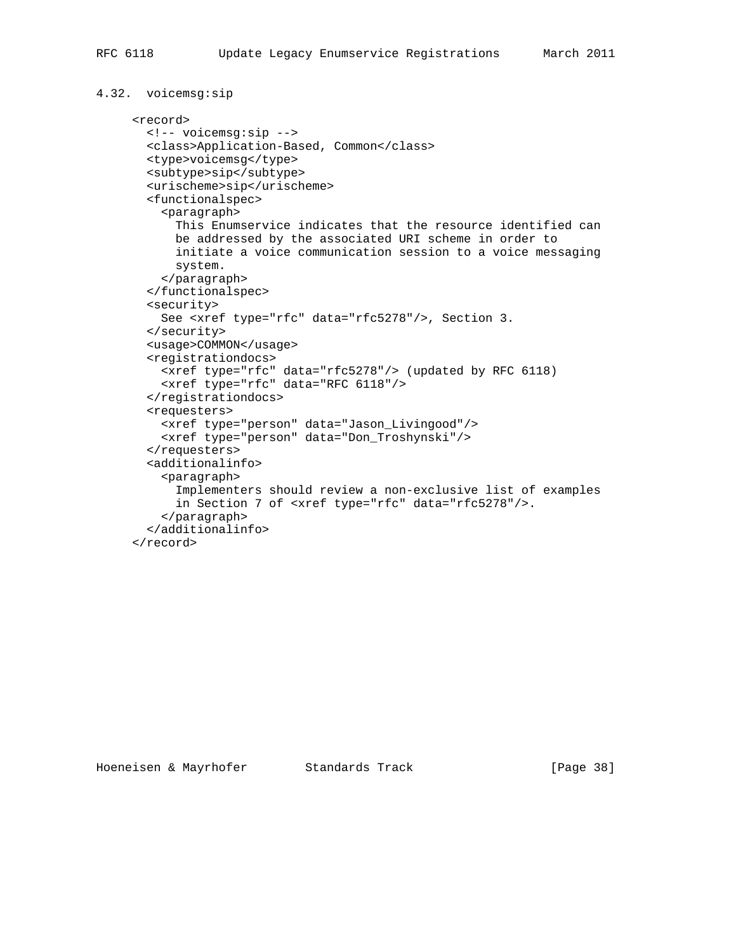</record>

```
4.32. voicemsg:sip
      <record>
        <!-- voicemsg:sip -->
        <class>Application-Based, Common</class>
        <type>voicemsg</type>
        <subtype>sip</subtype>
        <urischeme>sip</urischeme>
        <functionalspec>
          <paragraph>
            This Enumservice indicates that the resource identified can
            be addressed by the associated URI scheme in order to
            initiate a voice communication session to a voice messaging
            system.
          </paragraph>
        </functionalspec>
        <security>
          See <xref type="rfc" data="rfc5278"/>, Section 3.
        </security>
        <usage>COMMON</usage>
        <registrationdocs>
          <xref type="rfc" data="rfc5278"/> (updated by RFC 6118)
          <xref type="rfc" data="RFC 6118"/>
        </registrationdocs>
        <requesters>
          <xref type="person" data="Jason_Livingood"/>
          <xref type="person" data="Don_Troshynski"/>
        </requesters>
        <additionalinfo>
          <paragraph>
            Implementers should review a non-exclusive list of examples
            in Section 7 of <xref type="rfc" data="rfc5278"/>.
          </paragraph>
        </additionalinfo>
```
Hoeneisen & Mayrhofer Standards Track [Page 38]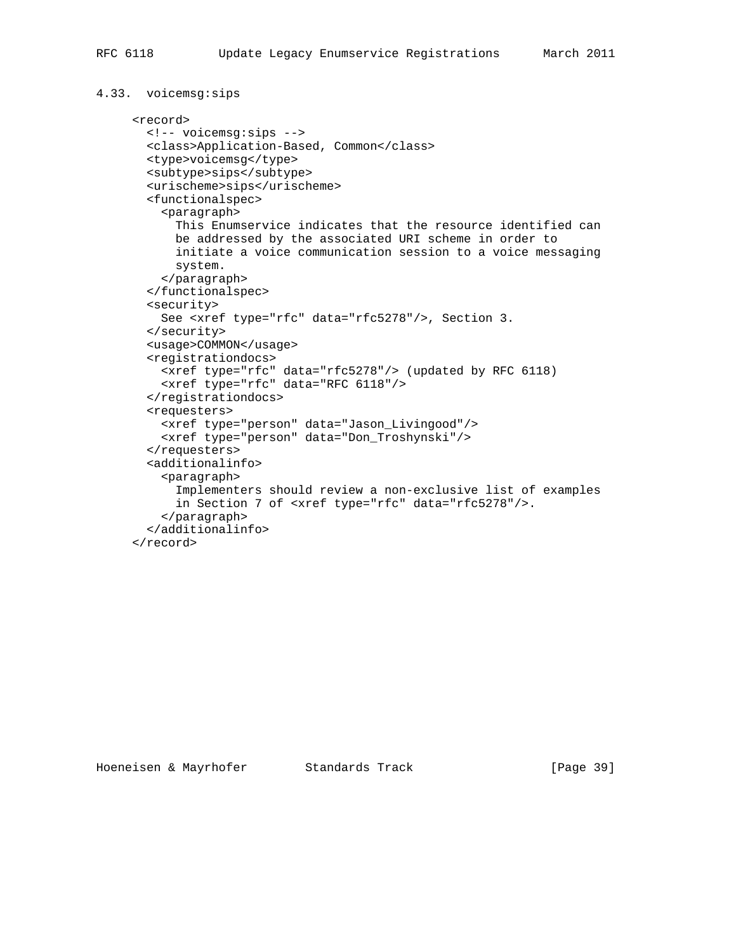```
4.33. voicemsg:sips
      <record>
        <!-- voicemsg:sips -->
        <class>Application-Based, Common</class>
        <type>voicemsg</type>
        <subtype>sips</subtype>
        <urischeme>sips</urischeme>
        <functionalspec>
          <paragraph>
            This Enumservice indicates that the resource identified can
            be addressed by the associated URI scheme in order to
            initiate a voice communication session to a voice messaging
            system.
          </paragraph>
        </functionalspec>
        <security>
          See <xref type="rfc" data="rfc5278"/>, Section 3.
        </security>
        <usage>COMMON</usage>
        <registrationdocs>
          <xref type="rfc" data="rfc5278"/> (updated by RFC 6118)
          <xref type="rfc" data="RFC 6118"/>
        </registrationdocs>
        <requesters>
          <xref type="person" data="Jason_Livingood"/>
          <xref type="person" data="Don_Troshynski"/>
        </requesters>
        <additionalinfo>
          <paragraph>
            Implementers should review a non-exclusive list of examples
            in Section 7 of <xref type="rfc" data="rfc5278"/>.
          </paragraph>
        </additionalinfo>
      </record>
```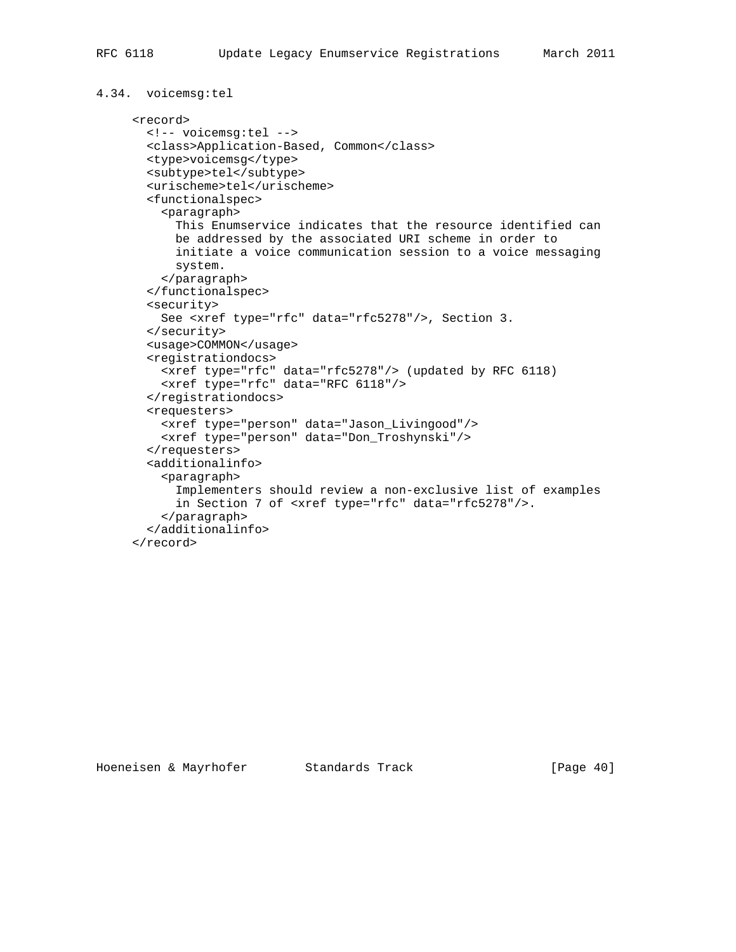```
4.34. voicemsg:tel
      <record>
        <!-- voicemsg:tel -->
        <class>Application-Based, Common</class>
        <type>voicemsg</type>
        <subtype>tel</subtype>
        <urischeme>tel</urischeme>
        <functionalspec>
          <paragraph>
            This Enumservice indicates that the resource identified can
            be addressed by the associated URI scheme in order to
            initiate a voice communication session to a voice messaging
            system.
          </paragraph>
        </functionalspec>
        <security>
          See <xref type="rfc" data="rfc5278"/>, Section 3.
        </security>
        <usage>COMMON</usage>
        <registrationdocs>
          <xref type="rfc" data="rfc5278"/> (updated by RFC 6118)
          <xref type="rfc" data="RFC 6118"/>
        </registrationdocs>
        <requesters>
          <xref type="person" data="Jason_Livingood"/>
          <xref type="person" data="Don_Troshynski"/>
        </requesters>
        <additionalinfo>
          <paragraph>
            Implementers should review a non-exclusive list of examples
            in Section 7 of <xref type="rfc" data="rfc5278"/>.
          </paragraph>
        </additionalinfo>
      </record>
```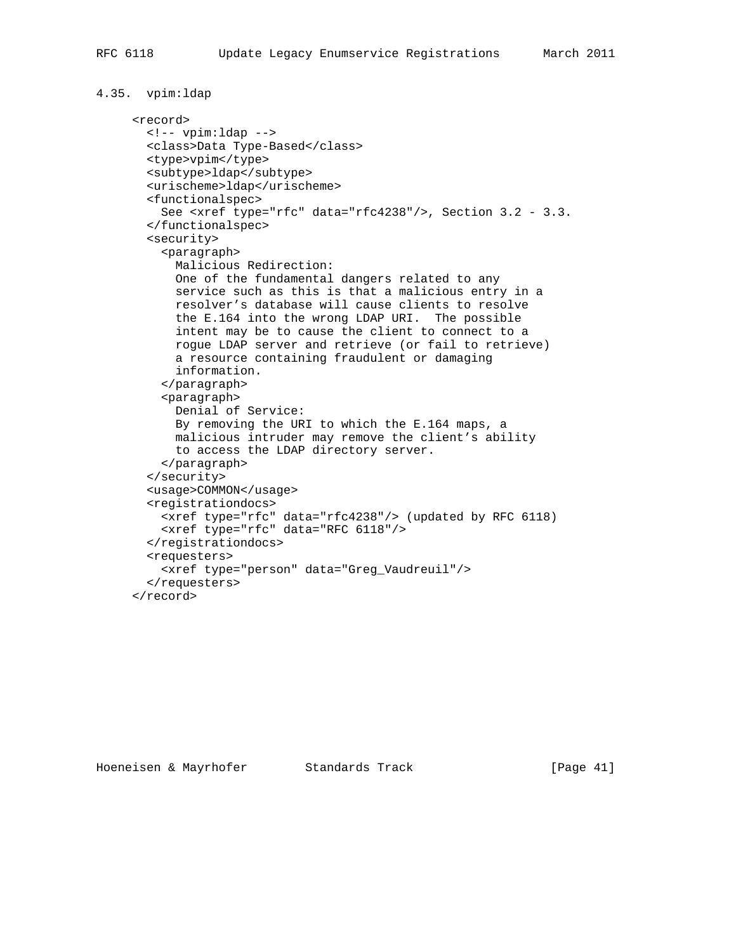```
4.35. vpim:ldap
```

```
 <record>
  <!-- vpim:ldap -->
  <class>Data Type-Based</class>
  <type>vpim</type>
  <subtype>ldap</subtype>
  <urischeme>ldap</urischeme>
  <functionalspec>
    See <xref type="rfc" data="rfc4238"/>, Section 3.2 - 3.3.
  </functionalspec>
  <security>
    <paragraph>
      Malicious Redirection:
       One of the fundamental dangers related to any
       service such as this is that a malicious entry in a
       resolver's database will cause clients to resolve
      the E.164 into the wrong LDAP URI. The possible
      intent may be to cause the client to connect to a
      rogue LDAP server and retrieve (or fail to retrieve)
      a resource containing fraudulent or damaging
      information.
     </paragraph>
     <paragraph>
      Denial of Service:
      By removing the URI to which the E.164 maps, a
      malicious intruder may remove the client's ability
      to access the LDAP directory server.
    </paragraph>
  </security>
  <usage>COMMON</usage>
  <registrationdocs>
    <xref type="rfc" data="rfc4238"/> (updated by RFC 6118)
    <xref type="rfc" data="RFC 6118"/>
  </registrationdocs>
  <requesters>
     <xref type="person" data="Greg_Vaudreuil"/>
  </requesters>
 </record>
```
Hoeneisen & Mayrhofer Standards Track [Page 41]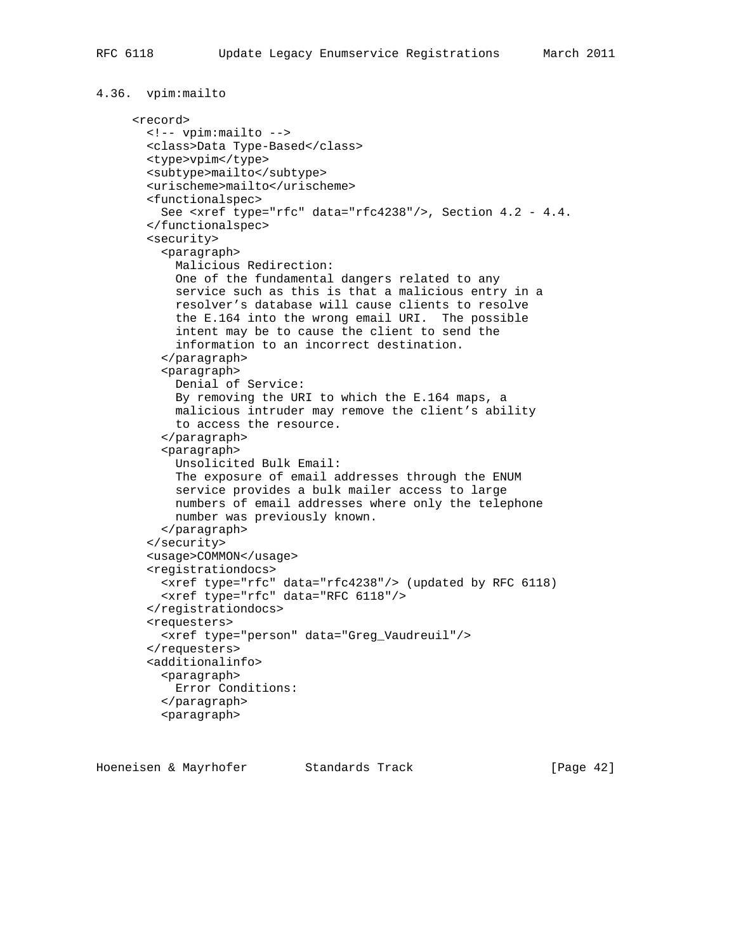```
4.36. vpim:mailto
      <record>
        <!-- vpim:mailto -->
        <class>Data Type-Based</class>
        <type>vpim</type>
        <subtype>mailto</subtype>
        <urischeme>mailto</urischeme>
        <functionalspec>
          See <xref type="rfc" data="rfc4238"/>, Section 4.2 - 4.4.
        </functionalspec>
        <security>
          <paragraph>
            Malicious Redirection:
            One of the fundamental dangers related to any
            service such as this is that a malicious entry in a
            resolver's database will cause clients to resolve
            the E.164 into the wrong email URI. The possible
            intent may be to cause the client to send the
            information to an incorrect destination.
          </paragraph>
          <paragraph>
            Denial of Service:
            By removing the URI to which the E.164 maps, a
            malicious intruder may remove the client's ability
            to access the resource.
          </paragraph>
          <paragraph>
            Unsolicited Bulk Email:
            The exposure of email addresses through the ENUM
            service provides a bulk mailer access to large
            numbers of email addresses where only the telephone
            number was previously known.
          </paragraph>
        </security>
        <usage>COMMON</usage>
        <registrationdocs>
          <xref type="rfc" data="rfc4238"/> (updated by RFC 6118)
          <xref type="rfc" data="RFC 6118"/>
        </registrationdocs>
        <requesters>
          <xref type="person" data="Greg_Vaudreuil"/>
        </requesters>
        <additionalinfo>
          <paragraph>
            Error Conditions:
          </paragraph>
          <paragraph>
```
Hoeneisen & Mayrhofer Standards Track [Page 42]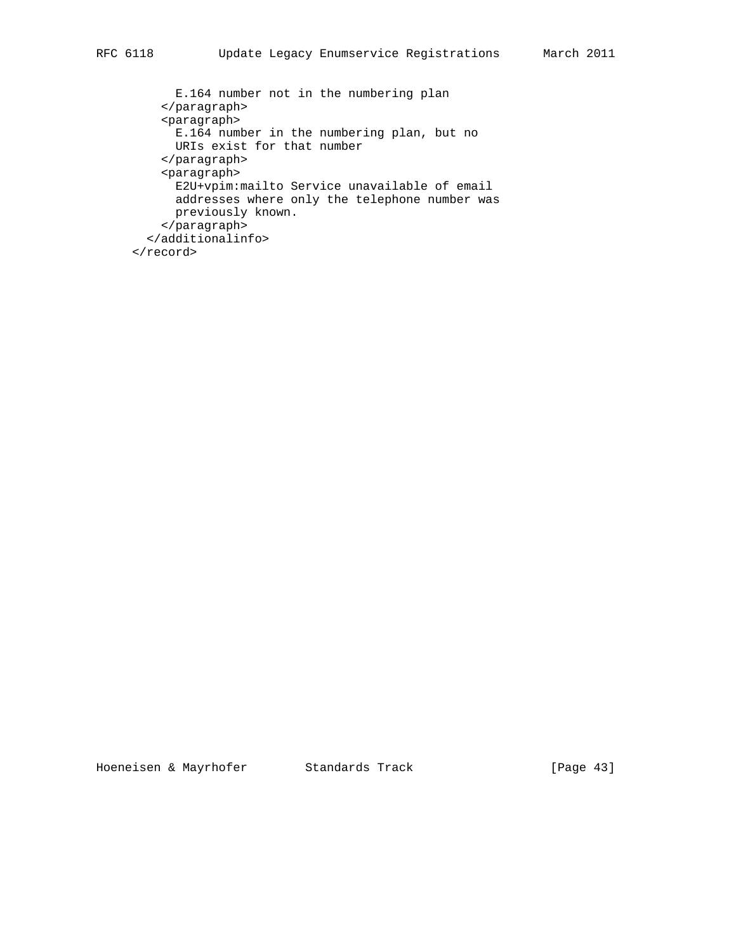```
 E.164 number not in the numbering plan
     </paragraph>
     <paragraph>
       E.164 number in the numbering plan, but no
       URIs exist for that number
     </paragraph>
     <paragraph>
       E2U+vpim:mailto Service unavailable of email
       addresses where only the telephone number was
      previously known.
     </paragraph>
   </additionalinfo>
 </record>
```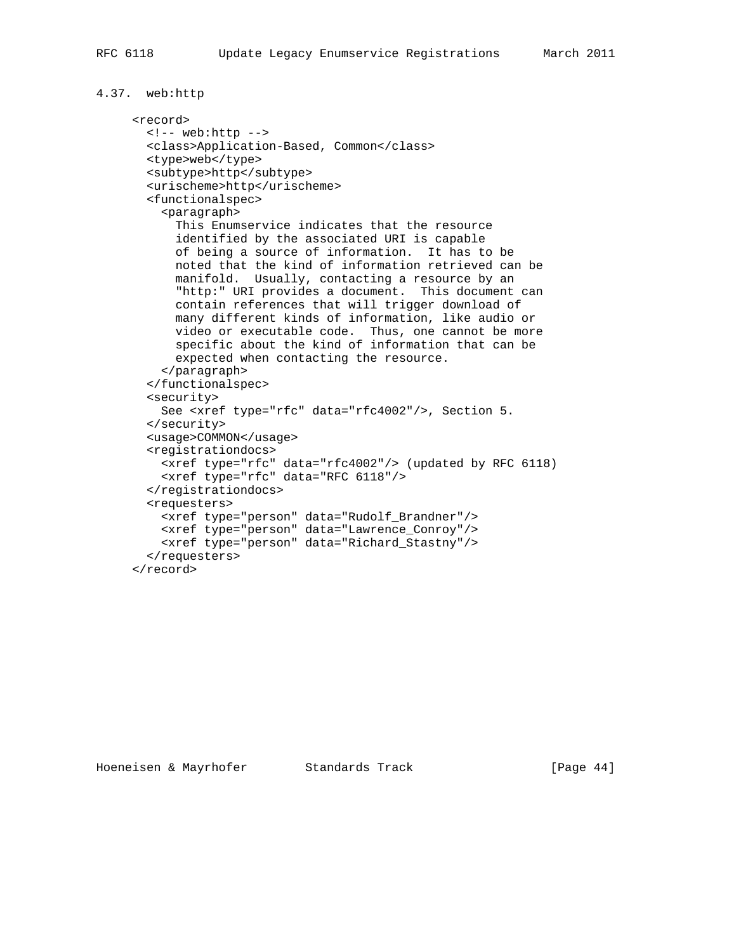```
4.37. web:http
```

```
 <record>
  <!-- web:http -->
  <class>Application-Based, Common</class>
  <type>web</type>
  <subtype>http</subtype>
  <urischeme>http</urischeme>
  <functionalspec>
     <paragraph>
       This Enumservice indicates that the resource
       identified by the associated URI is capable
       of being a source of information. It has to be
       noted that the kind of information retrieved can be
       manifold. Usually, contacting a resource by an
       "http:" URI provides a document. This document can
       contain references that will trigger download of
      many different kinds of information, like audio or
      video or executable code. Thus, one cannot be more
       specific about the kind of information that can be
      expected when contacting the resource.
     </paragraph>
  </functionalspec>
  <security>
    See <xref type="rfc" data="rfc4002"/>, Section 5.
  </security>
  <usage>COMMON</usage>
  <registrationdocs>
    <xref type="rfc" data="rfc4002"/> (updated by RFC 6118)
    <xref type="rfc" data="RFC 6118"/>
  </registrationdocs>
  <requesters>
    <xref type="person" data="Rudolf_Brandner"/>
    <xref type="person" data="Lawrence_Conroy"/>
    <xref type="person" data="Richard_Stastny"/>
  </requesters>
 </record>
```
Hoeneisen & Mayrhofer Standards Track [Page 44]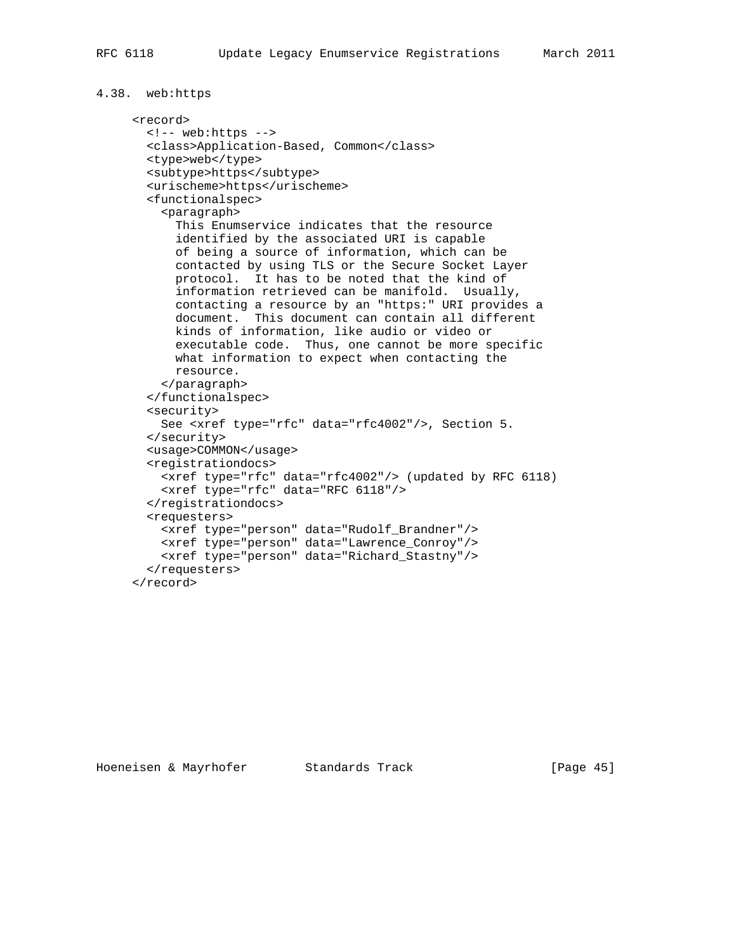### 4.38. web:https

```
 <record>
  <!-- web:https -->
  <class>Application-Based, Common</class>
  <type>web</type>
  <subtype>https</subtype>
  <urischeme>https</urischeme>
  <functionalspec>
     <paragraph>
       This Enumservice indicates that the resource
       identified by the associated URI is capable
       of being a source of information, which can be
       contacted by using TLS or the Secure Socket Layer
       protocol. It has to be noted that the kind of
       information retrieved can be manifold. Usually,
       contacting a resource by an "https:" URI provides a
       document. This document can contain all different
      kinds of information, like audio or video or
       executable code. Thus, one cannot be more specific
      what information to expect when contacting the
      resource.
     </paragraph>
  </functionalspec>
  <security>
    See <xref type="rfc" data="rfc4002"/>, Section 5.
  </security>
  <usage>COMMON</usage>
  <registrationdocs>
    <xref type="rfc" data="rfc4002"/> (updated by RFC 6118)
    <xref type="rfc" data="RFC 6118"/>
  </registrationdocs>
  <requesters>
    <xref type="person" data="Rudolf_Brandner"/>
    <xref type="person" data="Lawrence_Conroy"/>
    <xref type="person" data="Richard_Stastny"/>
  </requesters>
 </record>
```
Hoeneisen & Mayrhofer Standards Track [Page 45]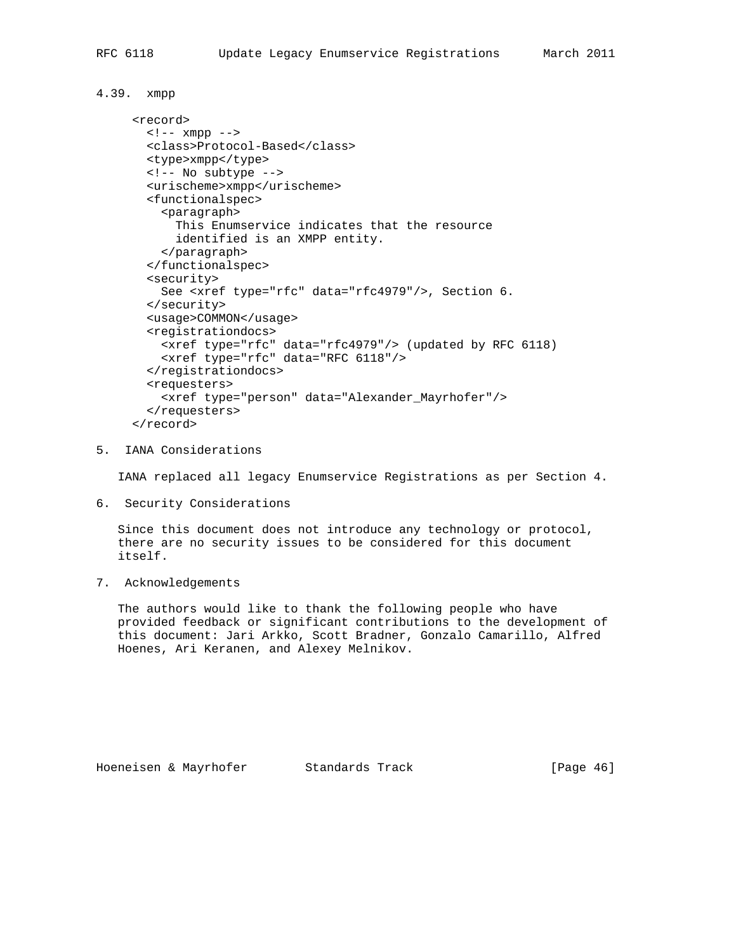#### 4.39. xmpp

```
 <record>
 \langle !-- \langle xmpp - -\rangle <class>Protocol-Based</class>
  <type>xmpp</type>
  <!-- No subtype -->
  <urischeme>xmpp</urischeme>
  <functionalspec>
     <paragraph>
       This Enumservice indicates that the resource
       identified is an XMPP entity.
     </paragraph>
   </functionalspec>
   <security>
    See <xref type="rfc" data="rfc4979"/>, Section 6.
  </security>
  <usage>COMMON</usage>
   <registrationdocs>
     <xref type="rfc" data="rfc4979"/> (updated by RFC 6118)
     <xref type="rfc" data="RFC 6118"/>
   </registrationdocs>
   <requesters>
     <xref type="person" data="Alexander_Mayrhofer"/>
   </requesters>
 </record>
```
5. IANA Considerations

IANA replaced all legacy Enumservice Registrations as per Section 4.

6. Security Considerations

 Since this document does not introduce any technology or protocol, there are no security issues to be considered for this document itself.

7. Acknowledgements

 The authors would like to thank the following people who have provided feedback or significant contributions to the development of this document: Jari Arkko, Scott Bradner, Gonzalo Camarillo, Alfred Hoenes, Ari Keranen, and Alexey Melnikov.

Hoeneisen & Mayrhofer Standards Track [Page 46]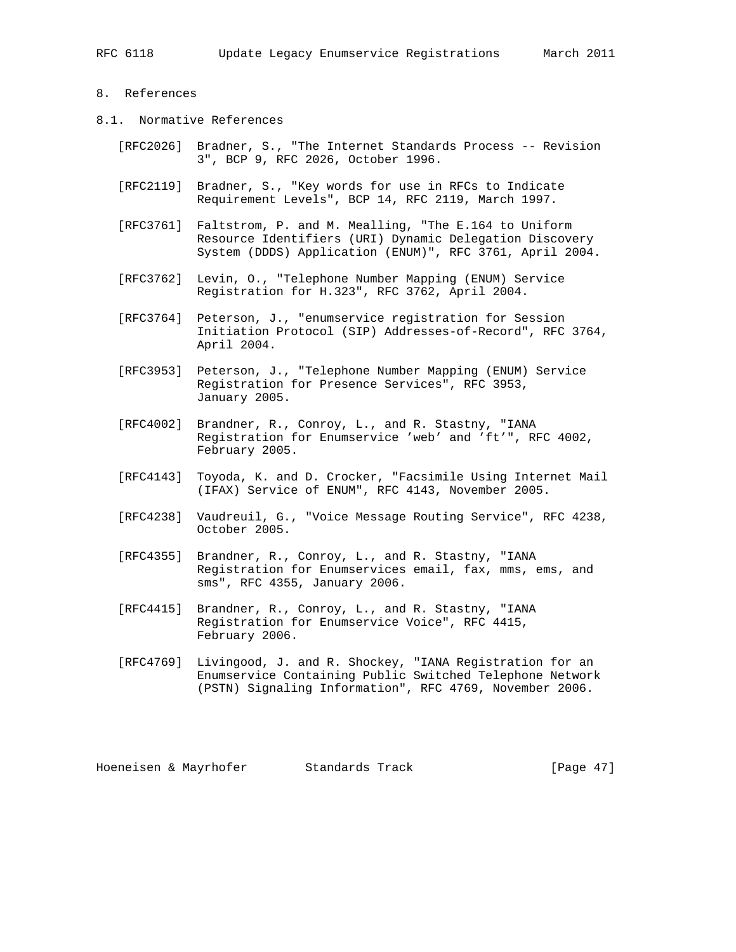### 8. References

- 8.1. Normative References
	- [RFC2026] Bradner, S., "The Internet Standards Process -- Revision 3", BCP 9, RFC 2026, October 1996.
	- [RFC2119] Bradner, S., "Key words for use in RFCs to Indicate Requirement Levels", BCP 14, RFC 2119, March 1997.
	- [RFC3761] Faltstrom, P. and M. Mealling, "The E.164 to Uniform Resource Identifiers (URI) Dynamic Delegation Discovery System (DDDS) Application (ENUM)", RFC 3761, April 2004.
	- [RFC3762] Levin, O., "Telephone Number Mapping (ENUM) Service Registration for H.323", RFC 3762, April 2004.
	- [RFC3764] Peterson, J., "enumservice registration for Session Initiation Protocol (SIP) Addresses-of-Record", RFC 3764, April 2004.
	- [RFC3953] Peterson, J., "Telephone Number Mapping (ENUM) Service Registration for Presence Services", RFC 3953, January 2005.
	- [RFC4002] Brandner, R., Conroy, L., and R. Stastny, "IANA Registration for Enumservice 'web' and 'ft'", RFC 4002, February 2005.
	- [RFC4143] Toyoda, K. and D. Crocker, "Facsimile Using Internet Mail (IFAX) Service of ENUM", RFC 4143, November 2005.
	- [RFC4238] Vaudreuil, G., "Voice Message Routing Service", RFC 4238, October 2005.
	- [RFC4355] Brandner, R., Conroy, L., and R. Stastny, "IANA Registration for Enumservices email, fax, mms, ems, and sms", RFC 4355, January 2006.
	- [RFC4415] Brandner, R., Conroy, L., and R. Stastny, "IANA Registration for Enumservice Voice", RFC 4415, February 2006.
	- [RFC4769] Livingood, J. and R. Shockey, "IANA Registration for an Enumservice Containing Public Switched Telephone Network (PSTN) Signaling Information", RFC 4769, November 2006.

Hoeneisen & Mayrhofer Standards Track [Page 47]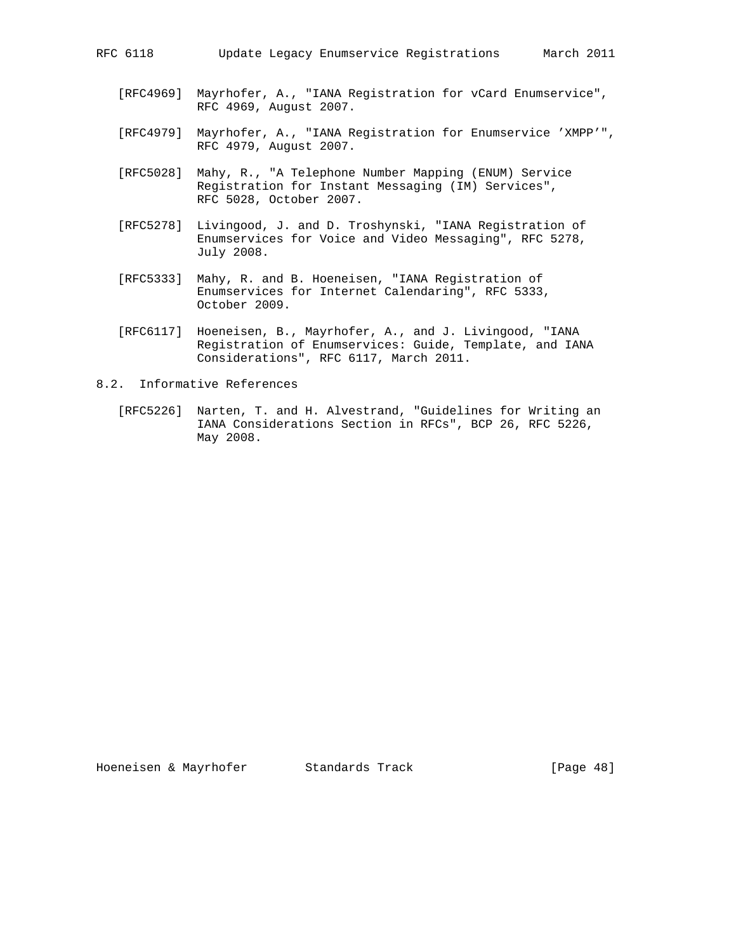- [RFC4969] Mayrhofer, A., "IANA Registration for vCard Enumservice", RFC 4969, August 2007.
- [RFC4979] Mayrhofer, A., "IANA Registration for Enumservice 'XMPP'", RFC 4979, August 2007.
- [RFC5028] Mahy, R., "A Telephone Number Mapping (ENUM) Service Registration for Instant Messaging (IM) Services", RFC 5028, October 2007.
- [RFC5278] Livingood, J. and D. Troshynski, "IANA Registration of Enumservices for Voice and Video Messaging", RFC 5278, July 2008.
- [RFC5333] Mahy, R. and B. Hoeneisen, "IANA Registration of Enumservices for Internet Calendaring", RFC 5333, October 2009.
- [RFC6117] Hoeneisen, B., Mayrhofer, A., and J. Livingood, "IANA Registration of Enumservices: Guide, Template, and IANA Considerations", RFC 6117, March 2011.

8.2. Informative References

 [RFC5226] Narten, T. and H. Alvestrand, "Guidelines for Writing an IANA Considerations Section in RFCs", BCP 26, RFC 5226, May 2008.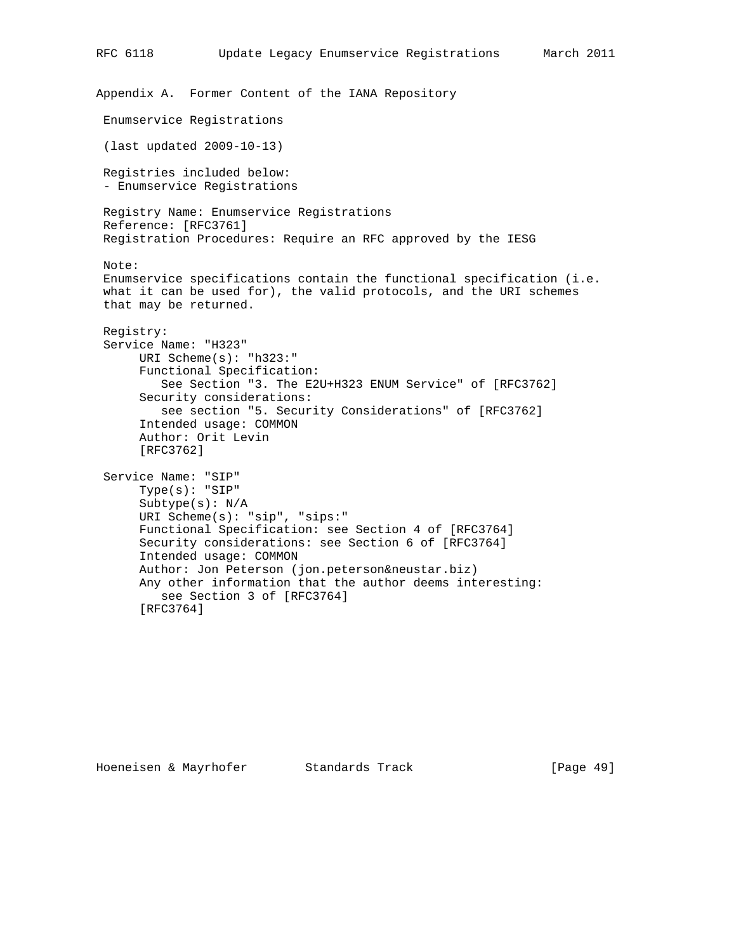```
Appendix A. Former Content of the IANA Repository
 Enumservice Registrations
 (last updated 2009-10-13)
 Registries included below:
  - Enumservice Registrations
 Registry Name: Enumservice Registrations
 Reference: [RFC3761]
 Registration Procedures: Require an RFC approved by the IESG
 Note:
 Enumservice specifications contain the functional specification (i.e.
 what it can be used for), the valid protocols, and the URI schemes
 that may be returned.
 Registry:
 Service Name: "H323"
      URI Scheme(s): "h323:"
       Functional Specification:
          See Section "3. The E2U+H323 ENUM Service" of [RFC3762]
       Security considerations:
          see section "5. Security Considerations" of [RFC3762]
       Intended usage: COMMON
       Author: Orit Levin
       [RFC3762]
  Service Name: "SIP"
       Type(s): "SIP"
       Subtype(s): N/A
       URI Scheme(s): "sip", "sips:"
       Functional Specification: see Section 4 of [RFC3764]
       Security considerations: see Section 6 of [RFC3764]
       Intended usage: COMMON
       Author: Jon Peterson (jon.peterson&neustar.biz)
       Any other information that the author deems interesting:
          see Section 3 of [RFC3764]
       [RFC3764]
```
RFC 6118 Update Legacy Enumservice Registrations March 2011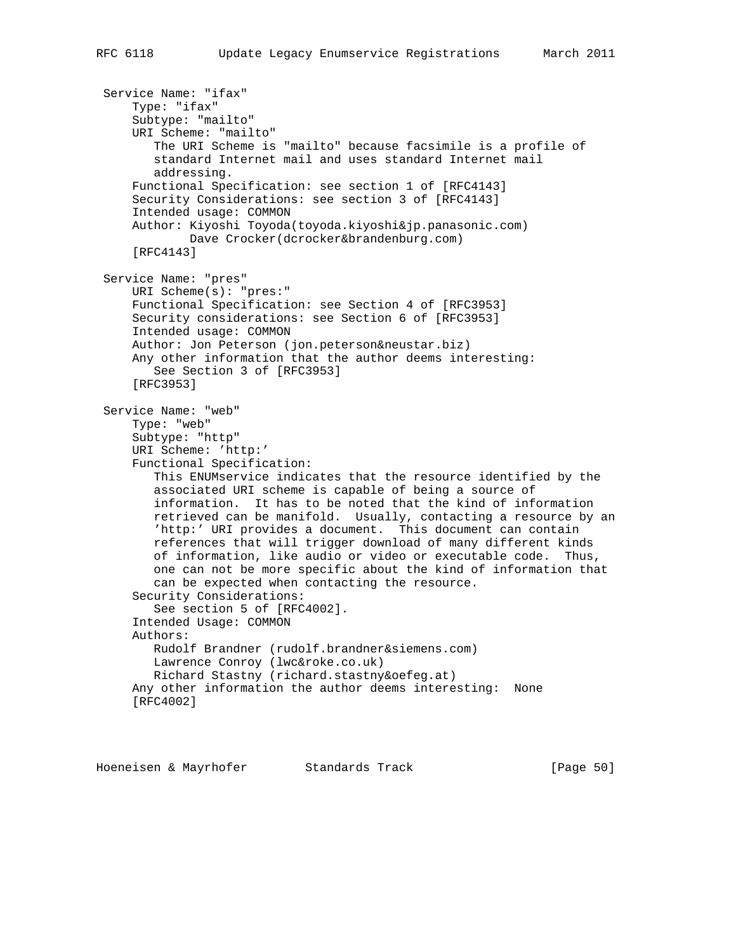```
 Service Name: "ifax"
     Type: "ifax"
     Subtype: "mailto"
     URI Scheme: "mailto"
        The URI Scheme is "mailto" because facsimile is a profile of
        standard Internet mail and uses standard Internet mail
        addressing.
     Functional Specification: see section 1 of [RFC4143]
     Security Considerations: see section 3 of [RFC4143]
     Intended usage: COMMON
     Author: Kiyoshi Toyoda(toyoda.kiyoshi&jp.panasonic.com)
             Dave Crocker(dcrocker&brandenburg.com)
     [RFC4143]
 Service Name: "pres"
     URI Scheme(s): "pres:"
     Functional Specification: see Section 4 of [RFC3953]
     Security considerations: see Section 6 of [RFC3953]
     Intended usage: COMMON
     Author: Jon Peterson (jon.peterson&neustar.biz)
     Any other information that the author deems interesting:
        See Section 3 of [RFC3953]
     [RFC3953]
 Service Name: "web"
     Type: "web"
     Subtype: "http"
     URI Scheme: 'http:'
     Functional Specification:
        This ENUMservice indicates that the resource identified by the
        associated URI scheme is capable of being a source of
        information. It has to be noted that the kind of information
        retrieved can be manifold. Usually, contacting a resource by an
        'http:' URI provides a document. This document can contain
        references that will trigger download of many different kinds
        of information, like audio or video or executable code. Thus,
        one can not be more specific about the kind of information that
        can be expected when contacting the resource.
     Security Considerations:
        See section 5 of [RFC4002].
     Intended Usage: COMMON
     Authors:
        Rudolf Brandner (rudolf.brandner&siemens.com)
        Lawrence Conroy (lwc&roke.co.uk)
        Richard Stastny (richard.stastny&oefeg.at)
     Any other information the author deems interesting: None
     [RFC4002]
```
Hoeneisen & Mayrhofer Standards Track [Page 50]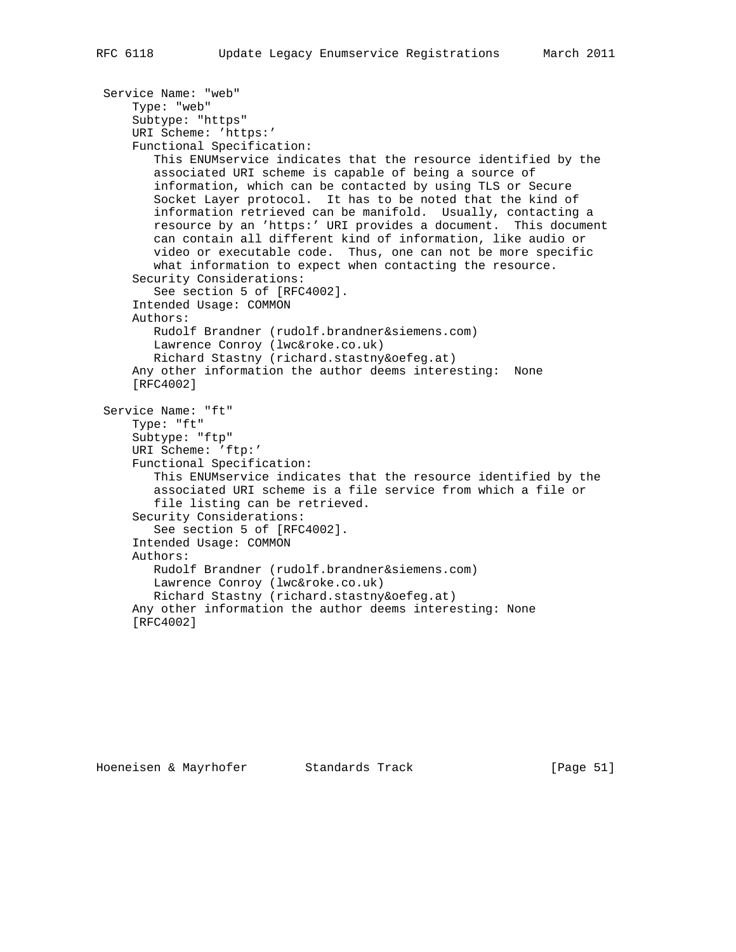```
 Service Name: "web"
     Type: "web"
     Subtype: "https"
     URI Scheme: 'https:'
     Functional Specification:
        This ENUMservice indicates that the resource identified by the
        associated URI scheme is capable of being a source of
        information, which can be contacted by using TLS or Secure
        Socket Layer protocol. It has to be noted that the kind of
        information retrieved can be manifold. Usually, contacting a
        resource by an 'https:' URI provides a document. This document
        can contain all different kind of information, like audio or
        video or executable code. Thus, one can not be more specific
        what information to expect when contacting the resource.
     Security Considerations:
        See section 5 of [RFC4002].
     Intended Usage: COMMON
     Authors:
        Rudolf Brandner (rudolf.brandner&siemens.com)
        Lawrence Conroy (lwc&roke.co.uk)
        Richard Stastny (richard.stastny&oefeg.at)
     Any other information the author deems interesting: None
     [RFC4002]
 Service Name: "ft"
     Type: "ft"
     Subtype: "ftp"
     URI Scheme: 'ftp:'
     Functional Specification:
        This ENUMservice indicates that the resource identified by the
        associated URI scheme is a file service from which a file or
        file listing can be retrieved.
     Security Considerations:
        See section 5 of [RFC4002].
     Intended Usage: COMMON
     Authors:
        Rudolf Brandner (rudolf.brandner&siemens.com)
        Lawrence Conroy (lwc&roke.co.uk)
        Richard Stastny (richard.stastny&oefeg.at)
     Any other information the author deems interesting: None
     [RFC4002]
```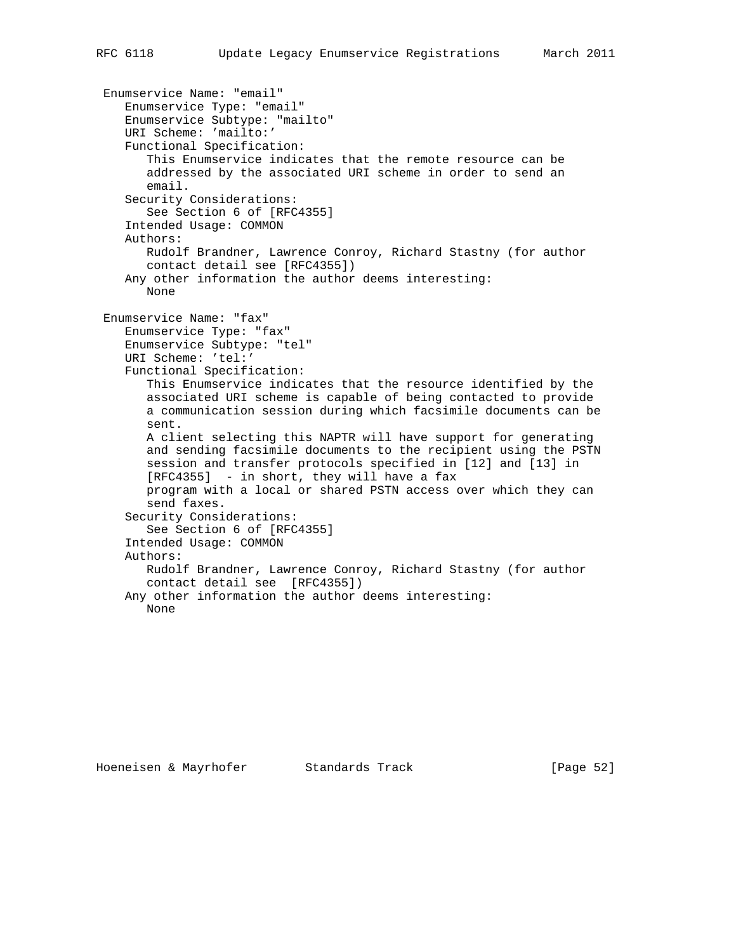```
 Enumservice Name: "email"
    Enumservice Type: "email"
    Enumservice Subtype: "mailto"
   URI Scheme: 'mailto:'
    Functional Specification:
       This Enumservice indicates that the remote resource can be
      addressed by the associated URI scheme in order to send an
      email.
    Security Considerations:
      See Section 6 of [RFC4355]
    Intended Usage: COMMON
   Authors:
      Rudolf Brandner, Lawrence Conroy, Richard Stastny (for author
       contact detail see [RFC4355])
   Any other information the author deems interesting:
      None
 Enumservice Name: "fax"
   Enumservice Type: "fax"
   Enumservice Subtype: "tel"
   URI Scheme: 'tel:'
    Functional Specification:
       This Enumservice indicates that the resource identified by the
      associated URI scheme is capable of being contacted to provide
      a communication session during which facsimile documents can be
      sent.
      A client selecting this NAPTR will have support for generating
      and sending facsimile documents to the recipient using the PSTN
      session and transfer protocols specified in [12] and [13] in
      [RFC4355] - in short, they will have a fax
      program with a local or shared PSTN access over which they can
      send faxes.
    Security Considerations:
      See Section 6 of [RFC4355]
    Intended Usage: COMMON
   Authors:
      Rudolf Brandner, Lawrence Conroy, Richard Stastny (for author
      contact detail see [RFC4355])
   Any other information the author deems interesting:
      None
```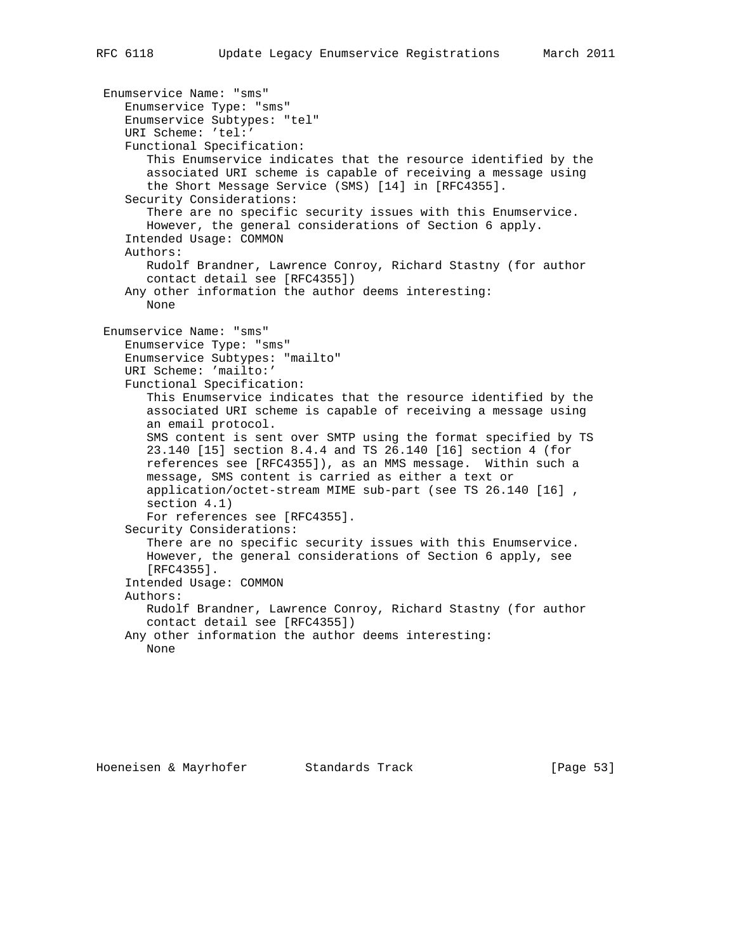Enumservice Name: "sms" Enumservice Type: "sms" Enumservice Subtypes: "tel" URI Scheme: 'tel:' Functional Specification: This Enumservice indicates that the resource identified by the associated URI scheme is capable of receiving a message using the Short Message Service (SMS) [14] in [RFC4355]. Security Considerations: There are no specific security issues with this Enumservice. However, the general considerations of Section 6 apply. Intended Usage: COMMON Authors: Rudolf Brandner, Lawrence Conroy, Richard Stastny (for author contact detail see [RFC4355]) Any other information the author deems interesting: None Enumservice Name: "sms" Enumservice Type: "sms" Enumservice Subtypes: "mailto" URI Scheme: 'mailto:' Functional Specification: This Enumservice indicates that the resource identified by the associated URI scheme is capable of receiving a message using an email protocol. SMS content is sent over SMTP using the format specified by TS 23.140 [15] section 8.4.4 and TS 26.140 [16] section 4 (for references see [RFC4355]), as an MMS message. Within such a message, SMS content is carried as either a text or application/octet-stream MIME sub-part (see TS 26.140 [16] , section 4.1) For references see [RFC4355]. Security Considerations: There are no specific security issues with this Enumservice. However, the general considerations of Section 6 apply, see [RFC4355]. Intended Usage: COMMON Authors: Rudolf Brandner, Lawrence Conroy, Richard Stastny (for author contact detail see [RFC4355]) Any other information the author deems interesting: None

Hoeneisen & Mayrhofer Standards Track [Page 53]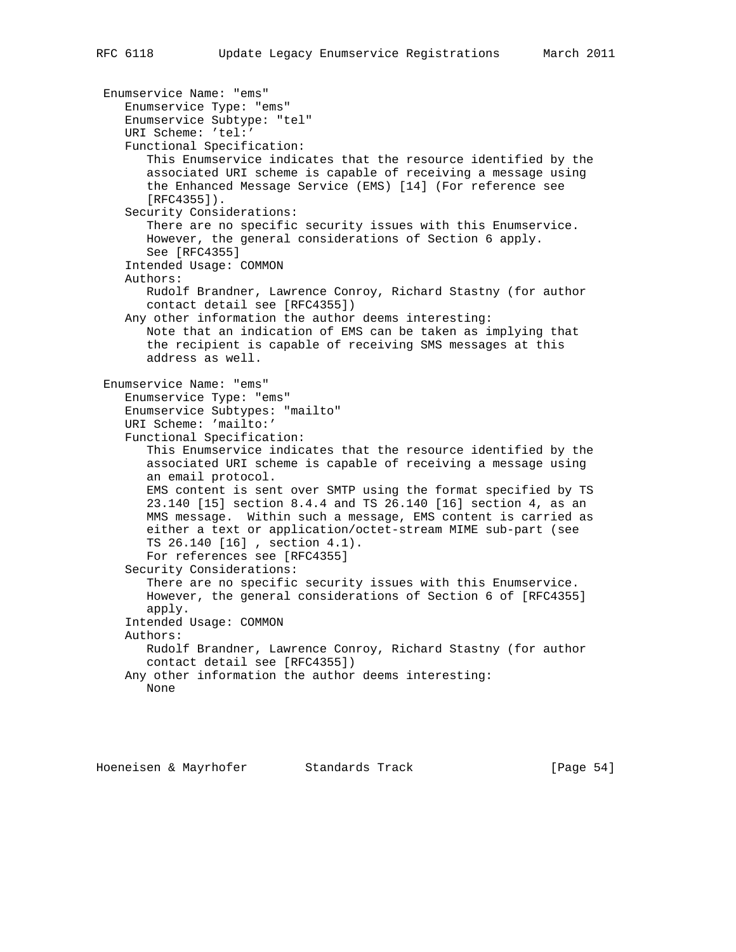```
 Enumservice Name: "ems"
    Enumservice Type: "ems"
    Enumservice Subtype: "tel"
    URI Scheme: 'tel:'
    Functional Specification:
       This Enumservice indicates that the resource identified by the
       associated URI scheme is capable of receiving a message using
       the Enhanced Message Service (EMS) [14] (For reference see
       [RFC4355]).
    Security Considerations:
       There are no specific security issues with this Enumservice.
      However, the general considerations of Section 6 apply.
      See [RFC4355]
    Intended Usage: COMMON
    Authors:
      Rudolf Brandner, Lawrence Conroy, Richard Stastny (for author
      contact detail see [RFC4355])
   Any other information the author deems interesting:
      Note that an indication of EMS can be taken as implying that
      the recipient is capable of receiving SMS messages at this
      address as well.
 Enumservice Name: "ems"
   Enumservice Type: "ems"
   Enumservice Subtypes: "mailto"
   URI Scheme: 'mailto:'
    Functional Specification:
       This Enumservice indicates that the resource identified by the
       associated URI scheme is capable of receiving a message using
      an email protocol.
      EMS content is sent over SMTP using the format specified by TS
       23.140 [15] section 8.4.4 and TS 26.140 [16] section 4, as an
      MMS message. Within such a message, EMS content is carried as
      either a text or application/octet-stream MIME sub-part (see
       TS 26.140 [16] , section 4.1).
      For references see [RFC4355]
    Security Considerations:
       There are no specific security issues with this Enumservice.
      However, the general considerations of Section 6 of [RFC4355]
      apply.
    Intended Usage: COMMON
   Authors:
      Rudolf Brandner, Lawrence Conroy, Richard Stastny (for author
       contact detail see [RFC4355])
   Any other information the author deems interesting:
      None
```
Hoeneisen & Mayrhofer Standards Track [Page 54]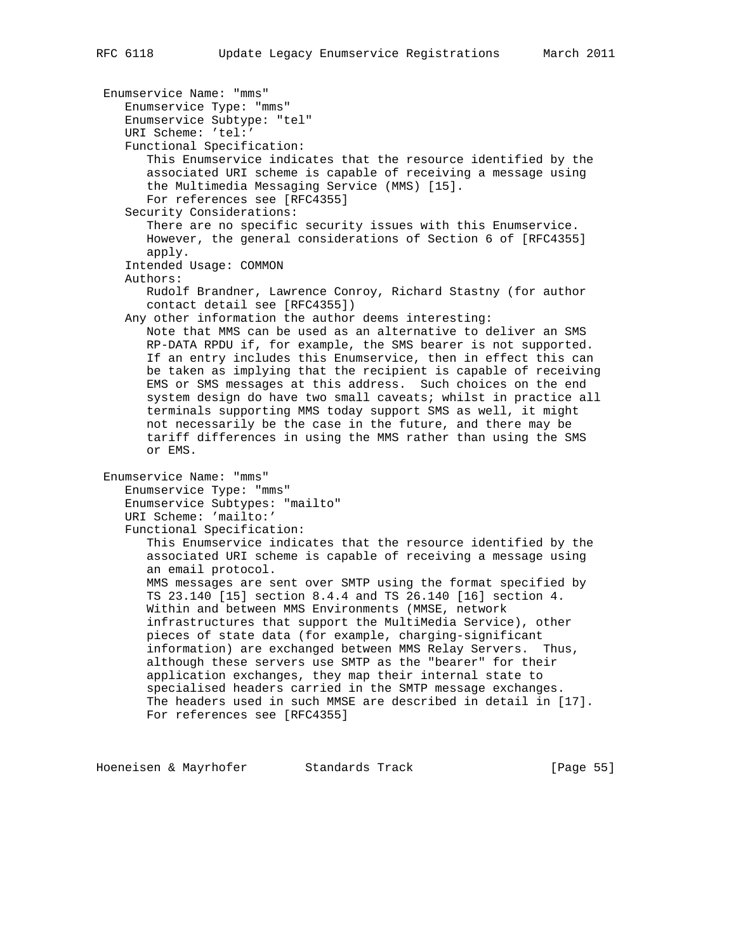Enumservice Name: "mms" Enumservice Type: "mms" Enumservice Subtype: "tel" URI Scheme: 'tel:' Functional Specification: This Enumservice indicates that the resource identified by the associated URI scheme is capable of receiving a message using the Multimedia Messaging Service (MMS) [15]. For references see [RFC4355] Security Considerations: There are no specific security issues with this Enumservice. However, the general considerations of Section 6 of [RFC4355] apply. Intended Usage: COMMON Authors: Rudolf Brandner, Lawrence Conroy, Richard Stastny (for author contact detail see [RFC4355]) Any other information the author deems interesting: Note that MMS can be used as an alternative to deliver an SMS RP-DATA RPDU if, for example, the SMS bearer is not supported. If an entry includes this Enumservice, then in effect this can be taken as implying that the recipient is capable of receiving EMS or SMS messages at this address. Such choices on the end system design do have two small caveats; whilst in practice all terminals supporting MMS today support SMS as well, it might not necessarily be the case in the future, and there may be tariff differences in using the MMS rather than using the SMS or EMS. Enumservice Name: "mms" Enumservice Type: "mms" Enumservice Subtypes: "mailto" URI Scheme: 'mailto:' Functional Specification: This Enumservice indicates that the resource identified by the associated URI scheme is capable of receiving a message using an email protocol. MMS messages are sent over SMTP using the format specified by TS 23.140 [15] section 8.4.4 and TS 26.140 [16] section 4. Within and between MMS Environments (MMSE, network infrastructures that support the MultiMedia Service), other pieces of state data (for example, charging-significant information) are exchanged between MMS Relay Servers. Thus, although these servers use SMTP as the "bearer" for their application exchanges, they map their internal state to specialised headers carried in the SMTP message exchanges. The headers used in such MMSE are described in detail in [17]. For references see [RFC4355]

Hoeneisen & Mayrhofer Standards Track [Page 55]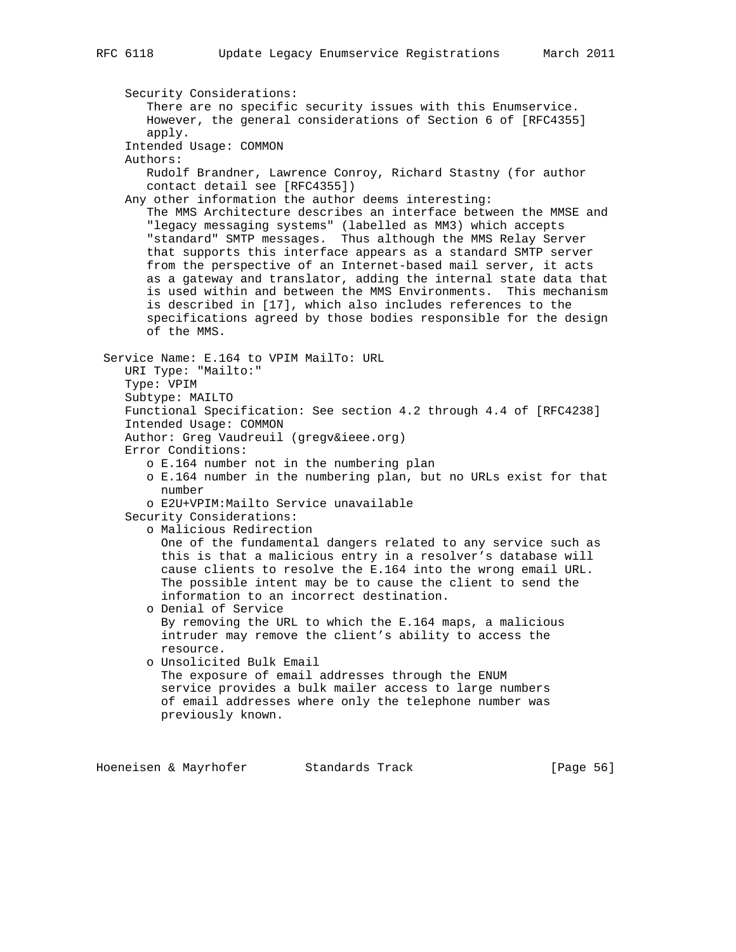Security Considerations: There are no specific security issues with this Enumservice. However, the general considerations of Section 6 of [RFC4355] apply. Intended Usage: COMMON Authors: Rudolf Brandner, Lawrence Conroy, Richard Stastny (for author contact detail see [RFC4355]) Any other information the author deems interesting: The MMS Architecture describes an interface between the MMSE and "legacy messaging systems" (labelled as MM3) which accepts "standard" SMTP messages. Thus although the MMS Relay Server that supports this interface appears as a standard SMTP server from the perspective of an Internet-based mail server, it acts as a gateway and translator, adding the internal state data that is used within and between the MMS Environments. This mechanism is described in [17], which also includes references to the specifications agreed by those bodies responsible for the design of the MMS. Service Name: E.164 to VPIM MailTo: URL URI Type: "Mailto:" Type: VPIM Subtype: MAILTO Functional Specification: See section 4.2 through 4.4 of [RFC4238] Intended Usage: COMMON Author: Greg Vaudreuil (gregv&ieee.org) Error Conditions: o E.164 number not in the numbering plan o E.164 number in the numbering plan, but no URLs exist for that number o E2U+VPIM:Mailto Service unavailable Security Considerations: o Malicious Redirection One of the fundamental dangers related to any service such as this is that a malicious entry in a resolver's database will cause clients to resolve the E.164 into the wrong email URL. The possible intent may be to cause the client to send the information to an incorrect destination. o Denial of Service By removing the URL to which the E.164 maps, a malicious intruder may remove the client's ability to access the resource. o Unsolicited Bulk Email The exposure of email addresses through the ENUM service provides a bulk mailer access to large numbers of email addresses where only the telephone number was previously known.

Hoeneisen & Mayrhofer Standards Track [Page 56]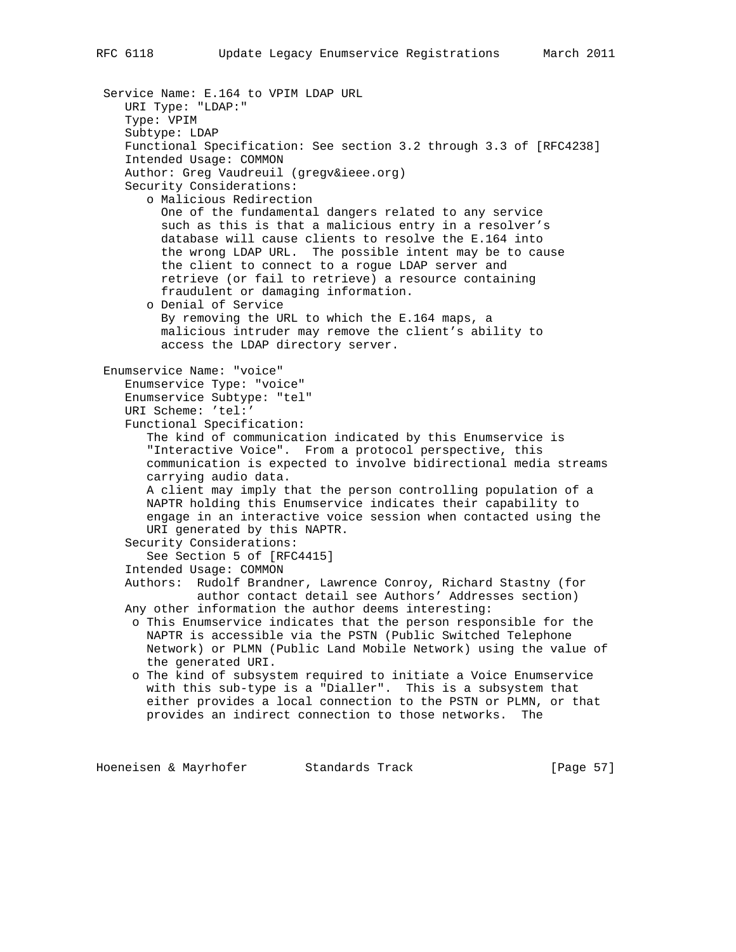Service Name: E.164 to VPIM LDAP URL URI Type: "LDAP:" Type: VPIM Subtype: LDAP Functional Specification: See section 3.2 through 3.3 of [RFC4238] Intended Usage: COMMON Author: Greg Vaudreuil (gregv&ieee.org) Security Considerations: o Malicious Redirection One of the fundamental dangers related to any service such as this is that a malicious entry in a resolver's database will cause clients to resolve the E.164 into the wrong LDAP URL. The possible intent may be to cause the client to connect to a rogue LDAP server and retrieve (or fail to retrieve) a resource containing fraudulent or damaging information. o Denial of Service By removing the URL to which the E.164 maps, a malicious intruder may remove the client's ability to access the LDAP directory server. Enumservice Name: "voice" Enumservice Type: "voice" Enumservice Subtype: "tel" URI Scheme: 'tel:' Functional Specification: The kind of communication indicated by this Enumservice is "Interactive Voice". From a protocol perspective, this communication is expected to involve bidirectional media streams carrying audio data. A client may imply that the person controlling population of a NAPTR holding this Enumservice indicates their capability to engage in an interactive voice session when contacted using the URI generated by this NAPTR. Security Considerations: See Section 5 of [RFC4415] Intended Usage: COMMON Authors: Rudolf Brandner, Lawrence Conroy, Richard Stastny (for author contact detail see Authors' Addresses section) Any other information the author deems interesting: o This Enumservice indicates that the person responsible for the NAPTR is accessible via the PSTN (Public Switched Telephone Network) or PLMN (Public Land Mobile Network) using the value of the generated URI. o The kind of subsystem required to initiate a Voice Enumservice with this sub-type is a "Dialler". This is a subsystem that either provides a local connection to the PSTN or PLMN, or that provides an indirect connection to those networks. The

Hoeneisen & Mayrhofer Standards Track [Page 57]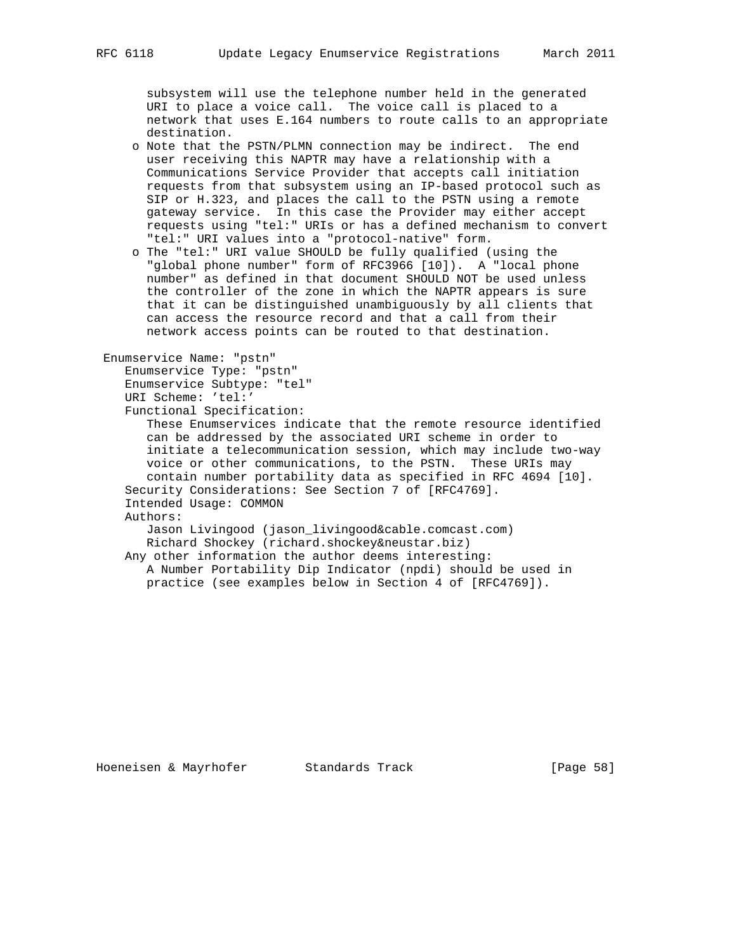subsystem will use the telephone number held in the generated URI to place a voice call. The voice call is placed to a network that uses E.164 numbers to route calls to an appropriate destination.

- o Note that the PSTN/PLMN connection may be indirect. The end user receiving this NAPTR may have a relationship with a Communications Service Provider that accepts call initiation requests from that subsystem using an IP-based protocol such as SIP or H.323, and places the call to the PSTN using a remote gateway service. In this case the Provider may either accept requests using "tel:" URIs or has a defined mechanism to convert "tel:" URI values into a "protocol-native" form.
- o The "tel:" URI value SHOULD be fully qualified (using the "global phone number" form of RFC3966 [10]). A "local phone number" as defined in that document SHOULD NOT be used unless the controller of the zone in which the NAPTR appears is sure that it can be distinguished unambiguously by all clients that can access the resource record and that a call from their network access points can be routed to that destination.

```
 Enumservice Name: "pstn"
   Enumservice Type: "pstn"
   Enumservice Subtype: "tel"
   URI Scheme: 'tel:'
    Functional Specification:
       These Enumservices indicate that the remote resource identified
       can be addressed by the associated URI scheme in order to
       initiate a telecommunication session, which may include two-way
      voice or other communications, to the PSTN. These URIs may
       contain number portability data as specified in RFC 4694 [10].
    Security Considerations: See Section 7 of [RFC4769].
    Intended Usage: COMMON
    Authors:
       Jason Livingood (jason_livingood&cable.comcast.com)
      Richard Shockey (richard.shockey&neustar.biz)
    Any other information the author deems interesting:
      A Number Portability Dip Indicator (npdi) should be used in
      practice (see examples below in Section 4 of [RFC4769]).
```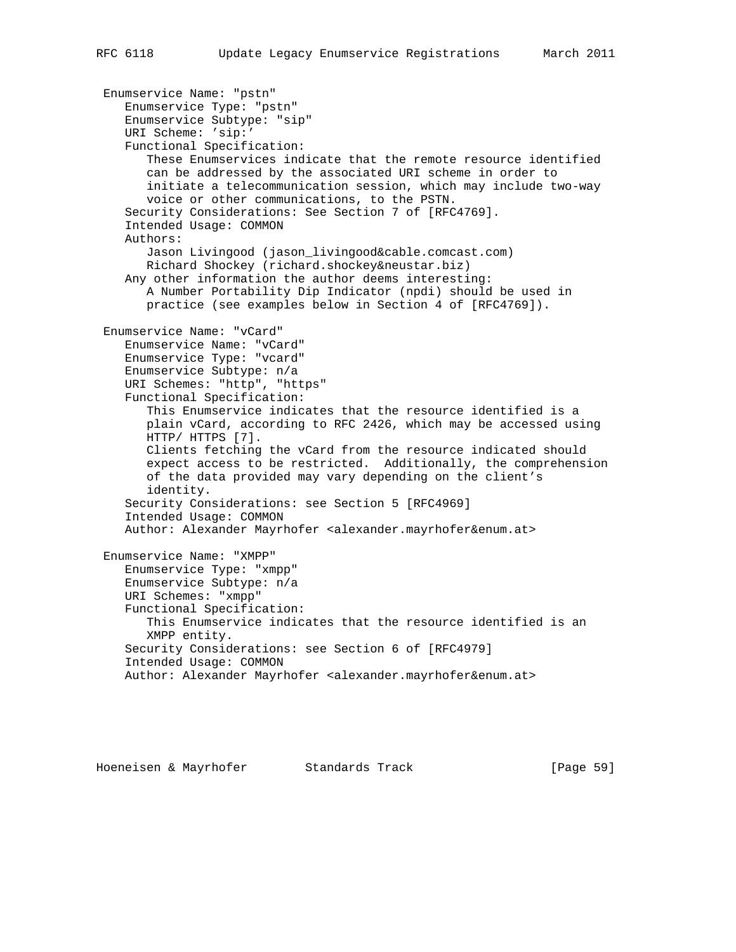Enumservice Name: "pstn" Enumservice Type: "pstn" Enumservice Subtype: "sip" URI Scheme: 'sip:' Functional Specification: These Enumservices indicate that the remote resource identified can be addressed by the associated URI scheme in order to initiate a telecommunication session, which may include two-way voice or other communications, to the PSTN. Security Considerations: See Section 7 of [RFC4769]. Intended Usage: COMMON Authors: Jason Livingood (jason\_livingood&cable.comcast.com) Richard Shockey (richard.shockey&neustar.biz) Any other information the author deems interesting: A Number Portability Dip Indicator (npdi) should be used in practice (see examples below in Section 4 of [RFC4769]). Enumservice Name: "vCard" Enumservice Name: "vCard" Enumservice Type: "vcard" Enumservice Subtype: n/a URI Schemes: "http", "https" Functional Specification: This Enumservice indicates that the resource identified is a plain vCard, according to RFC 2426, which may be accessed using HTTP/ HTTPS [7]. Clients fetching the vCard from the resource indicated should expect access to be restricted. Additionally, the comprehension of the data provided may vary depending on the client's identity. Security Considerations: see Section 5 [RFC4969] Intended Usage: COMMON Author: Alexander Mayrhofer <alexander.mayrhofer&enum.at> Enumservice Name: "XMPP" Enumservice Type: "xmpp" Enumservice Subtype: n/a URI Schemes: "xmpp" Functional Specification: This Enumservice indicates that the resource identified is an XMPP entity. Security Considerations: see Section 6 of [RFC4979] Intended Usage: COMMON Author: Alexander Mayrhofer <alexander.mayrhofer&enum.at>

Hoeneisen & Mayrhofer Standards Track [Page 59]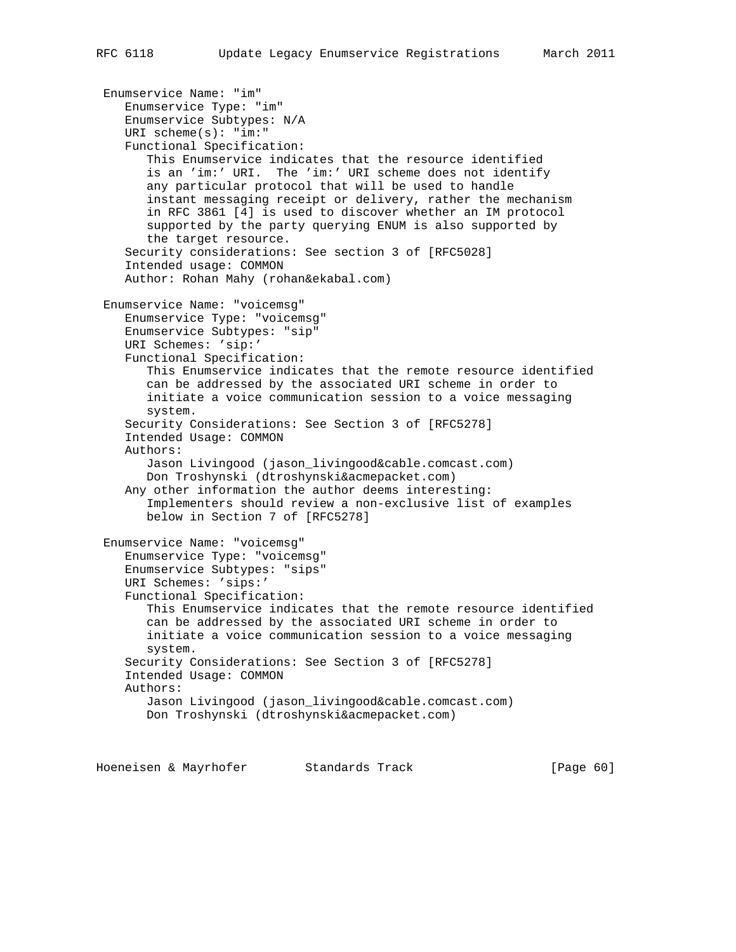```
 Enumservice Name: "im"
    Enumservice Type: "im"
    Enumservice Subtypes: N/A
    URI scheme(s): "im:"
    Functional Specification:
       This Enumservice indicates that the resource identified
       is an 'im:' URI. The 'im:' URI scheme does not identify
       any particular protocol that will be used to handle
       instant messaging receipt or delivery, rather the mechanism
       in RFC 3861 [4] is used to discover whether an IM protocol
       supported by the party querying ENUM is also supported by
       the target resource.
    Security considerations: See section 3 of [RFC5028]
    Intended usage: COMMON
    Author: Rohan Mahy (rohan&ekabal.com)
 Enumservice Name: "voicemsg"
    Enumservice Type: "voicemsg"
    Enumservice Subtypes: "sip"
    URI Schemes: 'sip:'
    Functional Specification:
       This Enumservice indicates that the remote resource identified
       can be addressed by the associated URI scheme in order to
       initiate a voice communication session to a voice messaging
       system.
    Security Considerations: See Section 3 of [RFC5278]
    Intended Usage: COMMON
    Authors:
       Jason Livingood (jason_livingood&cable.comcast.com)
       Don Troshynski (dtroshynski&acmepacket.com)
    Any other information the author deems interesting:
       Implementers should review a non-exclusive list of examples
       below in Section 7 of [RFC5278]
 Enumservice Name: "voicemsg"
    Enumservice Type: "voicemsg"
    Enumservice Subtypes: "sips"
    URI Schemes: 'sips:'
    Functional Specification:
       This Enumservice indicates that the remote resource identified
       can be addressed by the associated URI scheme in order to
       initiate a voice communication session to a voice messaging
       system.
    Security Considerations: See Section 3 of [RFC5278]
    Intended Usage: COMMON
    Authors:
       Jason Livingood (jason_livingood&cable.comcast.com)
       Don Troshynski (dtroshynski&acmepacket.com)
```
Hoeneisen & Mayrhofer Standards Track [Page 60]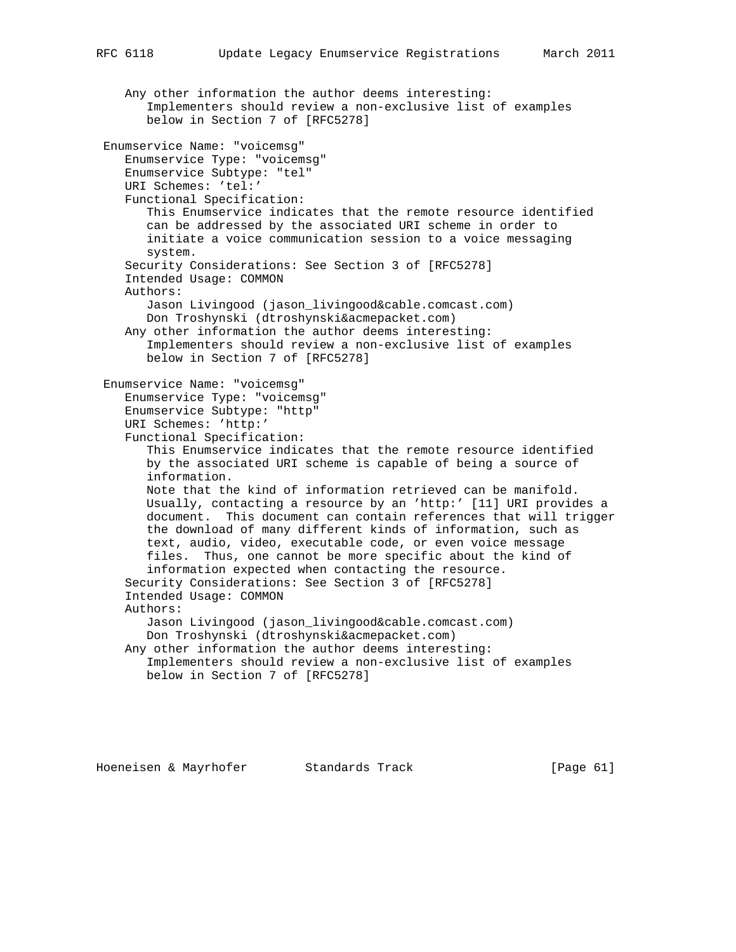Any other information the author deems interesting: Implementers should review a non-exclusive list of examples below in Section 7 of [RFC5278] Enumservice Name: "voicemsg" Enumservice Type: "voicemsg" Enumservice Subtype: "tel" URI Schemes: 'tel:' Functional Specification: This Enumservice indicates that the remote resource identified can be addressed by the associated URI scheme in order to initiate a voice communication session to a voice messaging system. Security Considerations: See Section 3 of [RFC5278] Intended Usage: COMMON Authors: Jason Livingood (jason\_livingood&cable.comcast.com) Don Troshynski (dtroshynski&acmepacket.com) Any other information the author deems interesting: Implementers should review a non-exclusive list of examples below in Section 7 of [RFC5278] Enumservice Name: "voicemsg" Enumservice Type: "voicemsg" Enumservice Subtype: "http" URI Schemes: 'http:' Functional Specification: This Enumservice indicates that the remote resource identified by the associated URI scheme is capable of being a source of information. Note that the kind of information retrieved can be manifold. Usually, contacting a resource by an 'http:' [11] URI provides a document. This document can contain references that will trigger the download of many different kinds of information, such as text, audio, video, executable code, or even voice message files. Thus, one cannot be more specific about the kind of information expected when contacting the resource. Security Considerations: See Section 3 of [RFC5278] Intended Usage: COMMON Authors: Jason Livingood (jason\_livingood&cable.comcast.com) Don Troshynski (dtroshynski&acmepacket.com) Any other information the author deems interesting: Implementers should review a non-exclusive list of examples below in Section 7 of [RFC5278]

Hoeneisen & Mayrhofer Standards Track [Page 61]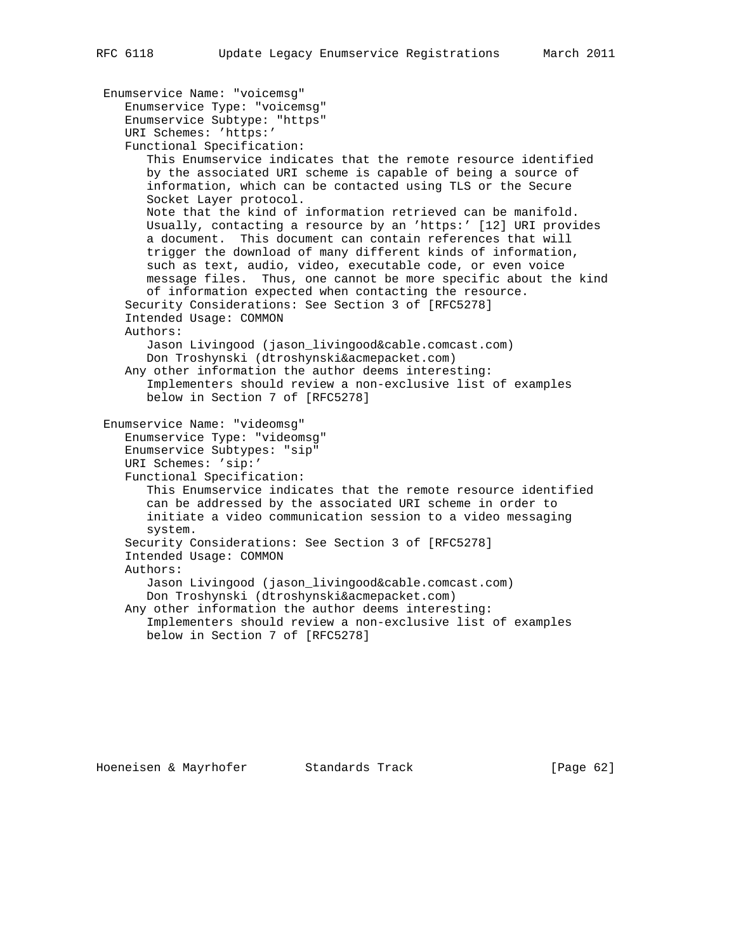```
 Enumservice Name: "voicemsg"
    Enumservice Type: "voicemsg"
    Enumservice Subtype: "https"
    URI Schemes: 'https:'
    Functional Specification:
       This Enumservice indicates that the remote resource identified
      by the associated URI scheme is capable of being a source of
       information, which can be contacted using TLS or the Secure
       Socket Layer protocol.
      Note that the kind of information retrieved can be manifold.
      Usually, contacting a resource by an 'https:' [12] URI provides
       a document. This document can contain references that will
       trigger the download of many different kinds of information,
       such as text, audio, video, executable code, or even voice
      message files. Thus, one cannot be more specific about the kind
       of information expected when contacting the resource.
    Security Considerations: See Section 3 of [RFC5278]
    Intended Usage: COMMON
   Authors:
       Jason Livingood (jason_livingood&cable.comcast.com)
       Don Troshynski (dtroshynski&acmepacket.com)
    Any other information the author deems interesting:
       Implementers should review a non-exclusive list of examples
      below in Section 7 of [RFC5278]
 Enumservice Name: "videomsg"
    Enumservice Type: "videomsg"
    Enumservice Subtypes: "sip"
   URI Schemes: 'sip:'
    Functional Specification:
       This Enumservice indicates that the remote resource identified
       can be addressed by the associated URI scheme in order to
       initiate a video communication session to a video messaging
       system.
    Security Considerations: See Section 3 of [RFC5278]
    Intended Usage: COMMON
    Authors:
       Jason Livingood (jason_livingood&cable.comcast.com)
       Don Troshynski (dtroshynski&acmepacket.com)
    Any other information the author deems interesting:
       Implementers should review a non-exclusive list of examples
      below in Section 7 of [RFC5278]
```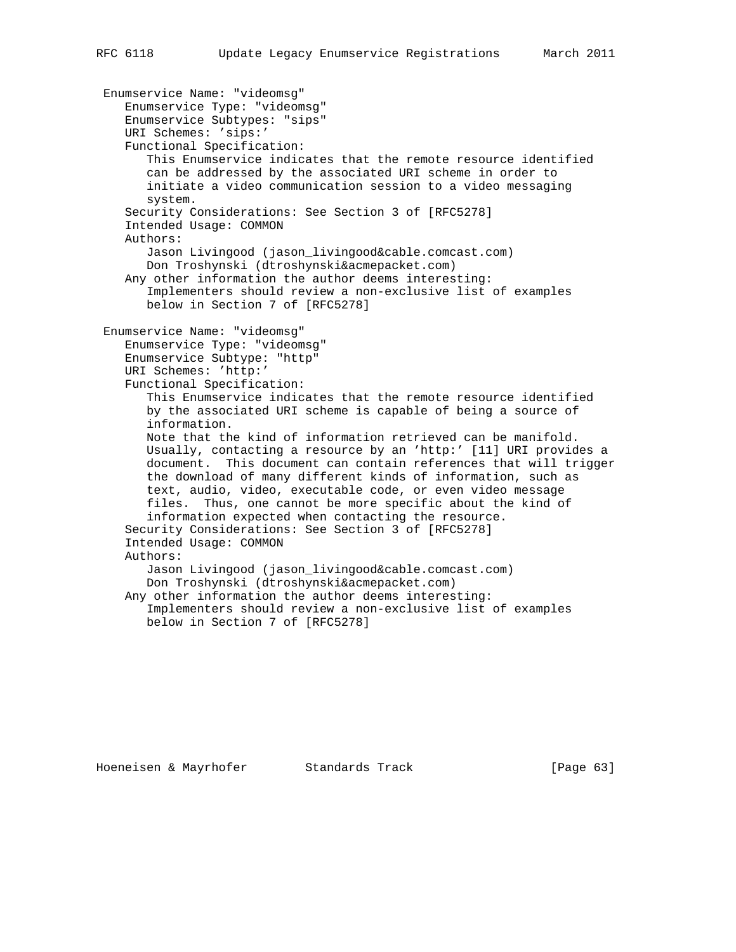Enumservice Name: "videomsg" Enumservice Type: "videomsg" Enumservice Subtypes: "sips" URI Schemes: 'sips:' Functional Specification: This Enumservice indicates that the remote resource identified can be addressed by the associated URI scheme in order to initiate a video communication session to a video messaging system. Security Considerations: See Section 3 of [RFC5278] Intended Usage: COMMON Authors: Jason Livingood (jason\_livingood&cable.comcast.com) Don Troshynski (dtroshynski&acmepacket.com) Any other information the author deems interesting: Implementers should review a non-exclusive list of examples below in Section 7 of [RFC5278] Enumservice Name: "videomsg" Enumservice Type: "videomsg" Enumservice Subtype: "http" URI Schemes: 'http:' Functional Specification: This Enumservice indicates that the remote resource identified by the associated URI scheme is capable of being a source of information. Note that the kind of information retrieved can be manifold. Usually, contacting a resource by an 'http:' [11] URI provides a document. This document can contain references that will trigger the download of many different kinds of information, such as text, audio, video, executable code, or even video message files. Thus, one cannot be more specific about the kind of information expected when contacting the resource. Security Considerations: See Section 3 of [RFC5278] Intended Usage: COMMON Authors: Jason Livingood (jason\_livingood&cable.comcast.com) Don Troshynski (dtroshynski&acmepacket.com) Any other information the author deems interesting: Implementers should review a non-exclusive list of examples below in Section 7 of [RFC5278]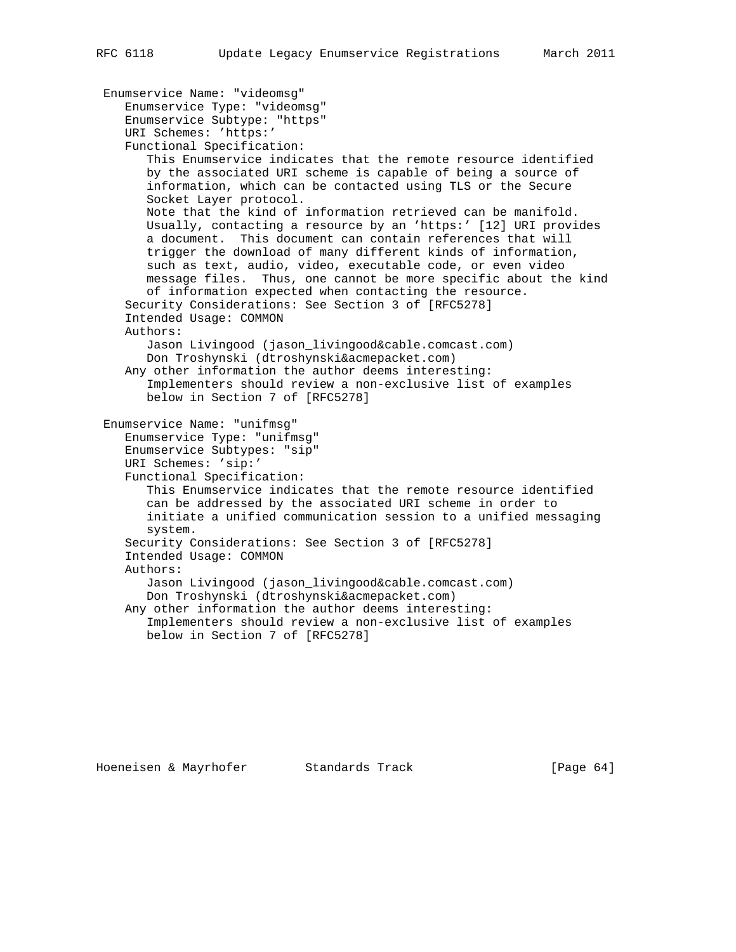```
 Enumservice Name: "videomsg"
    Enumservice Type: "videomsg"
    Enumservice Subtype: "https"
    URI Schemes: 'https:'
    Functional Specification:
       This Enumservice indicates that the remote resource identified
      by the associated URI scheme is capable of being a source of
       information, which can be contacted using TLS or the Secure
       Socket Layer protocol.
      Note that the kind of information retrieved can be manifold.
      Usually, contacting a resource by an 'https:' [12] URI provides
       a document. This document can contain references that will
       trigger the download of many different kinds of information,
       such as text, audio, video, executable code, or even video
      message files. Thus, one cannot be more specific about the kind
       of information expected when contacting the resource.
    Security Considerations: See Section 3 of [RFC5278]
    Intended Usage: COMMON
   Authors:
       Jason Livingood (jason_livingood&cable.comcast.com)
       Don Troshynski (dtroshynski&acmepacket.com)
    Any other information the author deems interesting:
       Implementers should review a non-exclusive list of examples
      below in Section 7 of [RFC5278]
 Enumservice Name: "unifmsg"
    Enumservice Type: "unifmsg"
    Enumservice Subtypes: "sip"
   URI Schemes: 'sip:'
    Functional Specification:
       This Enumservice indicates that the remote resource identified
       can be addressed by the associated URI scheme in order to
       initiate a unified communication session to a unified messaging
       system.
    Security Considerations: See Section 3 of [RFC5278]
    Intended Usage: COMMON
    Authors:
       Jason Livingood (jason_livingood&cable.comcast.com)
       Don Troshynski (dtroshynski&acmepacket.com)
    Any other information the author deems interesting:
       Implementers should review a non-exclusive list of examples
      below in Section 7 of [RFC5278]
```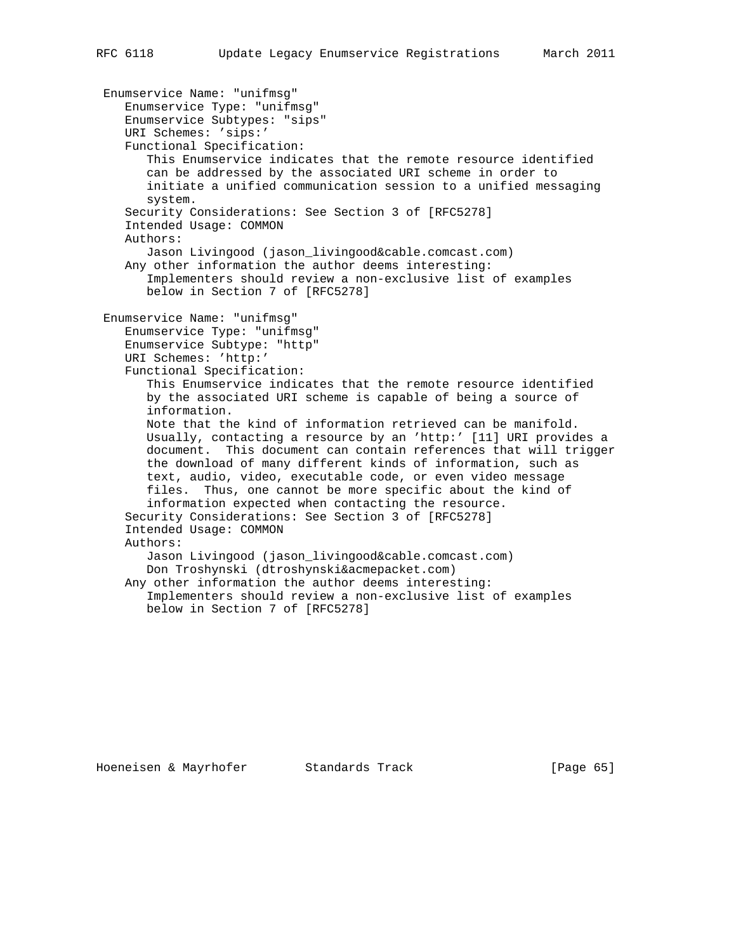Enumservice Name: "unifmsg" Enumservice Type: "unifmsg" Enumservice Subtypes: "sips" URI Schemes: 'sips:' Functional Specification: This Enumservice indicates that the remote resource identified can be addressed by the associated URI scheme in order to initiate a unified communication session to a unified messaging system. Security Considerations: See Section 3 of [RFC5278] Intended Usage: COMMON Authors: Jason Livingood (jason\_livingood&cable.comcast.com) Any other information the author deems interesting: Implementers should review a non-exclusive list of examples below in Section 7 of [RFC5278] Enumservice Name: "unifmsg" Enumservice Type: "unifmsg" Enumservice Subtype: "http" URI Schemes: 'http:' Functional Specification: This Enumservice indicates that the remote resource identified by the associated URI scheme is capable of being a source of information. Note that the kind of information retrieved can be manifold. Usually, contacting a resource by an 'http:' [11] URI provides a document. This document can contain references that will trigger the download of many different kinds of information, such as text, audio, video, executable code, or even video message files. Thus, one cannot be more specific about the kind of information expected when contacting the resource. Security Considerations: See Section 3 of [RFC5278] Intended Usage: COMMON Authors: Jason Livingood (jason\_livingood&cable.comcast.com) Don Troshynski (dtroshynski&acmepacket.com) Any other information the author deems interesting: Implementers should review a non-exclusive list of examples below in Section 7 of [RFC5278]

Hoeneisen & Mayrhofer Standards Track [Page 65]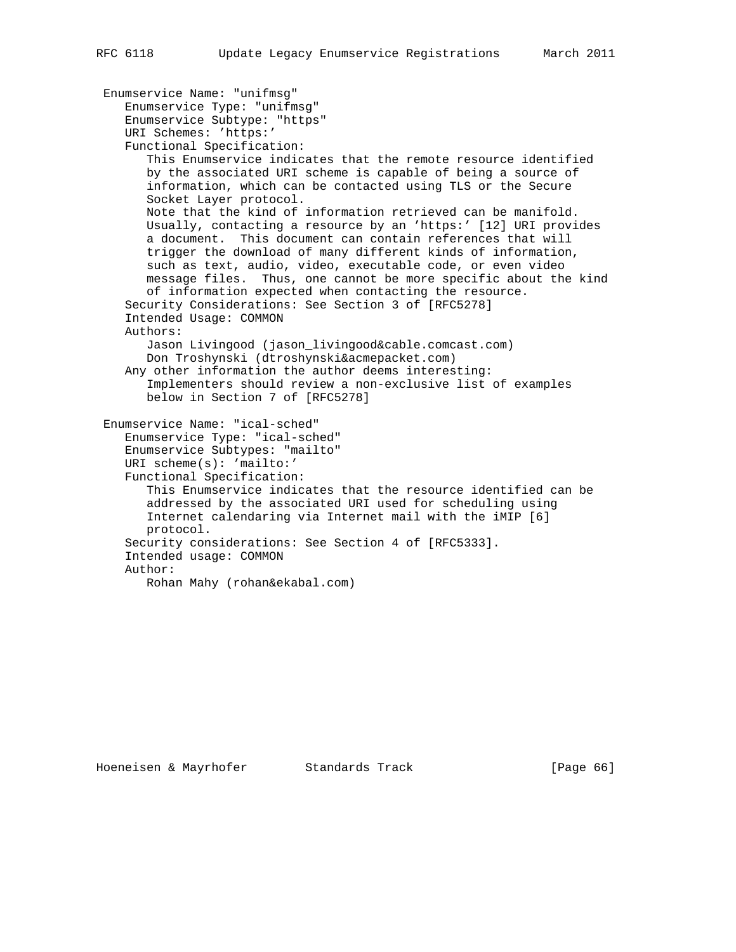```
 Enumservice Name: "unifmsg"
    Enumservice Type: "unifmsg"
    Enumservice Subtype: "https"
   URI Schemes: 'https:'
    Functional Specification:
       This Enumservice indicates that the remote resource identified
      by the associated URI scheme is capable of being a source of
       information, which can be contacted using TLS or the Secure
      Socket Layer protocol.
      Note that the kind of information retrieved can be manifold.
      Usually, contacting a resource by an 'https:' [12] URI provides
       a document. This document can contain references that will
       trigger the download of many different kinds of information,
       such as text, audio, video, executable code, or even video
      message files. Thus, one cannot be more specific about the kind
       of information expected when contacting the resource.
    Security Considerations: See Section 3 of [RFC5278]
    Intended Usage: COMMON
   Authors:
       Jason Livingood (jason_livingood&cable.comcast.com)
      Don Troshynski (dtroshynski&acmepacket.com)
    Any other information the author deems interesting:
       Implementers should review a non-exclusive list of examples
      below in Section 7 of [RFC5278]
 Enumservice Name: "ical-sched"
    Enumservice Type: "ical-sched"
    Enumservice Subtypes: "mailto"
   URI scheme(s): 'mailto:'
    Functional Specification:
       This Enumservice indicates that the resource identified can be
       addressed by the associated URI used for scheduling using
      Internet calendaring via Internet mail with the iMIP [6]
      protocol.
    Security considerations: See Section 4 of [RFC5333].
    Intended usage: COMMON
   Author:
       Rohan Mahy (rohan&ekabal.com)
```
Hoeneisen & Mayrhofer Standards Track [Page 66]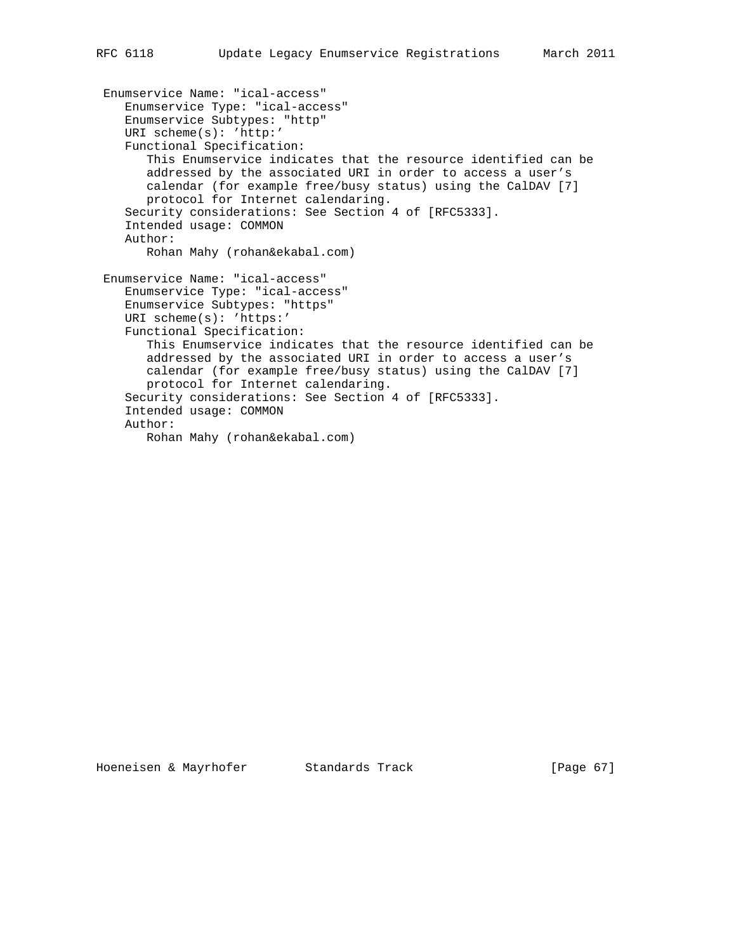```
 Enumservice Name: "ical-access"
   Enumservice Type: "ical-access"
   Enumservice Subtypes: "http"
   URI scheme(s): 'http:'
   Functional Specification:
       This Enumservice indicates that the resource identified can be
      addressed by the associated URI in order to access a user's
      calendar (for example free/busy status) using the CalDAV [7]
      protocol for Internet calendaring.
    Security considerations: See Section 4 of [RFC5333].
    Intended usage: COMMON
   Author:
      Rohan Mahy (rohan&ekabal.com)
 Enumservice Name: "ical-access"
   Enumservice Type: "ical-access"
   Enumservice Subtypes: "https"
   URI scheme(s): 'https:'
   Functional Specification:
      This Enumservice indicates that the resource identified can be
      addressed by the associated URI in order to access a user's
      calendar (for example free/busy status) using the CalDAV [7]
      protocol for Internet calendaring.
    Security considerations: See Section 4 of [RFC5333].
    Intended usage: COMMON
   Author:
       Rohan Mahy (rohan&ekabal.com)
```